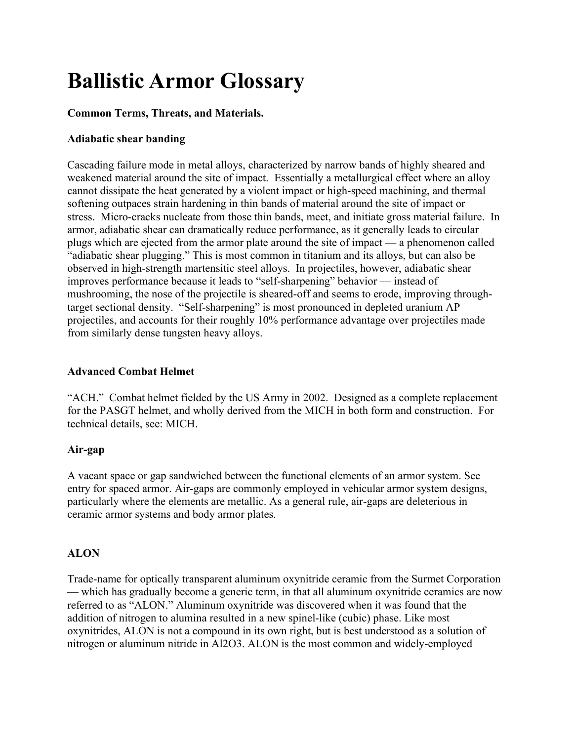# Ballistic Armor Glossary

# Common Terms, Threats, and Materials.

# Adiabatic shear banding

Cascading failure mode in metal alloys, characterized by narrow bands of highly sheared and weakened material around the site of impact. Essentially a metallurgical effect where an alloy cannot dissipate the heat generated by a violent impact or high-speed machining, and thermal softening outpaces strain hardening in thin bands of material around the site of impact or stress. Micro-cracks nucleate from those thin bands, meet, and initiate gross material failure. In armor, adiabatic shear can dramatically reduce performance, as it generally leads to circular plugs which are ejected from the armor plate around the site of impact — a phenomenon called "adiabatic shear plugging." This is most common in titanium and its alloys, but can also be observed in high-strength martensitic steel alloys. In projectiles, however, adiabatic shear improves performance because it leads to "self-sharpening" behavior — instead of mushrooming, the nose of the projectile is sheared-off and seems to erode, improving throughtarget sectional density. "Self-sharpening" is most pronounced in depleted uranium AP projectiles, and accounts for their roughly 10% performance advantage over projectiles made from similarly dense tungsten heavy alloys.

# Advanced Combat Helmet

"ACH." Combat helmet fielded by the US Army in 2002. Designed as a complete replacement for the PASGT helmet, and wholly derived from the MICH in both form and construction. For technical details, see: MICH.

# Air-gap

A vacant space or gap sandwiched between the functional elements of an armor system. See entry for spaced armor. Air-gaps are commonly employed in vehicular armor system designs, particularly where the elements are metallic. As a general rule, air-gaps are deleterious in ceramic armor systems and body armor plates.

# ALON

Trade-name for optically transparent aluminum oxynitride ceramic from the Surmet Corporation — which has gradually become a generic term, in that all aluminum oxynitride ceramics are now referred to as "ALON." Aluminum oxynitride was discovered when it was found that the addition of nitrogen to alumina resulted in a new spinel-like (cubic) phase. Like most oxynitrides, ALON is not a compound in its own right, but is best understood as a solution of nitrogen or aluminum nitride in Al2O3. ALON is the most common and widely-employed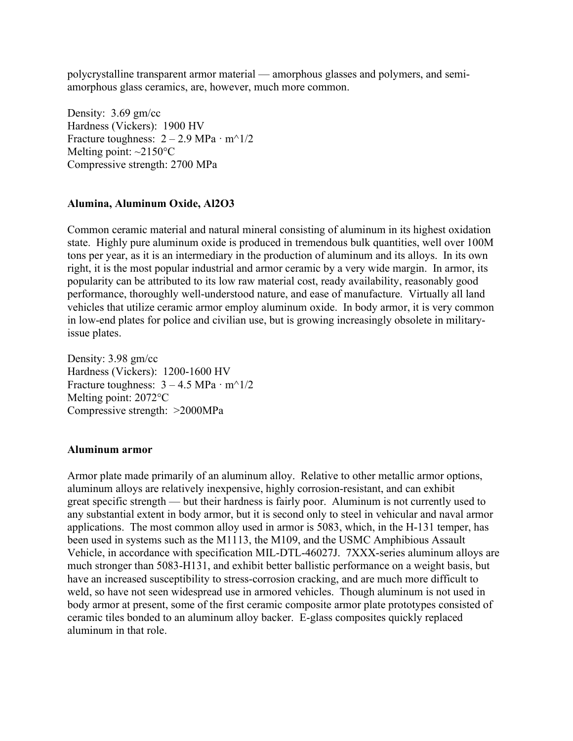polycrystalline transparent armor material — amorphous glasses and polymers, and semiamorphous glass ceramics, are, however, much more common.

Density: 3.69 gm/cc Hardness (Vickers): 1900 HV Fracture toughness:  $2 - 2.9$  MPa · m<sup> $\land$ </sup>1/2 Melting point:  $\sim$ 2150 $\degree$ C Compressive strength: 2700 MPa

## Alumina, Aluminum Oxide, Al2O3

Common ceramic material and natural mineral consisting of aluminum in its highest oxidation state. Highly pure aluminum oxide is produced in tremendous bulk quantities, well over 100M tons per year, as it is an intermediary in the production of aluminum and its alloys. In its own right, it is the most popular industrial and armor ceramic by a very wide margin. In armor, its popularity can be attributed to its low raw material cost, ready availability, reasonably good performance, thoroughly well-understood nature, and ease of manufacture. Virtually all land vehicles that utilize ceramic armor employ aluminum oxide. In body armor, it is very common in low-end plates for police and civilian use, but is growing increasingly obsolete in militaryissue plates.

Density: 3.98 gm/cc Hardness (Vickers): 1200-1600 HV Fracture toughness:  $3 - 4.5$  MPa · m<sup> $\land$ </sup>1/2 Melting point: 2072°C Compressive strength: >2000MPa

#### Aluminum armor

Armor plate made primarily of an aluminum alloy. Relative to other metallic armor options, aluminum alloys are relatively inexpensive, highly corrosion-resistant, and can exhibit great specific strength — but their hardness is fairly poor. Aluminum is not currently used to any substantial extent in body armor, but it is second only to steel in vehicular and naval armor applications. The most common alloy used in armor is 5083, which, in the H-131 temper, has been used in systems such as the M1113, the M109, and the USMC Amphibious Assault Vehicle, in accordance with specification MIL-DTL-46027J. 7XXX-series aluminum alloys are much stronger than 5083-H131, and exhibit better ballistic performance on a weight basis, but have an increased susceptibility to stress-corrosion cracking, and are much more difficult to weld, so have not seen widespread use in armored vehicles. Though aluminum is not used in body armor at present, some of the first ceramic composite armor plate prototypes consisted of ceramic tiles bonded to an aluminum alloy backer. E-glass composites quickly replaced aluminum in that role.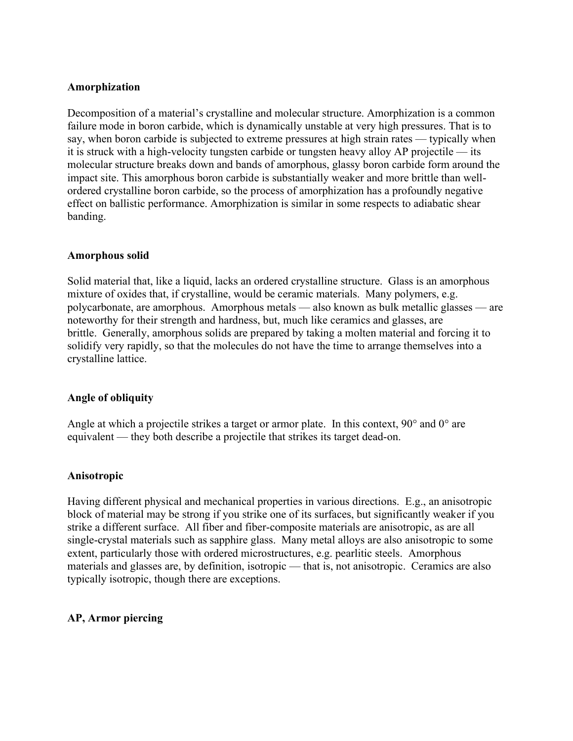## Amorphization

Decomposition of a material's crystalline and molecular structure. Amorphization is a common failure mode in boron carbide, which is dynamically unstable at very high pressures. That is to say, when boron carbide is subjected to extreme pressures at high strain rates — typically when it is struck with a high-velocity tungsten carbide or tungsten heavy alloy AP projectile — its molecular structure breaks down and bands of amorphous, glassy boron carbide form around the impact site. This amorphous boron carbide is substantially weaker and more brittle than wellordered crystalline boron carbide, so the process of amorphization has a profoundly negative effect on ballistic performance. Amorphization is similar in some respects to adiabatic shear banding.

## Amorphous solid

Solid material that, like a liquid, lacks an ordered crystalline structure. Glass is an amorphous mixture of oxides that, if crystalline, would be ceramic materials. Many polymers, e.g. polycarbonate, are amorphous. Amorphous metals — also known as bulk metallic glasses — are noteworthy for their strength and hardness, but, much like ceramics and glasses, are brittle. Generally, amorphous solids are prepared by taking a molten material and forcing it to solidify very rapidly, so that the molecules do not have the time to arrange themselves into a crystalline lattice.

# Angle of obliquity

Angle at which a projectile strikes a target or armor plate. In this context,  $90^{\circ}$  and  $0^{\circ}$  are equivalent — they both describe a projectile that strikes its target dead-on.

## Anisotropic

Having different physical and mechanical properties in various directions. E.g., an anisotropic block of material may be strong if you strike one of its surfaces, but significantly weaker if you strike a different surface. All fiber and fiber-composite materials are anisotropic, as are all single-crystal materials such as sapphire glass. Many metal alloys are also anisotropic to some extent, particularly those with ordered microstructures, e.g. pearlitic steels. Amorphous materials and glasses are, by definition, isotropic — that is, not anisotropic. Ceramics are also typically isotropic, though there are exceptions.

# AP, Armor piercing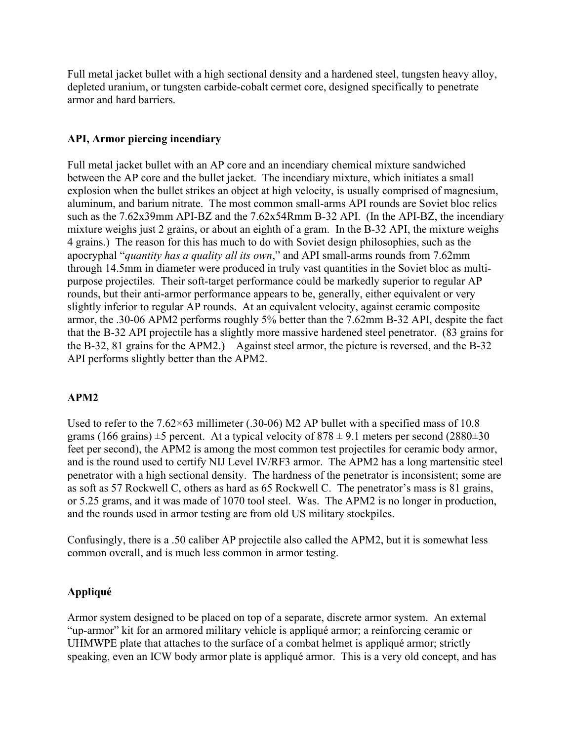Full metal jacket bullet with a high sectional density and a hardened steel, tungsten heavy alloy, depleted uranium, or tungsten carbide-cobalt cermet core, designed specifically to penetrate armor and hard barriers.

## API, Armor piercing incendiary

Full metal jacket bullet with an AP core and an incendiary chemical mixture sandwiched between the AP core and the bullet jacket. The incendiary mixture, which initiates a small explosion when the bullet strikes an object at high velocity, is usually comprised of magnesium, aluminum, and barium nitrate. The most common small-arms API rounds are Soviet bloc relics such as the 7.62x39mm API-BZ and the 7.62x54Rmm B-32 API. (In the API-BZ, the incendiary mixture weighs just 2 grains, or about an eighth of a gram. In the B-32 API, the mixture weighs 4 grains.) The reason for this has much to do with Soviet design philosophies, such as the apocryphal "quantity has a quality all its own," and API small-arms rounds from 7.62mm through 14.5mm in diameter were produced in truly vast quantities in the Soviet bloc as multipurpose projectiles. Their soft-target performance could be markedly superior to regular AP rounds, but their anti-armor performance appears to be, generally, either equivalent or very slightly inferior to regular AP rounds. At an equivalent velocity, against ceramic composite armor, the .30-06 APM2 performs roughly 5% better than the 7.62mm B-32 API, despite the fact that the B-32 API projectile has a slightly more massive hardened steel penetrator. (83 grains for the B-32, 81 grains for the APM2.) Against steel armor, the picture is reversed, and the B-32 API performs slightly better than the APM2.

# APM2

Used to refer to the 7.62×63 millimeter (.30-06) M2 AP bullet with a specified mass of 10.8 grams (166 grains)  $\pm$ 5 percent. At a typical velocity of 878  $\pm$  9.1 meters per second (2880 $\pm$ 30 feet per second), the APM2 is among the most common test projectiles for ceramic body armor, and is the round used to certify NIJ Level IV/RF3 armor. The APM2 has a long martensitic steel penetrator with a high sectional density. The hardness of the penetrator is inconsistent; some are as soft as 57 Rockwell C, others as hard as 65 Rockwell C. The penetrator's mass is 81 grains, or 5.25 grams, and it was made of 1070 tool steel. Was. The APM2 is no longer in production, and the rounds used in armor testing are from old US military stockpiles.

Confusingly, there is a .50 caliber AP projectile also called the APM2, but it is somewhat less common overall, and is much less common in armor testing.

## Appliqué

Armor system designed to be placed on top of a separate, discrete armor system. An external "up-armor" kit for an armored military vehicle is appliqué armor; a reinforcing ceramic or UHMWPE plate that attaches to the surface of a combat helmet is appliqué armor; strictly speaking, even an ICW body armor plate is appliqué armor. This is a very old concept, and has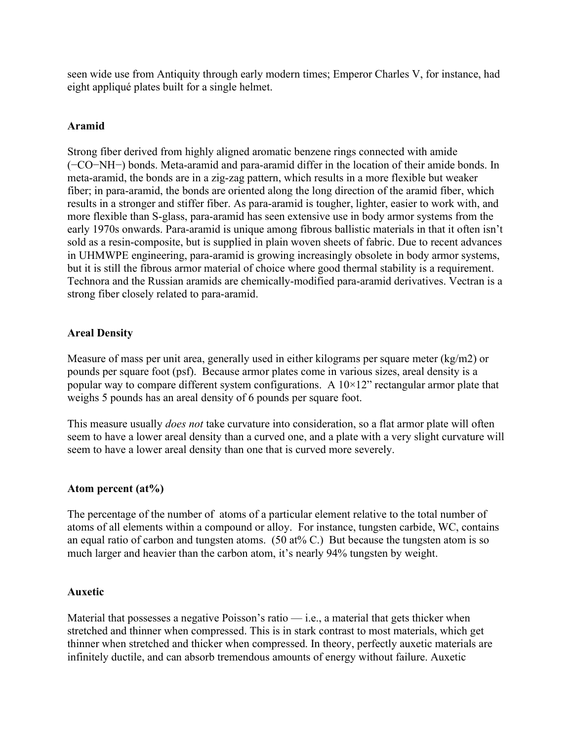seen wide use from Antiquity through early modern times; Emperor Charles V, for instance, had eight appliqué plates built for a single helmet.

## Aramid

Strong fiber derived from highly aligned aromatic benzene rings connected with amide (−CO−NH−) bonds. Meta-aramid and para-aramid differ in the location of their amide bonds. In meta-aramid, the bonds are in a zig-zag pattern, which results in a more flexible but weaker fiber; in para-aramid, the bonds are oriented along the long direction of the aramid fiber, which results in a stronger and stiffer fiber. As para-aramid is tougher, lighter, easier to work with, and more flexible than S-glass, para-aramid has seen extensive use in body armor systems from the early 1970s onwards. Para-aramid is unique among fibrous ballistic materials in that it often isn't sold as a resin-composite, but is supplied in plain woven sheets of fabric. Due to recent advances in UHMWPE engineering, para-aramid is growing increasingly obsolete in body armor systems, but it is still the fibrous armor material of choice where good thermal stability is a requirement. Technora and the Russian aramids are chemically-modified para-aramid derivatives. Vectran is a strong fiber closely related to para-aramid.

## Areal Density

Measure of mass per unit area, generally used in either kilograms per square meter (kg/m2) or pounds per square foot (psf). Because armor plates come in various sizes, areal density is a popular way to compare different system configurations. A  $10\times12$ " rectangular armor plate that weighs 5 pounds has an areal density of 6 pounds per square foot.

This measure usually *does not* take curvature into consideration, so a flat armor plate will often seem to have a lower areal density than a curved one, and a plate with a very slight curvature will seem to have a lower areal density than one that is curved more severely.

## Atom percent (at%)

The percentage of the number of atoms of a particular element relative to the total number of atoms of all elements within a compound or alloy. For instance, tungsten carbide, WC, contains an equal ratio of carbon and tungsten atoms. (50 at% C.) But because the tungsten atom is so much larger and heavier than the carbon atom, it's nearly 94% tungsten by weight.

## Auxetic

Material that possesses a negative Poisson's ratio  $-$  i.e., a material that gets thicker when stretched and thinner when compressed. This is in stark contrast to most materials, which get thinner when stretched and thicker when compressed. In theory, perfectly auxetic materials are infinitely ductile, and can absorb tremendous amounts of energy without failure. Auxetic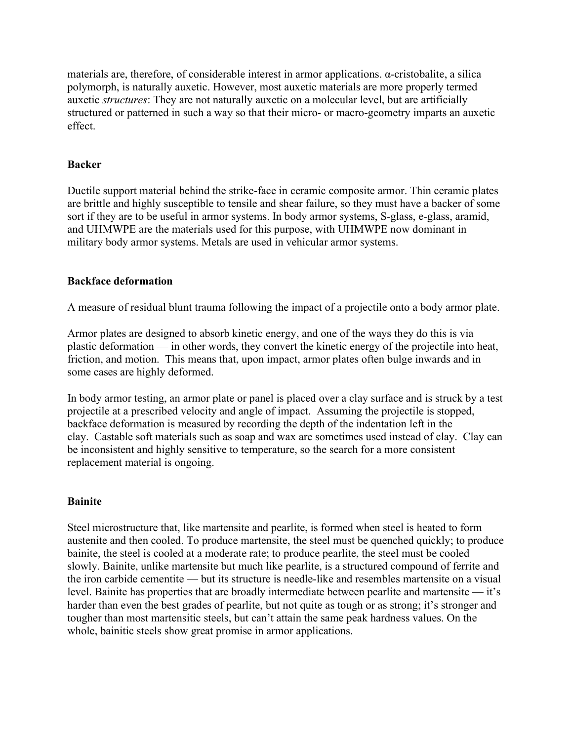materials are, therefore, of considerable interest in armor applications. α-cristobalite, a silica polymorph, is naturally auxetic. However, most auxetic materials are more properly termed auxetic structures: They are not naturally auxetic on a molecular level, but are artificially structured or patterned in such a way so that their micro- or macro-geometry imparts an auxetic effect.

## Backer

Ductile support material behind the strike-face in ceramic composite armor. Thin ceramic plates are brittle and highly susceptible to tensile and shear failure, so they must have a backer of some sort if they are to be useful in armor systems. In body armor systems, S-glass, e-glass, aramid, and UHMWPE are the materials used for this purpose, with UHMWPE now dominant in military body armor systems. Metals are used in vehicular armor systems.

## Backface deformation

A measure of residual blunt trauma following the impact of a projectile onto a body armor plate.

Armor plates are designed to absorb kinetic energy, and one of the ways they do this is via plastic deformation — in other words, they convert the kinetic energy of the projectile into heat, friction, and motion. This means that, upon impact, armor plates often bulge inwards and in some cases are highly deformed.

In body armor testing, an armor plate or panel is placed over a clay surface and is struck by a test projectile at a prescribed velocity and angle of impact. Assuming the projectile is stopped, backface deformation is measured by recording the depth of the indentation left in the clay. Castable soft materials such as soap and wax are sometimes used instead of clay. Clay can be inconsistent and highly sensitive to temperature, so the search for a more consistent replacement material is ongoing.

# **Bainite**

Steel microstructure that, like martensite and pearlite, is formed when steel is heated to form austenite and then cooled. To produce martensite, the steel must be quenched quickly; to produce bainite, the steel is cooled at a moderate rate; to produce pearlite, the steel must be cooled slowly. Bainite, unlike martensite but much like pearlite, is a structured compound of ferrite and the iron carbide cementite — but its structure is needle-like and resembles martensite on a visual level. Bainite has properties that are broadly intermediate between pearlite and martensite — it's harder than even the best grades of pearlite, but not quite as tough or as strong; it's stronger and tougher than most martensitic steels, but can't attain the same peak hardness values. On the whole, bainitic steels show great promise in armor applications.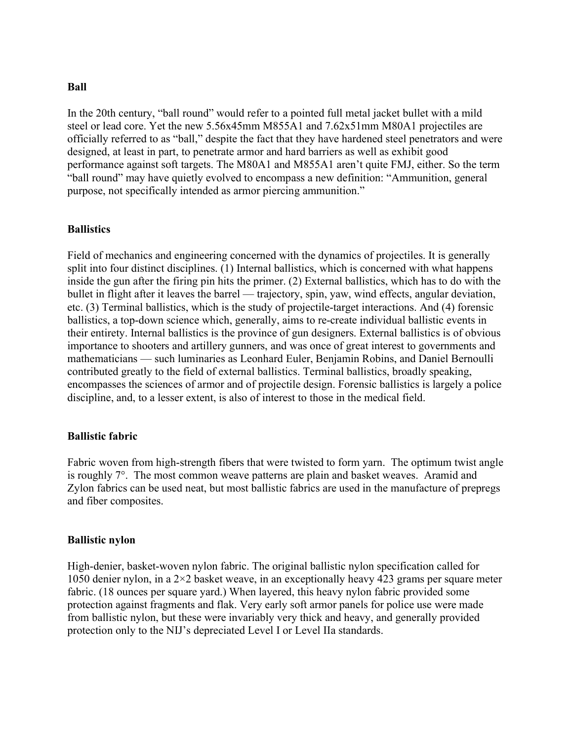#### Ball

In the 20th century, "ball round" would refer to a pointed full metal jacket bullet with a mild steel or lead core. Yet the new 5.56x45mm M855A1 and 7.62x51mm M80A1 projectiles are officially referred to as "ball," despite the fact that they have hardened steel penetrators and were designed, at least in part, to penetrate armor and hard barriers as well as exhibit good performance against soft targets. The M80A1 and M855A1 aren't quite FMJ, either. So the term "ball round" may have quietly evolved to encompass a new definition: "Ammunition, general purpose, not specifically intended as armor piercing ammunition."

#### **Ballistics**

Field of mechanics and engineering concerned with the dynamics of projectiles. It is generally split into four distinct disciplines. (1) Internal ballistics, which is concerned with what happens inside the gun after the firing pin hits the primer. (2) External ballistics, which has to do with the bullet in flight after it leaves the barrel — trajectory, spin, yaw, wind effects, angular deviation, etc. (3) Terminal ballistics, which is the study of projectile-target interactions. And (4) forensic ballistics, a top-down science which, generally, aims to re-create individual ballistic events in their entirety. Internal ballistics is the province of gun designers. External ballistics is of obvious importance to shooters and artillery gunners, and was once of great interest to governments and mathematicians — such luminaries as Leonhard Euler, Benjamin Robins, and Daniel Bernoulli contributed greatly to the field of external ballistics. Terminal ballistics, broadly speaking, encompasses the sciences of armor and of projectile design. Forensic ballistics is largely a police discipline, and, to a lesser extent, is also of interest to those in the medical field.

#### Ballistic fabric

Fabric woven from high-strength fibers that were twisted to form yarn. The optimum twist angle is roughly 7°. The most common weave patterns are plain and basket weaves. Aramid and Zylon fabrics can be used neat, but most ballistic fabrics are used in the manufacture of prepregs and fiber composites.

#### Ballistic nylon

High-denier, basket-woven nylon fabric. The original ballistic nylon specification called for 1050 denier nylon, in a 2×2 basket weave, in an exceptionally heavy 423 grams per square meter fabric. (18 ounces per square yard.) When layered, this heavy nylon fabric provided some protection against fragments and flak. Very early soft armor panels for police use were made from ballistic nylon, but these were invariably very thick and heavy, and generally provided protection only to the NIJ's depreciated Level I or Level IIa standards.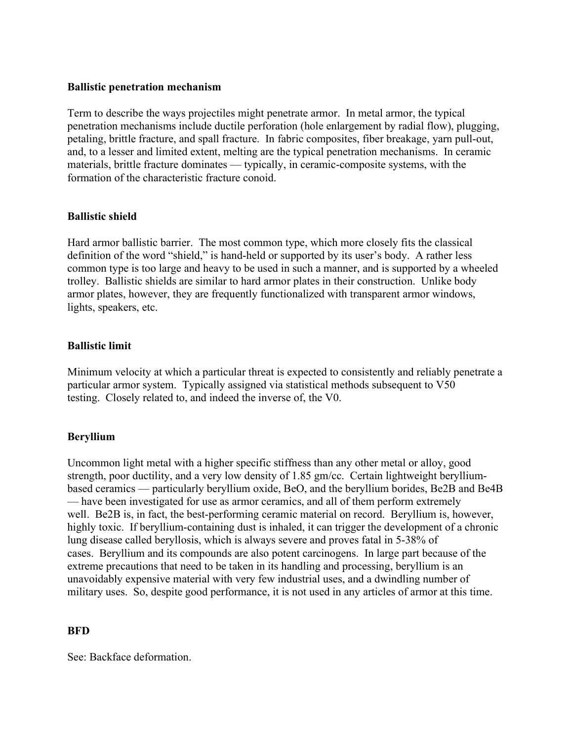#### Ballistic penetration mechanism

Term to describe the ways projectiles might penetrate armor. In metal armor, the typical penetration mechanisms include ductile perforation (hole enlargement by radial flow), plugging, petaling, brittle fracture, and spall fracture. In fabric composites, fiber breakage, yarn pull-out, and, to a lesser and limited extent, melting are the typical penetration mechanisms. In ceramic materials, brittle fracture dominates — typically, in ceramic-composite systems, with the formation of the characteristic fracture conoid.

## Ballistic shield

Hard armor ballistic barrier. The most common type, which more closely fits the classical definition of the word "shield," is hand-held or supported by its user's body. A rather less common type is too large and heavy to be used in such a manner, and is supported by a wheeled trolley. Ballistic shields are similar to hard armor plates in their construction. Unlike body armor plates, however, they are frequently functionalized with transparent armor windows, lights, speakers, etc.

## Ballistic limit

Minimum velocity at which a particular threat is expected to consistently and reliably penetrate a particular armor system. Typically assigned via statistical methods subsequent to V50 testing. Closely related to, and indeed the inverse of, the V0.

## Beryllium

Uncommon light metal with a higher specific stiffness than any other metal or alloy, good strength, poor ductility, and a very low density of 1.85 gm/cc. Certain lightweight berylliumbased ceramics — particularly beryllium oxide, BeO, and the beryllium borides, Be2B and Be4B — have been investigated for use as armor ceramics, and all of them perform extremely well. Be2B is, in fact, the best-performing ceramic material on record. Beryllium is, however, highly toxic. If beryllium-containing dust is inhaled, it can trigger the development of a chronic lung disease called beryllosis, which is always severe and proves fatal in 5-38% of cases. Beryllium and its compounds are also potent carcinogens. In large part because of the extreme precautions that need to be taken in its handling and processing, beryllium is an unavoidably expensive material with very few industrial uses, and a dwindling number of military uses. So, despite good performance, it is not used in any articles of armor at this time.

## **BFD**

See: Backface deformation.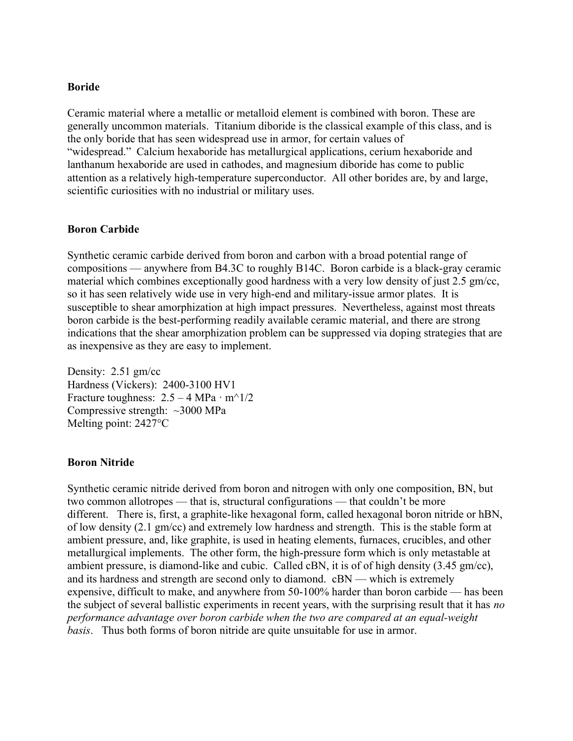#### Boride

Ceramic material where a metallic or metalloid element is combined with boron. These are generally uncommon materials. Titanium diboride is the classical example of this class, and is the only boride that has seen widespread use in armor, for certain values of "widespread." Calcium hexaboride has metallurgical applications, cerium hexaboride and lanthanum hexaboride are used in cathodes, and magnesium diboride has come to public attention as a relatively high-temperature superconductor. All other borides are, by and large, scientific curiosities with no industrial or military uses.

#### Boron Carbide

Synthetic ceramic carbide derived from boron and carbon with a broad potential range of compositions — anywhere from B4.3C to roughly B14C. Boron carbide is a black-gray ceramic material which combines exceptionally good hardness with a very low density of just 2.5 gm/cc, so it has seen relatively wide use in very high-end and military-issue armor plates. It is susceptible to shear amorphization at high impact pressures. Nevertheless, against most threats boron carbide is the best-performing readily available ceramic material, and there are strong indications that the shear amorphization problem can be suppressed via doping strategies that are as inexpensive as they are easy to implement.

Density: 2.51 gm/cc Hardness (Vickers): 2400-3100 HV1 Fracture toughness:  $2.5 - 4 MPa \cdot m^2/2$ Compressive strength: ~3000 MPa Melting point: 2427°C

#### Boron Nitride

Synthetic ceramic nitride derived from boron and nitrogen with only one composition, BN, but two common allotropes — that is, structural configurations — that couldn't be more different. There is, first, a graphite-like hexagonal form, called hexagonal boron nitride or hBN, of low density (2.1 gm/cc) and extremely low hardness and strength. This is the stable form at ambient pressure, and, like graphite, is used in heating elements, furnaces, crucibles, and other metallurgical implements. The other form, the high-pressure form which is only metastable at ambient pressure, is diamond-like and cubic. Called cBN, it is of of high density (3.45 gm/cc), and its hardness and strength are second only to diamond. cBN — which is extremely expensive, difficult to make, and anywhere from 50-100% harder than boron carbide — has been the subject of several ballistic experiments in recent years, with the surprising result that it has no performance advantage over boron carbide when the two are compared at an equal-weight basis. Thus both forms of boron nitride are quite unsuitable for use in armor.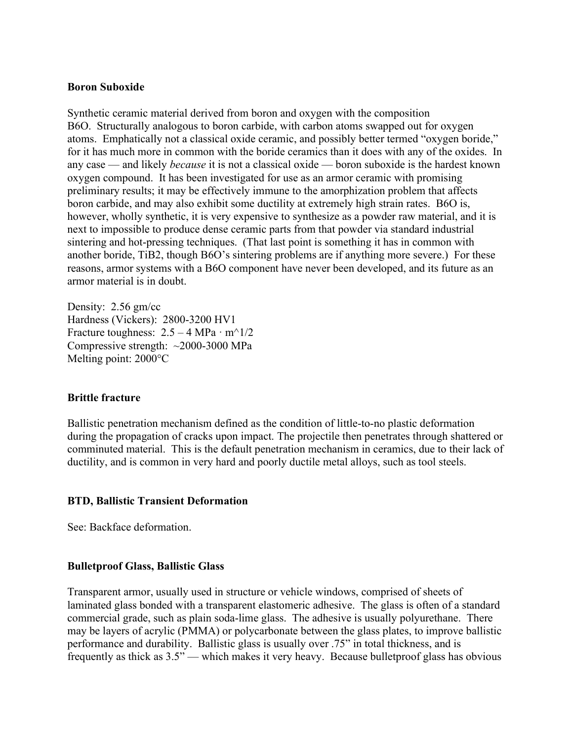#### Boron Suboxide

Synthetic ceramic material derived from boron and oxygen with the composition B6O. Structurally analogous to boron carbide, with carbon atoms swapped out for oxygen atoms. Emphatically not a classical oxide ceramic, and possibly better termed "oxygen boride," for it has much more in common with the boride ceramics than it does with any of the oxides. In any case — and likely because it is not a classical oxide — boron suboxide is the hardest known oxygen compound. It has been investigated for use as an armor ceramic with promising preliminary results; it may be effectively immune to the amorphization problem that affects boron carbide, and may also exhibit some ductility at extremely high strain rates. B6O is, however, wholly synthetic, it is very expensive to synthesize as a powder raw material, and it is next to impossible to produce dense ceramic parts from that powder via standard industrial sintering and hot-pressing techniques. (That last point is something it has in common with another boride, TiB2, though B6O's sintering problems are if anything more severe.) For these reasons, armor systems with a B6O component have never been developed, and its future as an armor material is in doubt.

Density: 2.56 gm/cc Hardness (Vickers): 2800-3200 HV1 Fracture toughness:  $2.5 - 4 \text{ MPa} \cdot \text{m}^2/2$ Compressive strength: ~2000-3000 MPa Melting point: 2000°C

## Brittle fracture

Ballistic penetration mechanism defined as the condition of little-to-no plastic deformation during the propagation of cracks upon impact. The projectile then penetrates through shattered or comminuted material. This is the default penetration mechanism in ceramics, due to their lack of ductility, and is common in very hard and poorly ductile metal alloys, such as tool steels.

## BTD, Ballistic Transient Deformation

See: Backface deformation.

## Bulletproof Glass, Ballistic Glass

Transparent armor, usually used in structure or vehicle windows, comprised of sheets of laminated glass bonded with a transparent elastomeric adhesive. The glass is often of a standard commercial grade, such as plain soda-lime glass. The adhesive is usually polyurethane. There may be layers of acrylic (PMMA) or polycarbonate between the glass plates, to improve ballistic performance and durability. Ballistic glass is usually over .75" in total thickness, and is frequently as thick as 3.5" — which makes it very heavy. Because bulletproof glass has obvious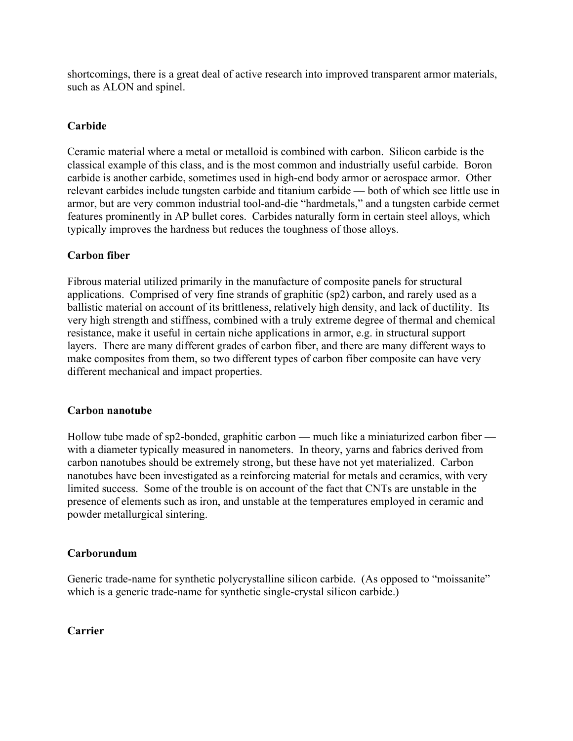shortcomings, there is a great deal of active research into improved transparent armor materials, such as ALON and spinel.

# Carbide

Ceramic material where a metal or metalloid is combined with carbon. Silicon carbide is the classical example of this class, and is the most common and industrially useful carbide. Boron carbide is another carbide, sometimes used in high-end body armor or aerospace armor. Other relevant carbides include tungsten carbide and titanium carbide — both of which see little use in armor, but are very common industrial tool-and-die "hardmetals," and a tungsten carbide cermet features prominently in AP bullet cores. Carbides naturally form in certain steel alloys, which typically improves the hardness but reduces the toughness of those alloys.

# Carbon fiber

Fibrous material utilized primarily in the manufacture of composite panels for structural applications. Comprised of very fine strands of graphitic (sp2) carbon, and rarely used as a ballistic material on account of its brittleness, relatively high density, and lack of ductility. Its very high strength and stiffness, combined with a truly extreme degree of thermal and chemical resistance, make it useful in certain niche applications in armor, e.g. in structural support layers. There are many different grades of carbon fiber, and there are many different ways to make composites from them, so two different types of carbon fiber composite can have very different mechanical and impact properties.

# Carbon nanotube

Hollow tube made of sp2-bonded, graphitic carbon — much like a miniaturized carbon fiber with a diameter typically measured in nanometers. In theory, yarns and fabrics derived from carbon nanotubes should be extremely strong, but these have not yet materialized. Carbon nanotubes have been investigated as a reinforcing material for metals and ceramics, with very limited success. Some of the trouble is on account of the fact that CNTs are unstable in the presence of elements such as iron, and unstable at the temperatures employed in ceramic and powder metallurgical sintering.

# Carborundum

Generic trade-name for synthetic polycrystalline silicon carbide. (As opposed to "moissanite" which is a generic trade-name for synthetic single-crystal silicon carbide.)

# Carrier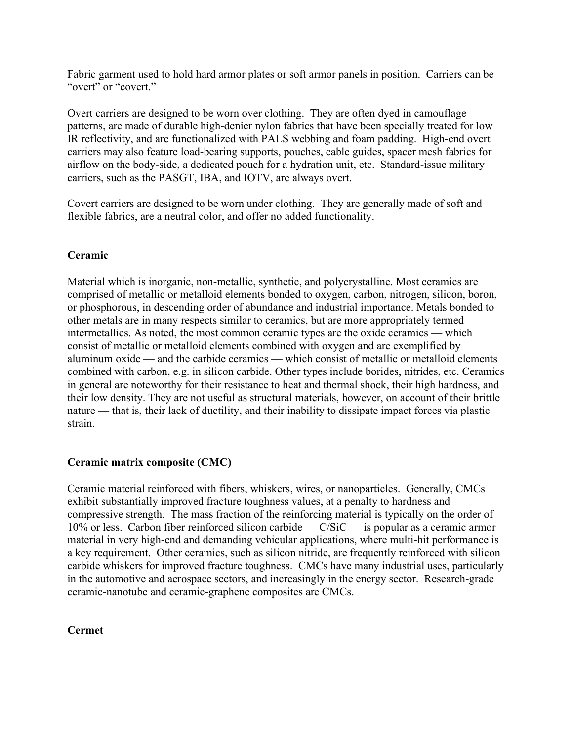Fabric garment used to hold hard armor plates or soft armor panels in position. Carriers can be "overt" or "covert."

Overt carriers are designed to be worn over clothing. They are often dyed in camouflage patterns, are made of durable high-denier nylon fabrics that have been specially treated for low IR reflectivity, and are functionalized with PALS webbing and foam padding. High-end overt carriers may also feature load-bearing supports, pouches, cable guides, spacer mesh fabrics for airflow on the body-side, a dedicated pouch for a hydration unit, etc. Standard-issue military carriers, such as the PASGT, IBA, and IOTV, are always overt.

Covert carriers are designed to be worn under clothing. They are generally made of soft and flexible fabrics, are a neutral color, and offer no added functionality.

# Ceramic

Material which is inorganic, non-metallic, synthetic, and polycrystalline. Most ceramics are comprised of metallic or metalloid elements bonded to oxygen, carbon, nitrogen, silicon, boron, or phosphorous, in descending order of abundance and industrial importance. Metals bonded to other metals are in many respects similar to ceramics, but are more appropriately termed intermetallics. As noted, the most common ceramic types are the oxide ceramics — which consist of metallic or metalloid elements combined with oxygen and are exemplified by aluminum oxide — and the carbide ceramics — which consist of metallic or metalloid elements combined with carbon, e.g. in silicon carbide. Other types include borides, nitrides, etc. Ceramics in general are noteworthy for their resistance to heat and thermal shock, their high hardness, and their low density. They are not useful as structural materials, however, on account of their brittle nature — that is, their lack of ductility, and their inability to dissipate impact forces via plastic strain.

# Ceramic matrix composite (CMC)

Ceramic material reinforced with fibers, whiskers, wires, or nanoparticles. Generally, CMCs exhibit substantially improved fracture toughness values, at a penalty to hardness and compressive strength. The mass fraction of the reinforcing material is typically on the order of 10% or less. Carbon fiber reinforced silicon carbide —  $C/SiC$  — is popular as a ceramic armor material in very high-end and demanding vehicular applications, where multi-hit performance is a key requirement. Other ceramics, such as silicon nitride, are frequently reinforced with silicon carbide whiskers for improved fracture toughness. CMCs have many industrial uses, particularly in the automotive and aerospace sectors, and increasingly in the energy sector. Research-grade ceramic-nanotube and ceramic-graphene composites are CMCs.

## Cermet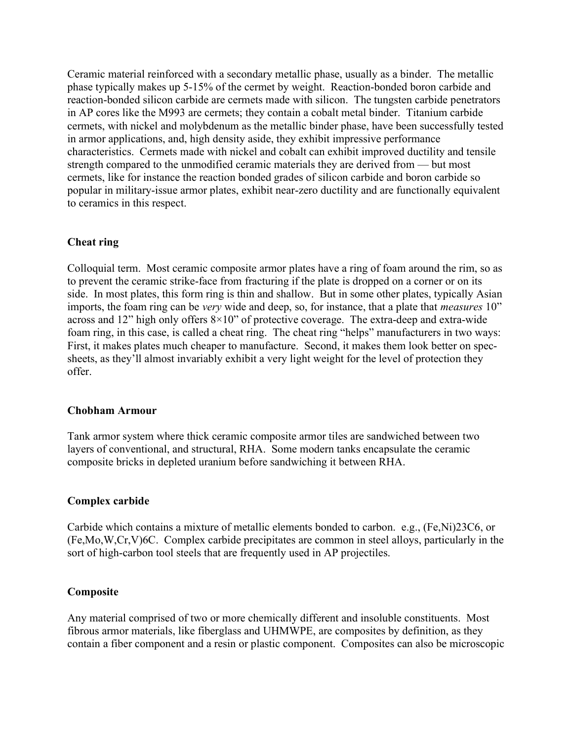Ceramic material reinforced with a secondary metallic phase, usually as a binder. The metallic phase typically makes up 5-15% of the cermet by weight. Reaction-bonded boron carbide and reaction-bonded silicon carbide are cermets made with silicon. The tungsten carbide penetrators in AP cores like the M993 are cermets; they contain a cobalt metal binder. Titanium carbide cermets, with nickel and molybdenum as the metallic binder phase, have been successfully tested in armor applications, and, high density aside, they exhibit impressive performance characteristics. Cermets made with nickel and cobalt can exhibit improved ductility and tensile strength compared to the unmodified ceramic materials they are derived from — but most cermets, like for instance the reaction bonded grades of silicon carbide and boron carbide so popular in military-issue armor plates, exhibit near-zero ductility and are functionally equivalent to ceramics in this respect.

#### Cheat ring

Colloquial term. Most ceramic composite armor plates have a ring of foam around the rim, so as to prevent the ceramic strike-face from fracturing if the plate is dropped on a corner or on its side. In most plates, this form ring is thin and shallow. But in some other plates, typically Asian imports, the foam ring can be *very* wide and deep, so, for instance, that a plate that *measures* 10" across and 12" high only offers 8×10" of protective coverage. The extra-deep and extra-wide foam ring, in this case, is called a cheat ring. The cheat ring "helps" manufacturers in two ways: First, it makes plates much cheaper to manufacture. Second, it makes them look better on specsheets, as they'll almost invariably exhibit a very light weight for the level of protection they offer.

#### Chobham Armour

Tank armor system where thick ceramic composite armor tiles are sandwiched between two layers of conventional, and structural, RHA. Some modern tanks encapsulate the ceramic composite bricks in depleted uranium before sandwiching it between RHA.

#### Complex carbide

Carbide which contains a mixture of metallic elements bonded to carbon. e.g., (Fe,Ni)23C6, or (Fe,Mo,W,Cr,V)6C. Complex carbide precipitates are common in steel alloys, particularly in the sort of high-carbon tool steels that are frequently used in AP projectiles.

#### Composite

Any material comprised of two or more chemically different and insoluble constituents. Most fibrous armor materials, like fiberglass and UHMWPE, are composites by definition, as they contain a fiber component and a resin or plastic component. Composites can also be microscopic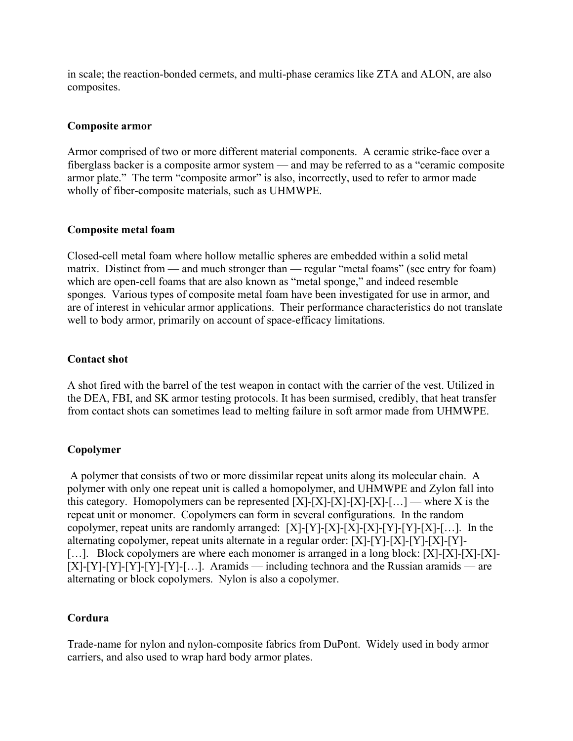in scale; the reaction-bonded cermets, and multi-phase ceramics like ZTA and ALON, are also composites.

## Composite armor

Armor comprised of two or more different material components. A ceramic strike-face over a fiberglass backer is a composite armor system — and may be referred to as a "ceramic composite armor plate." The term "composite armor" is also, incorrectly, used to refer to armor made wholly of fiber-composite materials, such as UHMWPE.

## Composite metal foam

Closed-cell metal foam where hollow metallic spheres are embedded within a solid metal matrix. Distinct from — and much stronger than — regular "metal foams" (see entry for foam) which are open-cell foams that are also known as "metal sponge," and indeed resemble sponges. Various types of composite metal foam have been investigated for use in armor, and are of interest in vehicular armor applications. Their performance characteristics do not translate well to body armor, primarily on account of space-efficacy limitations.

## Contact shot

A shot fired with the barrel of the test weapon in contact with the carrier of the vest. Utilized in the DEA, FBI, and SK armor testing protocols. It has been surmised, credibly, that heat transfer from contact shots can sometimes lead to melting failure in soft armor made from UHMWPE.

# Copolymer

 A polymer that consists of two or more dissimilar repeat units along its molecular chain. A polymer with only one repeat unit is called a homopolymer, and UHMWPE and Zylon fall into this category. Homopolymers can be represented  $[X]-[X]-[X]-[X]-[X]-[...]$  — where X is the repeat unit or monomer. Copolymers can form in several configurations. In the random copolymer, repeat units are randomly arranged:  $[X]-[Y]-[X]-[X]-[Y]-[Y]-[X]-[...]$ . In the alternating copolymer, repeat units alternate in a regular order: [X]-[Y]-[X]-[Y]-[X]-[Y]- [...]. Block copolymers are where each monomer is arranged in a long block: [X]-[X]-[X]-[X]-[X]- $[X]-[Y]-[Y]-[Y]-[Y]-[...]$ . Aramids — including technora and the Russian aramids — are alternating or block copolymers. Nylon is also a copolymer.

# Cordura

Trade-name for nylon and nylon-composite fabrics from DuPont. Widely used in body armor carriers, and also used to wrap hard body armor plates.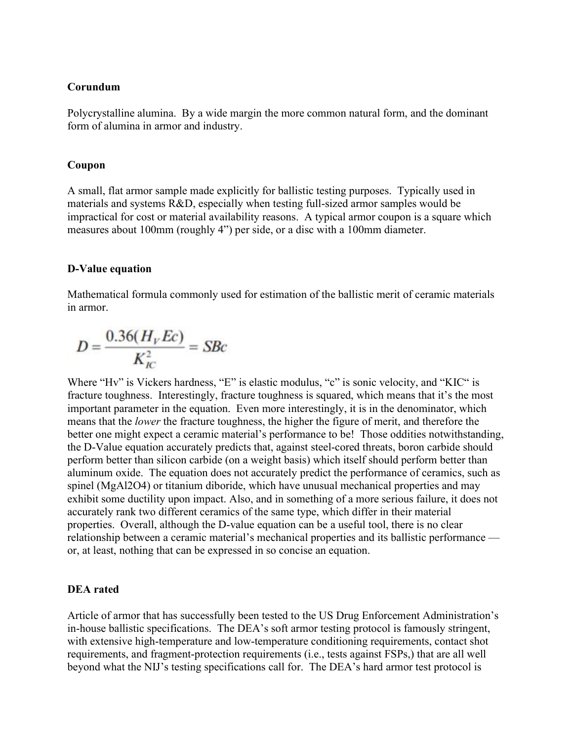#### Corundum

Polycrystalline alumina. By a wide margin the more common natural form, and the dominant form of alumina in armor and industry.

#### Coupon

A small, flat armor sample made explicitly for ballistic testing purposes. Typically used in materials and systems R&D, especially when testing full-sized armor samples would be impractical for cost or material availability reasons. A typical armor coupon is a square which measures about 100mm (roughly 4") per side, or a disc with a 100mm diameter.

#### D-Value equation

Mathematical formula commonly used for estimation of the ballistic merit of ceramic materials in armor.

$$
D = \frac{0.36(H_V Ec)}{K_{IC}^2} = S Bc
$$

Where "Hv" is Vickers hardness, "E" is elastic modulus, "c" is sonic velocity, and "KIC" is fracture toughness. Interestingly, fracture toughness is squared, which means that it's the most important parameter in the equation. Even more interestingly, it is in the denominator, which means that the lower the fracture toughness, the higher the figure of merit, and therefore the better one might expect a ceramic material's performance to be! Those oddities notwithstanding, the D-Value equation accurately predicts that, against steel-cored threats, boron carbide should perform better than silicon carbide (on a weight basis) which itself should perform better than aluminum oxide. The equation does not accurately predict the performance of ceramics, such as spinel (MgAl2O4) or titanium diboride, which have unusual mechanical properties and may exhibit some ductility upon impact. Also, and in something of a more serious failure, it does not accurately rank two different ceramics of the same type, which differ in their material properties. Overall, although the D-value equation can be a useful tool, there is no clear relationship between a ceramic material's mechanical properties and its ballistic performance or, at least, nothing that can be expressed in so concise an equation.

#### DEA rated

Article of armor that has successfully been tested to the US Drug Enforcement Administration's in-house ballistic specifications. The DEA's soft armor testing protocol is famously stringent, with extensive high-temperature and low-temperature conditioning requirements, contact shot requirements, and fragment-protection requirements (i.e., tests against FSPs,) that are all well beyond what the NIJ's testing specifications call for. The DEA's hard armor test protocol is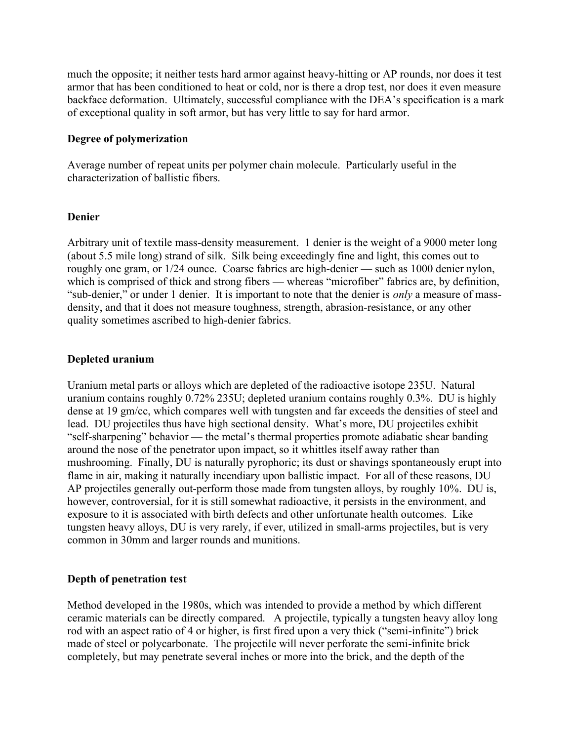much the opposite; it neither tests hard armor against heavy-hitting or AP rounds, nor does it test armor that has been conditioned to heat or cold, nor is there a drop test, nor does it even measure backface deformation. Ultimately, successful compliance with the DEA's specification is a mark of exceptional quality in soft armor, but has very little to say for hard armor.

## Degree of polymerization

Average number of repeat units per polymer chain molecule. Particularly useful in the characterization of ballistic fibers.

## Denier

Arbitrary unit of textile mass-density measurement. 1 denier is the weight of a 9000 meter long (about 5.5 mile long) strand of silk. Silk being exceedingly fine and light, this comes out to roughly one gram, or 1/24 ounce. Coarse fabrics are high-denier — such as 1000 denier nylon, which is comprised of thick and strong fibers — whereas "microfiber" fabrics are, by definition, "sub-denier," or under 1 denier. It is important to note that the denier is *only* a measure of massdensity, and that it does not measure toughness, strength, abrasion-resistance, or any other quality sometimes ascribed to high-denier fabrics.

## Depleted uranium

Uranium metal parts or alloys which are depleted of the radioactive isotope 235U. Natural uranium contains roughly 0.72% 235U; depleted uranium contains roughly 0.3%. DU is highly dense at 19 gm/cc, which compares well with tungsten and far exceeds the densities of steel and lead. DU projectiles thus have high sectional density. What's more, DU projectiles exhibit "self-sharpening" behavior — the metal's thermal properties promote adiabatic shear banding around the nose of the penetrator upon impact, so it whittles itself away rather than mushrooming. Finally, DU is naturally pyrophoric; its dust or shavings spontaneously erupt into flame in air, making it naturally incendiary upon ballistic impact. For all of these reasons, DU AP projectiles generally out-perform those made from tungsten alloys, by roughly 10%. DU is, however, controversial, for it is still somewhat radioactive, it persists in the environment, and exposure to it is associated with birth defects and other unfortunate health outcomes. Like tungsten heavy alloys, DU is very rarely, if ever, utilized in small-arms projectiles, but is very common in 30mm and larger rounds and munitions.

# Depth of penetration test

Method developed in the 1980s, which was intended to provide a method by which different ceramic materials can be directly compared. A projectile, typically a tungsten heavy alloy long rod with an aspect ratio of 4 or higher, is first fired upon a very thick ("semi-infinite") brick made of steel or polycarbonate. The projectile will never perforate the semi-infinite brick completely, but may penetrate several inches or more into the brick, and the depth of the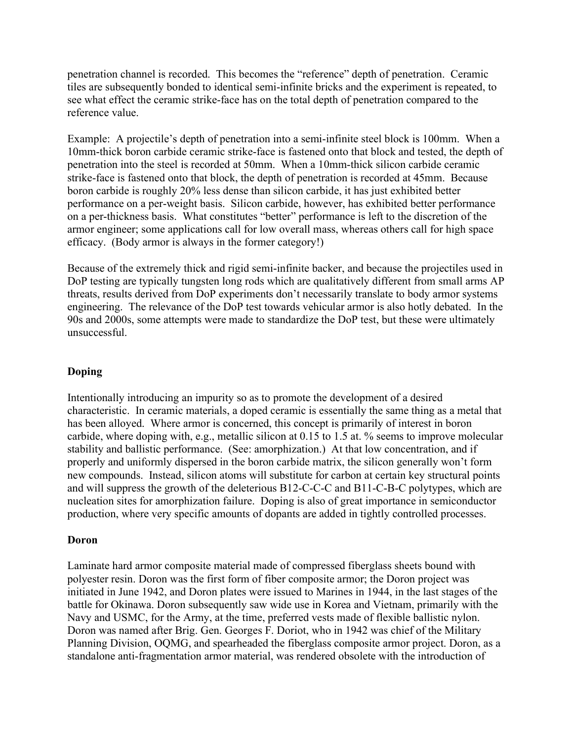penetration channel is recorded. This becomes the "reference" depth of penetration. Ceramic tiles are subsequently bonded to identical semi-infinite bricks and the experiment is repeated, to see what effect the ceramic strike-face has on the total depth of penetration compared to the reference value.

Example: A projectile's depth of penetration into a semi-infinite steel block is 100mm. When a 10mm-thick boron carbide ceramic strike-face is fastened onto that block and tested, the depth of penetration into the steel is recorded at 50mm. When a 10mm-thick silicon carbide ceramic strike-face is fastened onto that block, the depth of penetration is recorded at 45mm. Because boron carbide is roughly 20% less dense than silicon carbide, it has just exhibited better performance on a per-weight basis. Silicon carbide, however, has exhibited better performance on a per-thickness basis. What constitutes "better" performance is left to the discretion of the armor engineer; some applications call for low overall mass, whereas others call for high space efficacy. (Body armor is always in the former category!)

Because of the extremely thick and rigid semi-infinite backer, and because the projectiles used in DoP testing are typically tungsten long rods which are qualitatively different from small arms AP threats, results derived from DoP experiments don't necessarily translate to body armor systems engineering. The relevance of the DoP test towards vehicular armor is also hotly debated. In the 90s and 2000s, some attempts were made to standardize the DoP test, but these were ultimately unsuccessful.

# Doping

Intentionally introducing an impurity so as to promote the development of a desired characteristic. In ceramic materials, a doped ceramic is essentially the same thing as a metal that has been alloyed. Where armor is concerned, this concept is primarily of interest in boron carbide, where doping with, e.g., metallic silicon at 0.15 to 1.5 at. % seems to improve molecular stability and ballistic performance. (See: amorphization.) At that low concentration, and if properly and uniformly dispersed in the boron carbide matrix, the silicon generally won't form new compounds. Instead, silicon atoms will substitute for carbon at certain key structural points and will suppress the growth of the deleterious B12-C-C-C and B11-C-B-C polytypes, which are nucleation sites for amorphization failure. Doping is also of great importance in semiconductor production, where very specific amounts of dopants are added in tightly controlled processes.

## Doron

Laminate hard armor composite material made of compressed fiberglass sheets bound with polyester resin. Doron was the first form of fiber composite armor; the Doron project was initiated in June 1942, and Doron plates were issued to Marines in 1944, in the last stages of the battle for Okinawa. Doron subsequently saw wide use in Korea and Vietnam, primarily with the Navy and USMC, for the Army, at the time, preferred vests made of flexible ballistic nylon. Doron was named after Brig. Gen. Georges F. Doriot, who in 1942 was chief of the Military Planning Division, OQMG, and spearheaded the fiberglass composite armor project. Doron, as a standalone anti-fragmentation armor material, was rendered obsolete with the introduction of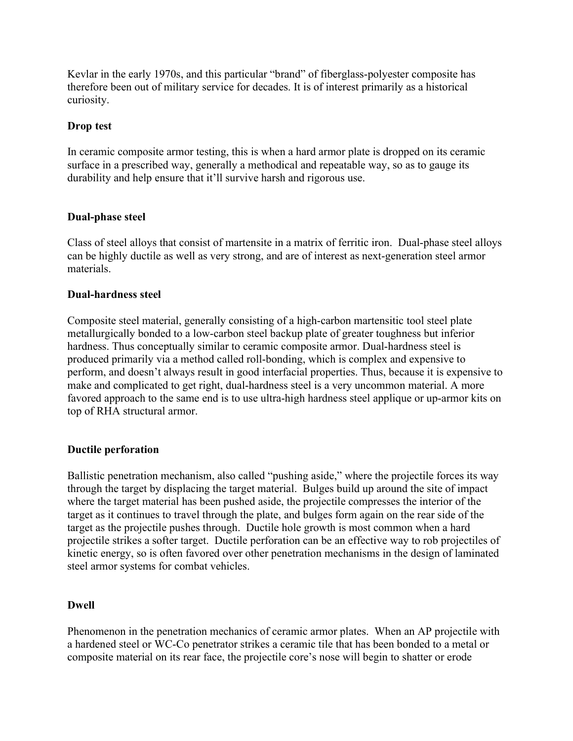Kevlar in the early 1970s, and this particular "brand" of fiberglass-polyester composite has therefore been out of military service for decades. It is of interest primarily as a historical curiosity.

## Drop test

In ceramic composite armor testing, this is when a hard armor plate is dropped on its ceramic surface in a prescribed way, generally a methodical and repeatable way, so as to gauge its durability and help ensure that it'll survive harsh and rigorous use.

## Dual-phase steel

Class of steel alloys that consist of martensite in a matrix of ferritic iron. Dual-phase steel alloys can be highly ductile as well as very strong, and are of interest as next-generation steel armor materials.

## Dual-hardness steel

Composite steel material, generally consisting of a high-carbon martensitic tool steel plate metallurgically bonded to a low-carbon steel backup plate of greater toughness but inferior hardness. Thus conceptually similar to ceramic composite armor. Dual-hardness steel is produced primarily via a method called roll-bonding, which is complex and expensive to perform, and doesn't always result in good interfacial properties. Thus, because it is expensive to make and complicated to get right, dual-hardness steel is a very uncommon material. A more favored approach to the same end is to use ultra-high hardness steel applique or up-armor kits on top of RHA structural armor.

## Ductile perforation

Ballistic penetration mechanism, also called "pushing aside," where the projectile forces its way through the target by displacing the target material. Bulges build up around the site of impact where the target material has been pushed aside, the projectile compresses the interior of the target as it continues to travel through the plate, and bulges form again on the rear side of the target as the projectile pushes through. Ductile hole growth is most common when a hard projectile strikes a softer target. Ductile perforation can be an effective way to rob projectiles of kinetic energy, so is often favored over other penetration mechanisms in the design of laminated steel armor systems for combat vehicles.

## Dwell

Phenomenon in the penetration mechanics of ceramic armor plates. When an AP projectile with a hardened steel or WC-Co penetrator strikes a ceramic tile that has been bonded to a metal or composite material on its rear face, the projectile core's nose will begin to shatter or erode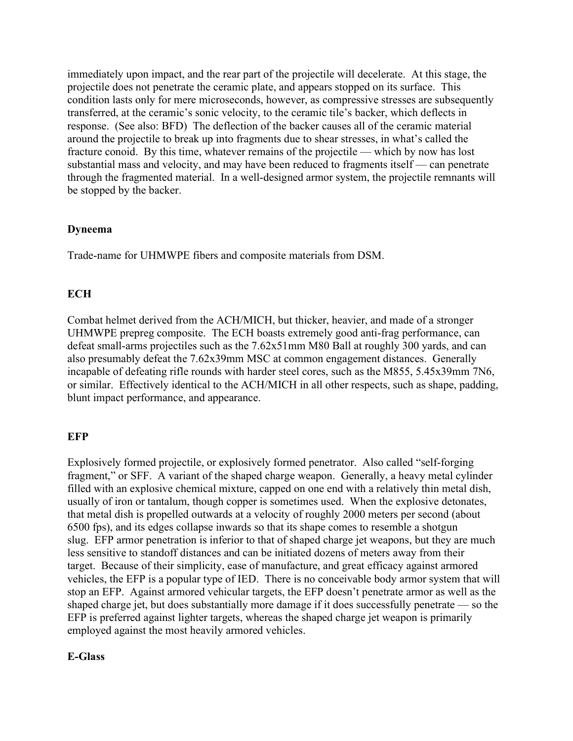immediately upon impact, and the rear part of the projectile will decelerate. At this stage, the projectile does not penetrate the ceramic plate, and appears stopped on its surface. This condition lasts only for mere microseconds, however, as compressive stresses are subsequently transferred, at the ceramic's sonic velocity, to the ceramic tile's backer, which deflects in response. (See also: BFD) The deflection of the backer causes all of the ceramic material around the projectile to break up into fragments due to shear stresses, in what's called the fracture conoid. By this time, whatever remains of the projectile — which by now has lost substantial mass and velocity, and may have been reduced to fragments itself — can penetrate through the fragmented material. In a well-designed armor system, the projectile remnants will be stopped by the backer.

## Dyneema

Trade-name for UHMWPE fibers and composite materials from DSM.

# **ECH**

Combat helmet derived from the ACH/MICH, but thicker, heavier, and made of a stronger UHMWPE prepreg composite. The ECH boasts extremely good anti-frag performance, can defeat small-arms projectiles such as the 7.62x51mm M80 Ball at roughly 300 yards, and can also presumably defeat the 7.62x39mm MSC at common engagement distances. Generally incapable of defeating rifle rounds with harder steel cores, such as the M855, 5.45x39mm 7N6, or similar. Effectively identical to the ACH/MICH in all other respects, such as shape, padding, blunt impact performance, and appearance.

# **EFP**

Explosively formed projectile, or explosively formed penetrator. Also called "self-forging fragment," or SFF. A variant of the shaped charge weapon. Generally, a heavy metal cylinder filled with an explosive chemical mixture, capped on one end with a relatively thin metal dish, usually of iron or tantalum, though copper is sometimes used. When the explosive detonates, that metal dish is propelled outwards at a velocity of roughly 2000 meters per second (about 6500 fps), and its edges collapse inwards so that its shape comes to resemble a shotgun slug. EFP armor penetration is inferior to that of shaped charge jet weapons, but they are much less sensitive to standoff distances and can be initiated dozens of meters away from their target. Because of their simplicity, ease of manufacture, and great efficacy against armored vehicles, the EFP is a popular type of IED. There is no conceivable body armor system that will stop an EFP. Against armored vehicular targets, the EFP doesn't penetrate armor as well as the shaped charge jet, but does substantially more damage if it does successfully penetrate — so the EFP is preferred against lighter targets, whereas the shaped charge jet weapon is primarily employed against the most heavily armored vehicles.

## E-Glass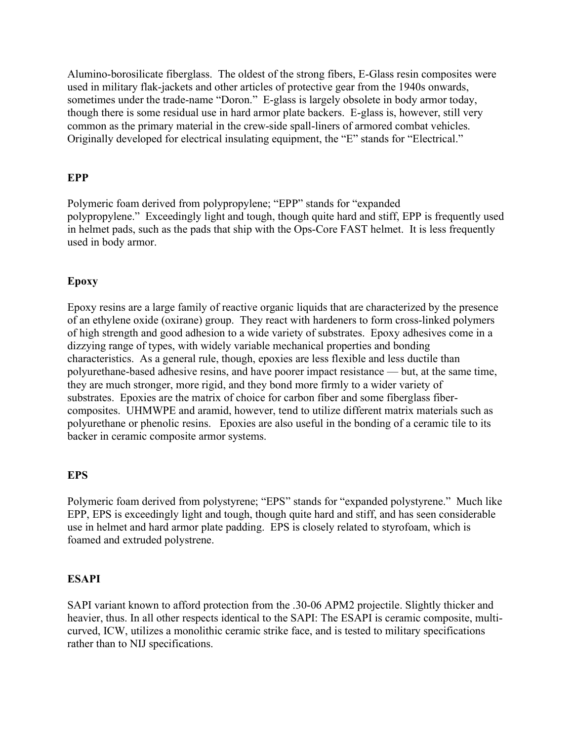Alumino-borosilicate fiberglass. The oldest of the strong fibers, E-Glass resin composites were used in military flak-jackets and other articles of protective gear from the 1940s onwards, sometimes under the trade-name "Doron." E-glass is largely obsolete in body armor today, though there is some residual use in hard armor plate backers. E-glass is, however, still very common as the primary material in the crew-side spall-liners of armored combat vehicles. Originally developed for electrical insulating equipment, the "E" stands for "Electrical."

## EPP

Polymeric foam derived from polypropylene; "EPP" stands for "expanded polypropylene." Exceedingly light and tough, though quite hard and stiff, EPP is frequently used in helmet pads, such as the pads that ship with the Ops-Core FAST helmet. It is less frequently used in body armor.

## Epoxy

Epoxy resins are a large family of reactive organic liquids that are characterized by the presence of an ethylene oxide (oxirane) group. They react with hardeners to form cross-linked polymers of high strength and good adhesion to a wide variety of substrates. Epoxy adhesives come in a dizzying range of types, with widely variable mechanical properties and bonding characteristics. As a general rule, though, epoxies are less flexible and less ductile than polyurethane-based adhesive resins, and have poorer impact resistance — but, at the same time, they are much stronger, more rigid, and they bond more firmly to a wider variety of substrates. Epoxies are the matrix of choice for carbon fiber and some fiberglass fibercomposites. UHMWPE and aramid, however, tend to utilize different matrix materials such as polyurethane or phenolic resins. Epoxies are also useful in the bonding of a ceramic tile to its backer in ceramic composite armor systems.

## EPS

Polymeric foam derived from polystyrene; "EPS" stands for "expanded polystyrene." Much like EPP, EPS is exceedingly light and tough, though quite hard and stiff, and has seen considerable use in helmet and hard armor plate padding. EPS is closely related to styrofoam, which is foamed and extruded polystrene.

## ESAPI

SAPI variant known to afford protection from the .30-06 APM2 projectile. Slightly thicker and heavier, thus. In all other respects identical to the SAPI: The ESAPI is ceramic composite, multicurved, ICW, utilizes a monolithic ceramic strike face, and is tested to military specifications rather than to NIJ specifications.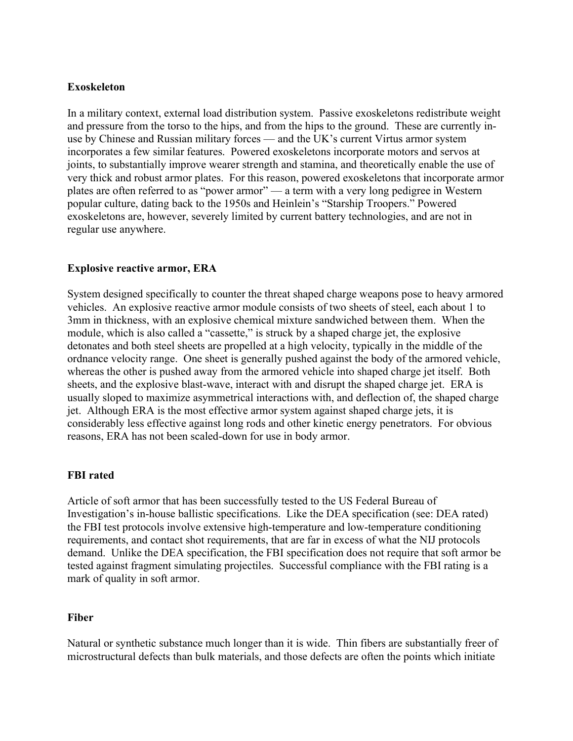## Exoskeleton

In a military context, external load distribution system. Passive exoskeletons redistribute weight and pressure from the torso to the hips, and from the hips to the ground. These are currently inuse by Chinese and Russian military forces — and the UK's current Virtus armor system incorporates a few similar features. Powered exoskeletons incorporate motors and servos at joints, to substantially improve wearer strength and stamina, and theoretically enable the use of very thick and robust armor plates. For this reason, powered exoskeletons that incorporate armor plates are often referred to as "power armor" — a term with a very long pedigree in Western popular culture, dating back to the 1950s and Heinlein's "Starship Troopers." Powered exoskeletons are, however, severely limited by current battery technologies, and are not in regular use anywhere.

## Explosive reactive armor, ERA

System designed specifically to counter the threat shaped charge weapons pose to heavy armored vehicles. An explosive reactive armor module consists of two sheets of steel, each about 1 to 3mm in thickness, with an explosive chemical mixture sandwiched between them. When the module, which is also called a "cassette," is struck by a shaped charge jet, the explosive detonates and both steel sheets are propelled at a high velocity, typically in the middle of the ordnance velocity range. One sheet is generally pushed against the body of the armored vehicle, whereas the other is pushed away from the armored vehicle into shaped charge jet itself. Both sheets, and the explosive blast-wave, interact with and disrupt the shaped charge jet. ERA is usually sloped to maximize asymmetrical interactions with, and deflection of, the shaped charge jet. Although ERA is the most effective armor system against shaped charge jets, it is considerably less effective against long rods and other kinetic energy penetrators. For obvious reasons, ERA has not been scaled-down for use in body armor.

## FBI rated

Article of soft armor that has been successfully tested to the US Federal Bureau of Investigation's in-house ballistic specifications. Like the DEA specification (see: DEA rated) the FBI test protocols involve extensive high-temperature and low-temperature conditioning requirements, and contact shot requirements, that are far in excess of what the NIJ protocols demand. Unlike the DEA specification, the FBI specification does not require that soft armor be tested against fragment simulating projectiles. Successful compliance with the FBI rating is a mark of quality in soft armor.

## Fiber

Natural or synthetic substance much longer than it is wide. Thin fibers are substantially freer of microstructural defects than bulk materials, and those defects are often the points which initiate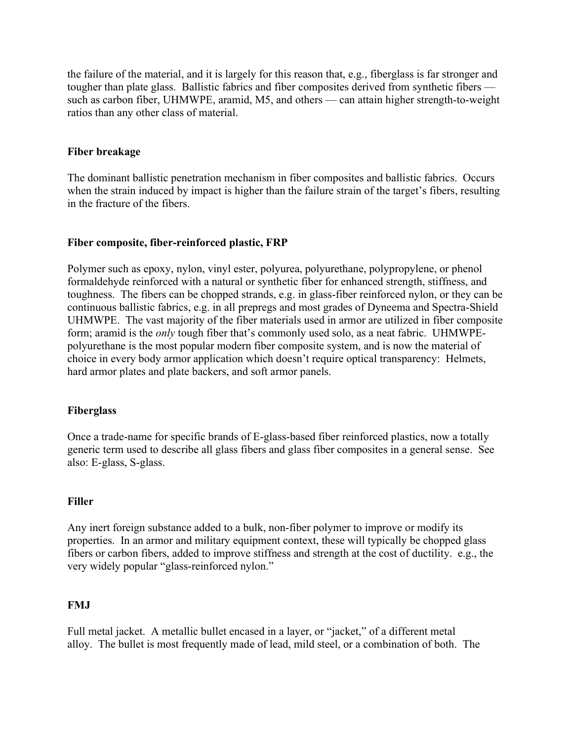the failure of the material, and it is largely for this reason that, e.g., fiberglass is far stronger and tougher than plate glass. Ballistic fabrics and fiber composites derived from synthetic fibers such as carbon fiber, UHMWPE, aramid, M5, and others — can attain higher strength-to-weight ratios than any other class of material.

## Fiber breakage

The dominant ballistic penetration mechanism in fiber composites and ballistic fabrics. Occurs when the strain induced by impact is higher than the failure strain of the target's fibers, resulting in the fracture of the fibers.

## Fiber composite, fiber-reinforced plastic, FRP

Polymer such as epoxy, nylon, vinyl ester, polyurea, polyurethane, polypropylene, or phenol formaldehyde reinforced with a natural or synthetic fiber for enhanced strength, stiffness, and toughness. The fibers can be chopped strands, e.g. in glass-fiber reinforced nylon, or they can be continuous ballistic fabrics, e.g. in all prepregs and most grades of Dyneema and Spectra-Shield UHMWPE. The vast majority of the fiber materials used in armor are utilized in fiber composite form; aramid is the only tough fiber that's commonly used solo, as a neat fabric. UHMWPEpolyurethane is the most popular modern fiber composite system, and is now the material of choice in every body armor application which doesn't require optical transparency: Helmets, hard armor plates and plate backers, and soft armor panels.

## Fiberglass

Once a trade-name for specific brands of E-glass-based fiber reinforced plastics, now a totally generic term used to describe all glass fibers and glass fiber composites in a general sense. See also: E-glass, S-glass.

## Filler

Any inert foreign substance added to a bulk, non-fiber polymer to improve or modify its properties. In an armor and military equipment context, these will typically be chopped glass fibers or carbon fibers, added to improve stiffness and strength at the cost of ductility. e.g., the very widely popular "glass-reinforced nylon."

## FMJ

Full metal jacket. A metallic bullet encased in a layer, or "jacket," of a different metal alloy. The bullet is most frequently made of lead, mild steel, or a combination of both. The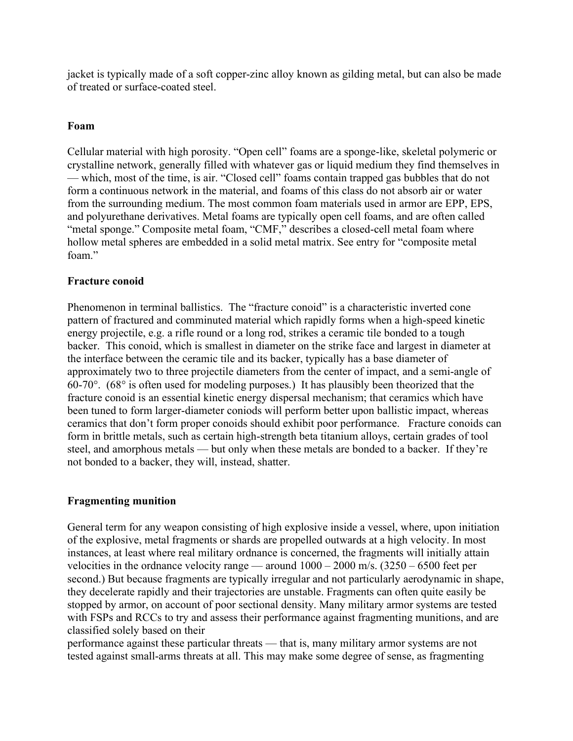jacket is typically made of a soft copper-zinc alloy known as gilding metal, but can also be made of treated or surface-coated steel.

## Foam

Cellular material with high porosity. "Open cell" foams are a sponge-like, skeletal polymeric or crystalline network, generally filled with whatever gas or liquid medium they find themselves in — which, most of the time, is air. "Closed cell" foams contain trapped gas bubbles that do not form a continuous network in the material, and foams of this class do not absorb air or water from the surrounding medium. The most common foam materials used in armor are EPP, EPS, and polyurethane derivatives. Metal foams are typically open cell foams, and are often called "metal sponge." Composite metal foam, "CMF," describes a closed-cell metal foam where hollow metal spheres are embedded in a solid metal matrix. See entry for "composite metal foam"

## Fracture conoid

Phenomenon in terminal ballistics. The "fracture conoid" is a characteristic inverted cone pattern of fractured and comminuted material which rapidly forms when a high-speed kinetic energy projectile, e.g. a rifle round or a long rod, strikes a ceramic tile bonded to a tough backer. This conoid, which is smallest in diameter on the strike face and largest in diameter at the interface between the ceramic tile and its backer, typically has a base diameter of approximately two to three projectile diameters from the center of impact, and a semi-angle of 60-70 $^{\circ}$ . (68 $^{\circ}$  is often used for modeling purposes.) It has plausibly been theorized that the fracture conoid is an essential kinetic energy dispersal mechanism; that ceramics which have been tuned to form larger-diameter coniods will perform better upon ballistic impact, whereas ceramics that don't form proper conoids should exhibit poor performance. Fracture conoids can form in brittle metals, such as certain high-strength beta titanium alloys, certain grades of tool steel, and amorphous metals — but only when these metals are bonded to a backer. If they're not bonded to a backer, they will, instead, shatter.

## Fragmenting munition

General term for any weapon consisting of high explosive inside a vessel, where, upon initiation of the explosive, metal fragments or shards are propelled outwards at a high velocity. In most instances, at least where real military ordnance is concerned, the fragments will initially attain velocities in the ordnance velocity range — around  $1000 - 2000$  m/s.  $(3250 - 6500$  feet per second.) But because fragments are typically irregular and not particularly aerodynamic in shape, they decelerate rapidly and their trajectories are unstable. Fragments can often quite easily be stopped by armor, on account of poor sectional density. Many military armor systems are tested with FSPs and RCCs to try and assess their performance against fragmenting munitions, and are classified solely based on their

performance against these particular threats — that is, many military armor systems are not tested against small-arms threats at all. This may make some degree of sense, as fragmenting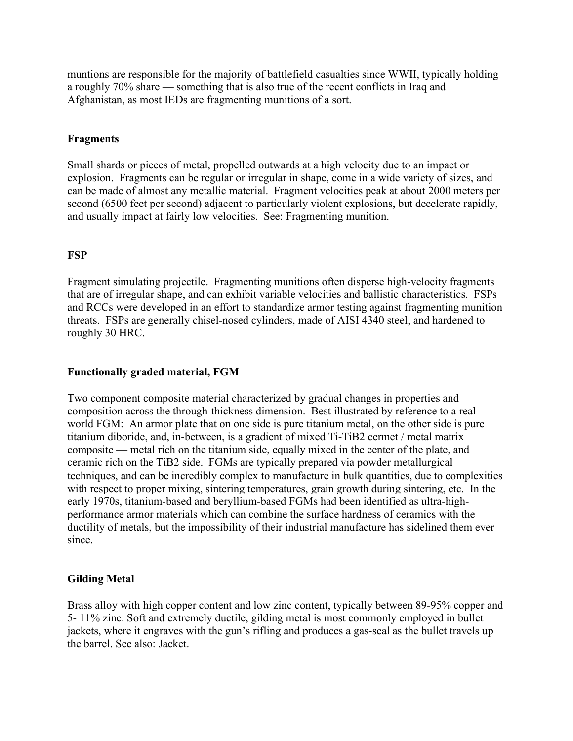muntions are responsible for the majority of battlefield casualties since WWII, typically holding a roughly 70% share — something that is also true of the recent conflicts in Iraq and Afghanistan, as most IEDs are fragmenting munitions of a sort.

## Fragments

Small shards or pieces of metal, propelled outwards at a high velocity due to an impact or explosion. Fragments can be regular or irregular in shape, come in a wide variety of sizes, and can be made of almost any metallic material. Fragment velocities peak at about 2000 meters per second (6500 feet per second) adjacent to particularly violent explosions, but decelerate rapidly, and usually impact at fairly low velocities. See: Fragmenting munition.

## **FSP**

Fragment simulating projectile. Fragmenting munitions often disperse high-velocity fragments that are of irregular shape, and can exhibit variable velocities and ballistic characteristics. FSPs and RCCs were developed in an effort to standardize armor testing against fragmenting munition threats. FSPs are generally chisel-nosed cylinders, made of AISI 4340 steel, and hardened to roughly 30 HRC.

## Functionally graded material, FGM

Two component composite material characterized by gradual changes in properties and composition across the through-thickness dimension. Best illustrated by reference to a realworld FGM: An armor plate that on one side is pure titanium metal, on the other side is pure titanium diboride, and, in-between, is a gradient of mixed Ti-TiB2 cermet / metal matrix composite — metal rich on the titanium side, equally mixed in the center of the plate, and ceramic rich on the TiB2 side. FGMs are typically prepared via powder metallurgical techniques, and can be incredibly complex to manufacture in bulk quantities, due to complexities with respect to proper mixing, sintering temperatures, grain growth during sintering, etc. In the early 1970s, titanium-based and beryllium-based FGMs had been identified as ultra-highperformance armor materials which can combine the surface hardness of ceramics with the ductility of metals, but the impossibility of their industrial manufacture has sidelined them ever since.

# Gilding Metal

Brass alloy with high copper content and low zinc content, typically between 89-95% copper and 5- 11% zinc. Soft and extremely ductile, gilding metal is most commonly employed in bullet jackets, where it engraves with the gun's rifling and produces a gas-seal as the bullet travels up the barrel. See also: Jacket.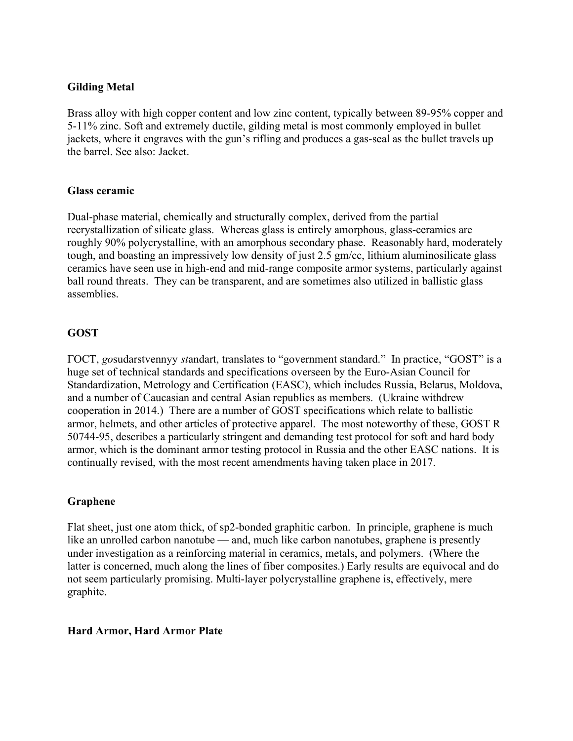## Gilding Metal

Brass alloy with high copper content and low zinc content, typically between 89-95% copper and 5-11% zinc. Soft and extremely ductile, gilding metal is most commonly employed in bullet jackets, where it engraves with the gun's rifling and produces a gas-seal as the bullet travels up the barrel. See also: Jacket.

## Glass ceramic

Dual-phase material, chemically and structurally complex, derived from the partial recrystallization of silicate glass. Whereas glass is entirely amorphous, glass-ceramics are roughly 90% polycrystalline, with an amorphous secondary phase. Reasonably hard, moderately tough, and boasting an impressively low density of just 2.5 gm/cc, lithium aluminosilicate glass ceramics have seen use in high-end and mid-range composite armor systems, particularly against ball round threats. They can be transparent, and are sometimes also utilized in ballistic glass assemblies.

## GOST

ГОСТ, gosudarstvennyy standart, translates to "government standard." In practice, "GOST" is a huge set of technical standards and specifications overseen by the Euro-Asian Council for Standardization, Metrology and Certification (EASC), which includes Russia, Belarus, Moldova, and a number of Caucasian and central Asian republics as members. (Ukraine withdrew cooperation in 2014.) There are a number of GOST specifications which relate to ballistic armor, helmets, and other articles of protective apparel. The most noteworthy of these, GOST R 50744-95, describes a particularly stringent and demanding test protocol for soft and hard body armor, which is the dominant armor testing protocol in Russia and the other EASC nations. It is continually revised, with the most recent amendments having taken place in 2017.

# Graphene

Flat sheet, just one atom thick, of sp2-bonded graphitic carbon. In principle, graphene is much like an unrolled carbon nanotube — and, much like carbon nanotubes, graphene is presently under investigation as a reinforcing material in ceramics, metals, and polymers. (Where the latter is concerned, much along the lines of fiber composites.) Early results are equivocal and do not seem particularly promising. Multi-layer polycrystalline graphene is, effectively, mere graphite.

## Hard Armor, Hard Armor Plate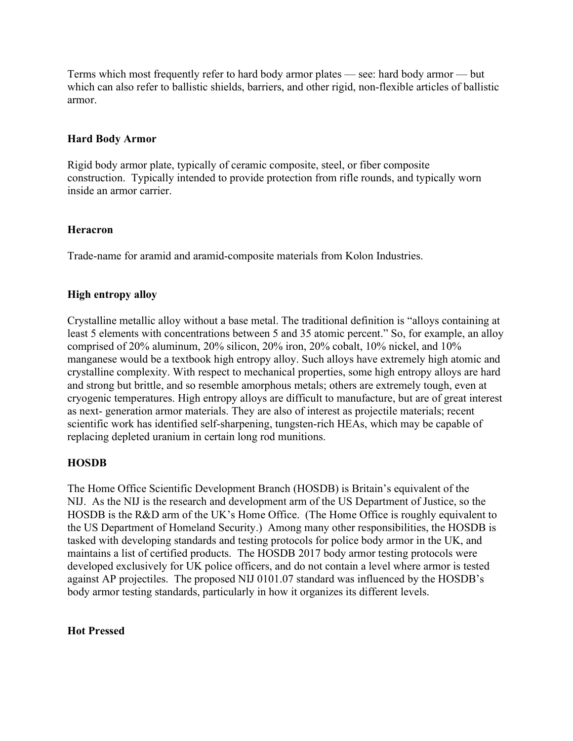Terms which most frequently refer to hard body armor plates — see: hard body armor — but which can also refer to ballistic shields, barriers, and other rigid, non-flexible articles of ballistic armor.

## Hard Body Armor

Rigid body armor plate, typically of ceramic composite, steel, or fiber composite construction. Typically intended to provide protection from rifle rounds, and typically worn inside an armor carrier.

## Heracron

Trade-name for aramid and aramid-composite materials from Kolon Industries.

# High entropy alloy

Crystalline metallic alloy without a base metal. The traditional definition is "alloys containing at least 5 elements with concentrations between 5 and 35 atomic percent." So, for example, an alloy comprised of 20% aluminum, 20% silicon, 20% iron, 20% cobalt, 10% nickel, and 10% manganese would be a textbook high entropy alloy. Such alloys have extremely high atomic and crystalline complexity. With respect to mechanical properties, some high entropy alloys are hard and strong but brittle, and so resemble amorphous metals; others are extremely tough, even at cryogenic temperatures. High entropy alloys are difficult to manufacture, but are of great interest as next- generation armor materials. They are also of interest as projectile materials; recent scientific work has identified self-sharpening, tungsten-rich HEAs, which may be capable of replacing depleted uranium in certain long rod munitions.

# HOSDB

The Home Office Scientific Development Branch (HOSDB) is Britain's equivalent of the NIJ. As the NIJ is the research and development arm of the US Department of Justice, so the HOSDB is the R&D arm of the UK's Home Office. (The Home Office is roughly equivalent to the US Department of Homeland Security.) Among many other responsibilities, the HOSDB is tasked with developing standards and testing protocols for police body armor in the UK, and maintains a list of certified products. The HOSDB 2017 body armor testing protocols were developed exclusively for UK police officers, and do not contain a level where armor is tested against AP projectiles. The proposed NIJ 0101.07 standard was influenced by the HOSDB's body armor testing standards, particularly in how it organizes its different levels.

## Hot Pressed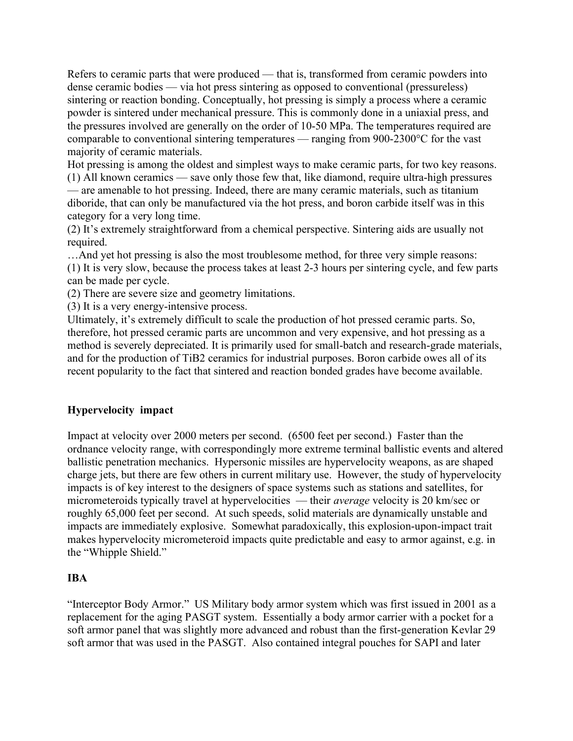Refers to ceramic parts that were produced — that is, transformed from ceramic powders into dense ceramic bodies — via hot press sintering as opposed to conventional (pressureless) sintering or reaction bonding. Conceptually, hot pressing is simply a process where a ceramic powder is sintered under mechanical pressure. This is commonly done in a uniaxial press, and the pressures involved are generally on the order of 10-50 MPa. The temperatures required are comparable to conventional sintering temperatures — ranging from 900-2300°C for the vast majority of ceramic materials.

Hot pressing is among the oldest and simplest ways to make ceramic parts, for two key reasons. (1) All known ceramics — save only those few that, like diamond, require ultra-high pressures — are amenable to hot pressing. Indeed, there are many ceramic materials, such as titanium diboride, that can only be manufactured via the hot press, and boron carbide itself was in this category for a very long time.

(2) It's extremely straightforward from a chemical perspective. Sintering aids are usually not required.

…And yet hot pressing is also the most troublesome method, for three very simple reasons: (1) It is very slow, because the process takes at least 2-3 hours per sintering cycle, and few parts can be made per cycle.

(2) There are severe size and geometry limitations.

(3) It is a very energy-intensive process.

Ultimately, it's extremely difficult to scale the production of hot pressed ceramic parts. So, therefore, hot pressed ceramic parts are uncommon and very expensive, and hot pressing as a method is severely depreciated. It is primarily used for small-batch and research-grade materials, and for the production of TiB2 ceramics for industrial purposes. Boron carbide owes all of its recent popularity to the fact that sintered and reaction bonded grades have become available.

# Hypervelocity impact

Impact at velocity over 2000 meters per second. (6500 feet per second.) Faster than the ordnance velocity range, with correspondingly more extreme terminal ballistic events and altered ballistic penetration mechanics. Hypersonic missiles are hypervelocity weapons, as are shaped charge jets, but there are few others in current military use. However, the study of hypervelocity impacts is of key interest to the designers of space systems such as stations and satellites, for micrometeroids typically travel at hypervelocities — their average velocity is 20 km/sec or roughly 65,000 feet per second. At such speeds, solid materials are dynamically unstable and impacts are immediately explosive. Somewhat paradoxically, this explosion-upon-impact trait makes hypervelocity micrometeroid impacts quite predictable and easy to armor against, e.g. in the "Whipple Shield."

# IBA

"Interceptor Body Armor." US Military body armor system which was first issued in 2001 as a replacement for the aging PASGT system. Essentially a body armor carrier with a pocket for a soft armor panel that was slightly more advanced and robust than the first-generation Kevlar 29 soft armor that was used in the PASGT. Also contained integral pouches for SAPI and later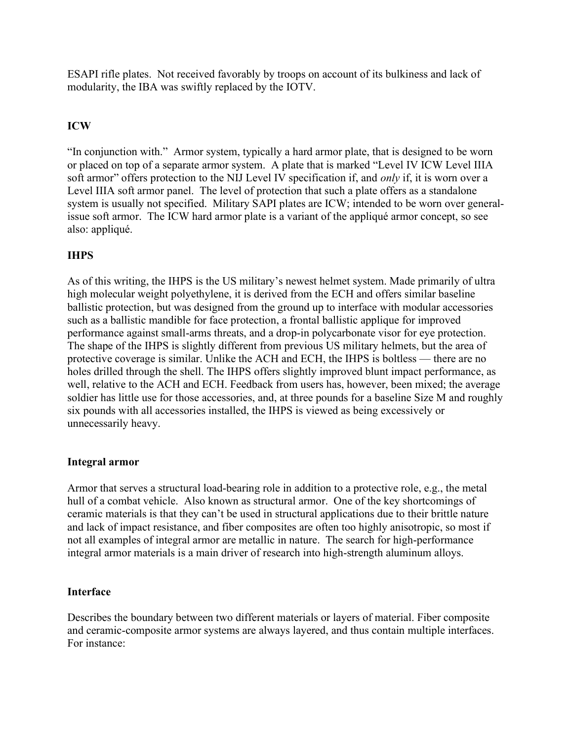ESAPI rifle plates. Not received favorably by troops on account of its bulkiness and lack of modularity, the IBA was swiftly replaced by the IOTV.

# ICW

"In conjunction with." Armor system, typically a hard armor plate, that is designed to be worn or placed on top of a separate armor system. A plate that is marked "Level IV ICW Level IIIA soft armor" offers protection to the NIJ Level IV specification if, and *only* if, it is worn over a Level IIIA soft armor panel. The level of protection that such a plate offers as a standalone system is usually not specified. Military SAPI plates are ICW; intended to be worn over generalissue soft armor. The ICW hard armor plate is a variant of the appliqué armor concept, so see also: appliqué.

# IHPS

As of this writing, the IHPS is the US military's newest helmet system. Made primarily of ultra high molecular weight polyethylene, it is derived from the ECH and offers similar baseline ballistic protection, but was designed from the ground up to interface with modular accessories such as a ballistic mandible for face protection, a frontal ballistic applique for improved performance against small-arms threats, and a drop-in polycarbonate visor for eye protection. The shape of the IHPS is slightly different from previous US military helmets, but the area of protective coverage is similar. Unlike the ACH and ECH, the IHPS is boltless — there are no holes drilled through the shell. The IHPS offers slightly improved blunt impact performance, as well, relative to the ACH and ECH. Feedback from users has, however, been mixed; the average soldier has little use for those accessories, and, at three pounds for a baseline Size M and roughly six pounds with all accessories installed, the IHPS is viewed as being excessively or unnecessarily heavy.

## Integral armor

Armor that serves a structural load-bearing role in addition to a protective role, e.g., the metal hull of a combat vehicle. Also known as structural armor. One of the key shortcomings of ceramic materials is that they can't be used in structural applications due to their brittle nature and lack of impact resistance, and fiber composites are often too highly anisotropic, so most if not all examples of integral armor are metallic in nature. The search for high-performance integral armor materials is a main driver of research into high-strength aluminum alloys.

## Interface

Describes the boundary between two different materials or layers of material. Fiber composite and ceramic-composite armor systems are always layered, and thus contain multiple interfaces. For instance: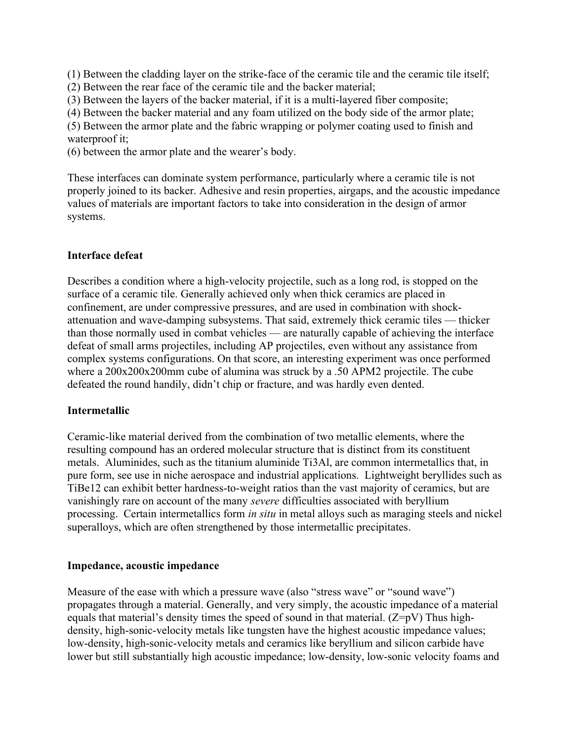(1) Between the cladding layer on the strike-face of the ceramic tile and the ceramic tile itself;

- (2) Between the rear face of the ceramic tile and the backer material;
- (3) Between the layers of the backer material, if it is a multi-layered fiber composite;
- (4) Between the backer material and any foam utilized on the body side of the armor plate;

(5) Between the armor plate and the fabric wrapping or polymer coating used to finish and waterproof it:

(6) between the armor plate and the wearer's body.

These interfaces can dominate system performance, particularly where a ceramic tile is not properly joined to its backer. Adhesive and resin properties, airgaps, and the acoustic impedance values of materials are important factors to take into consideration in the design of armor systems.

## Interface defeat

Describes a condition where a high-velocity projectile, such as a long rod, is stopped on the surface of a ceramic tile. Generally achieved only when thick ceramics are placed in confinement, are under compressive pressures, and are used in combination with shockattenuation and wave-damping subsystems. That said, extremely thick ceramic tiles — thicker than those normally used in combat vehicles — are naturally capable of achieving the interface defeat of small arms projectiles, including AP projectiles, even without any assistance from complex systems configurations. On that score, an interesting experiment was once performed where a  $200x200x200$ mm cube of alumina was struck by a .50 APM2 projectile. The cube defeated the round handily, didn't chip or fracture, and was hardly even dented.

## **Intermetallic**

Ceramic-like material derived from the combination of two metallic elements, where the resulting compound has an ordered molecular structure that is distinct from its constituent metals. Aluminides, such as the titanium aluminide Ti3Al, are common intermetallics that, in pure form, see use in niche aerospace and industrial applications. Lightweight beryllides such as TiBe12 can exhibit better hardness-to-weight ratios than the vast majority of ceramics, but are vanishingly rare on account of the many severe difficulties associated with beryllium processing. Certain intermetallics form in situ in metal alloys such as maraging steels and nickel superalloys, which are often strengthened by those intermetallic precipitates.

## Impedance, acoustic impedance

Measure of the ease with which a pressure wave (also "stress wave" or "sound wave") propagates through a material. Generally, and very simply, the acoustic impedance of a material equals that material's density times the speed of sound in that material.  $(Z=pV)$  Thus highdensity, high-sonic-velocity metals like tungsten have the highest acoustic impedance values; low-density, high-sonic-velocity metals and ceramics like beryllium and silicon carbide have lower but still substantially high acoustic impedance; low-density, low-sonic velocity foams and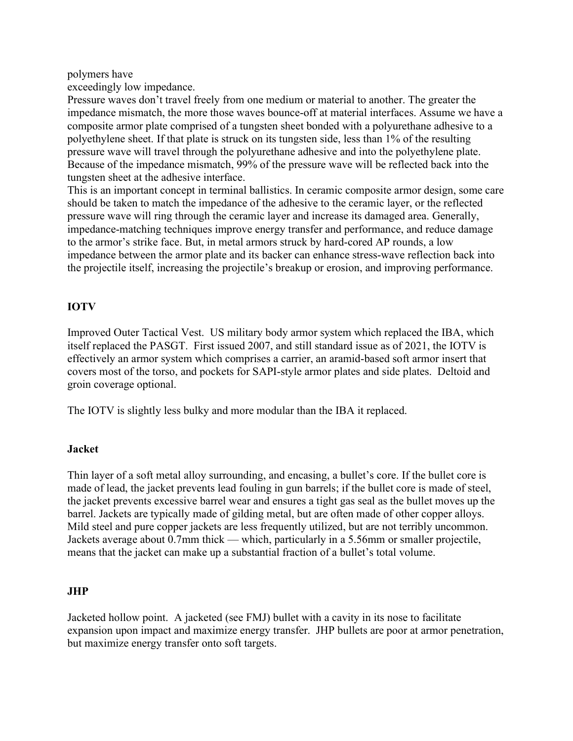#### polymers have

exceedingly low impedance.

Pressure waves don't travel freely from one medium or material to another. The greater the impedance mismatch, the more those waves bounce-off at material interfaces. Assume we have a composite armor plate comprised of a tungsten sheet bonded with a polyurethane adhesive to a polyethylene sheet. If that plate is struck on its tungsten side, less than 1% of the resulting pressure wave will travel through the polyurethane adhesive and into the polyethylene plate. Because of the impedance mismatch, 99% of the pressure wave will be reflected back into the tungsten sheet at the adhesive interface.

This is an important concept in terminal ballistics. In ceramic composite armor design, some care should be taken to match the impedance of the adhesive to the ceramic layer, or the reflected pressure wave will ring through the ceramic layer and increase its damaged area. Generally, impedance-matching techniques improve energy transfer and performance, and reduce damage to the armor's strike face. But, in metal armors struck by hard-cored AP rounds, a low impedance between the armor plate and its backer can enhance stress-wave reflection back into the projectile itself, increasing the projectile's breakup or erosion, and improving performance.

# IOTV

Improved Outer Tactical Vest. US military body armor system which replaced the IBA, which itself replaced the PASGT. First issued 2007, and still standard issue as of 2021, the IOTV is effectively an armor system which comprises a carrier, an aramid-based soft armor insert that covers most of the torso, and pockets for SAPI-style armor plates and side plates. Deltoid and groin coverage optional.

The IOTV is slightly less bulky and more modular than the IBA it replaced.

## Jacket

Thin layer of a soft metal alloy surrounding, and encasing, a bullet's core. If the bullet core is made of lead, the jacket prevents lead fouling in gun barrels; if the bullet core is made of steel, the jacket prevents excessive barrel wear and ensures a tight gas seal as the bullet moves up the barrel. Jackets are typically made of gilding metal, but are often made of other copper alloys. Mild steel and pure copper jackets are less frequently utilized, but are not terribly uncommon. Jackets average about 0.7mm thick — which, particularly in a 5.56mm or smaller projectile, means that the jacket can make up a substantial fraction of a bullet's total volume.

## JHP

Jacketed hollow point. A jacketed (see FMJ) bullet with a cavity in its nose to facilitate expansion upon impact and maximize energy transfer. JHP bullets are poor at armor penetration, but maximize energy transfer onto soft targets.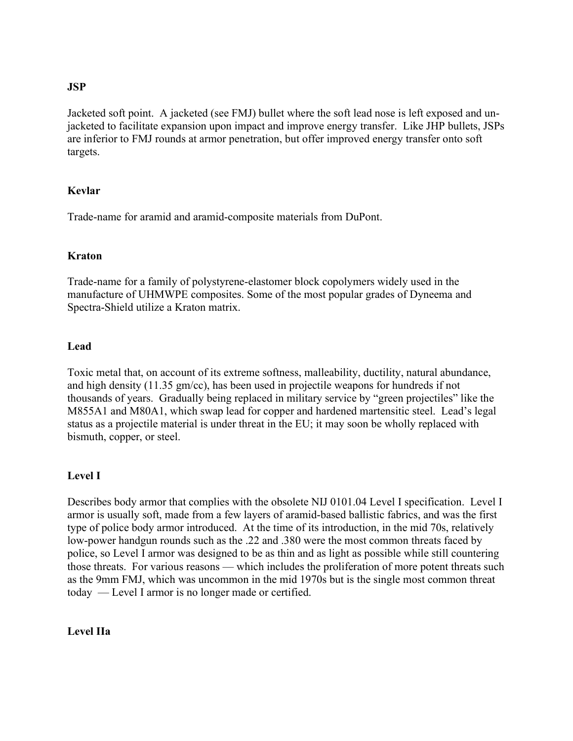## JSP

Jacketed soft point. A jacketed (see FMJ) bullet where the soft lead nose is left exposed and unjacketed to facilitate expansion upon impact and improve energy transfer. Like JHP bullets, JSPs are inferior to FMJ rounds at armor penetration, but offer improved energy transfer onto soft targets.

## Kevlar

Trade-name for aramid and aramid-composite materials from DuPont.

## Kraton

Trade-name for a family of polystyrene-elastomer block copolymers widely used in the manufacture of UHMWPE composites. Some of the most popular grades of Dyneema and Spectra-Shield utilize a Kraton matrix.

## Lead

Toxic metal that, on account of its extreme softness, malleability, ductility, natural abundance, and high density (11.35 gm/cc), has been used in projectile weapons for hundreds if not thousands of years. Gradually being replaced in military service by "green projectiles" like the M855A1 and M80A1, which swap lead for copper and hardened martensitic steel. Lead's legal status as a projectile material is under threat in the EU; it may soon be wholly replaced with bismuth, copper, or steel.

# Level I

Describes body armor that complies with the obsolete NIJ 0101.04 Level I specification. Level I armor is usually soft, made from a few layers of aramid-based ballistic fabrics, and was the first type of police body armor introduced. At the time of its introduction, in the mid 70s, relatively low-power handgun rounds such as the .22 and .380 were the most common threats faced by police, so Level I armor was designed to be as thin and as light as possible while still countering those threats. For various reasons — which includes the proliferation of more potent threats such as the 9mm FMJ, which was uncommon in the mid 1970s but is the single most common threat today — Level I armor is no longer made or certified.

# Level IIa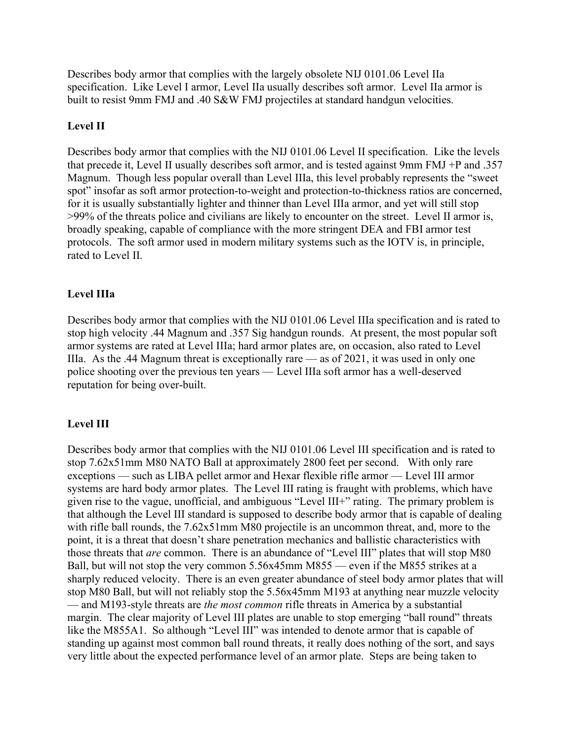Describes body armor that complies with the largely obsolete NIJ 0101.06 Level IIa specification. Like Level I armor, Level IIa usually describes soft armor. Level IIa armor is built to resist 9mm FMJ and .40 S&W FMJ projectiles at standard handgun velocities.

# Level II

Describes body armor that complies with the NIJ 0101.06 Level II specification. Like the levels that precede it, Level II usually describes soft armor, and is tested against 9mm FMJ +P and .357 Magnum. Though less popular overall than Level IIIa, this level probably represents the "sweet spot" insofar as soft armor protection-to-weight and protection-to-thickness ratios are concerned, for it is usually substantially lighter and thinner than Level IIIa armor, and yet will still stop >99% of the threats police and civilians are likely to encounter on the street. Level II armor is, broadly speaking, capable of compliance with the more stringent DEA and FBI armor test protocols. The soft armor used in modern military systems such as the IOTV is, in principle, rated to Level II.

# Level IIIa

Describes body armor that complies with the NIJ 0101.06 Level IIIa specification and is rated to stop high velocity .44 Magnum and .357 Sig handgun rounds. At present, the most popular soft armor systems are rated at Level IIIa; hard armor plates are, on occasion, also rated to Level IIIa. As the .44 Magnum threat is exceptionally rare — as of 2021, it was used in only one police shooting over the previous ten years — Level IIIa soft armor has a well-deserved reputation for being over-built.

# Level III

Describes body armor that complies with the NIJ 0101.06 Level III specification and is rated to stop 7.62x51mm M80 NATO Ball at approximately 2800 feet per second. With only rare exceptions — such as LIBA pellet armor and Hexar flexible rifle armor — Level III armor systems are hard body armor plates. The Level III rating is fraught with problems, which have given rise to the vague, unofficial, and ambiguous "Level III+" rating. The primary problem is that although the Level III standard is supposed to describe body armor that is capable of dealing with rifle ball rounds, the 7.62x51mm M80 projectile is an uncommon threat, and, more to the point, it is a threat that doesn't share penetration mechanics and ballistic characteristics with those threats that *are* common. There is an abundance of "Level III" plates that will stop M80 Ball, but will not stop the very common 5.56x45mm M855 — even if the M855 strikes at a sharply reduced velocity. There is an even greater abundance of steel body armor plates that will stop M80 Ball, but will not reliably stop the 5.56x45mm M193 at anything near muzzle velocity — and M193-style threats are *the most common* rifle threats in America by a substantial margin. The clear majority of Level III plates are unable to stop emerging "ball round" threats like the M855A1. So although "Level III" was intended to denote armor that is capable of standing up against most common ball round threats, it really does nothing of the sort, and says very little about the expected performance level of an armor plate. Steps are being taken to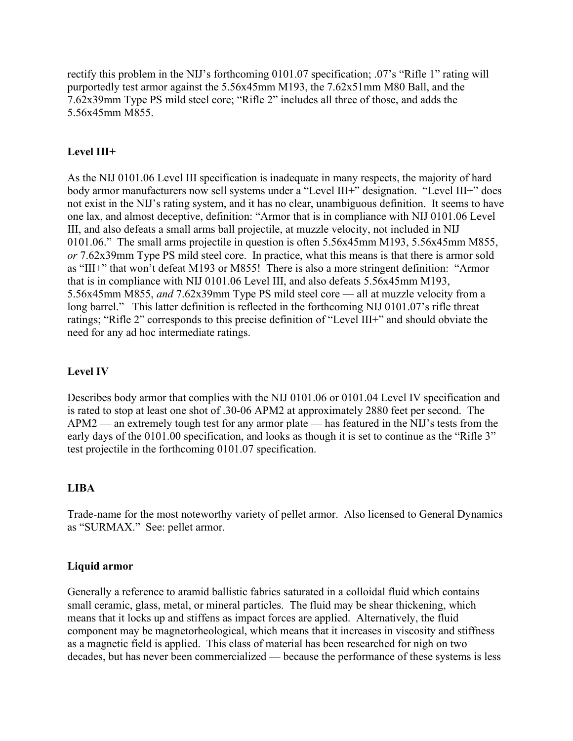rectify this problem in the NIJ's forthcoming 0101.07 specification; .07's "Rifle 1" rating will purportedly test armor against the 5.56x45mm M193, the 7.62x51mm M80 Ball, and the 7.62x39mm Type PS mild steel core; "Rifle 2" includes all three of those, and adds the 5.56x45mm M855.

# Level III+

As the NIJ 0101.06 Level III specification is inadequate in many respects, the majority of hard body armor manufacturers now sell systems under a "Level III+" designation. "Level III+" does not exist in the NIJ's rating system, and it has no clear, unambiguous definition. It seems to have one lax, and almost deceptive, definition: "Armor that is in compliance with NIJ 0101.06 Level III, and also defeats a small arms ball projectile, at muzzle velocity, not included in NIJ 0101.06." The small arms projectile in question is often 5.56x45mm M193, 5.56x45mm M855, or 7.62x39mm Type PS mild steel core. In practice, what this means is that there is armor sold as "III+" that won't defeat M193 or M855! There is also a more stringent definition: "Armor that is in compliance with NIJ 0101.06 Level III, and also defeats 5.56x45mm M193, 5.56x45mm M855, and 7.62x39mm Type PS mild steel core — all at muzzle velocity from a long barrel." This latter definition is reflected in the forthcoming NIJ 0101.07's rifle threat ratings; "Rifle 2" corresponds to this precise definition of "Level III+" and should obviate the need for any ad hoc intermediate ratings.

## Level IV

Describes body armor that complies with the NIJ 0101.06 or 0101.04 Level IV specification and is rated to stop at least one shot of .30-06 APM2 at approximately 2880 feet per second. The APM2 — an extremely tough test for any armor plate — has featured in the NIJ's tests from the early days of the 0101.00 specification, and looks as though it is set to continue as the "Rifle 3" test projectile in the forthcoming 0101.07 specification.

## LIBA

Trade-name for the most noteworthy variety of pellet armor. Also licensed to General Dynamics as "SURMAX." See: pellet armor.

## Liquid armor

Generally a reference to aramid ballistic fabrics saturated in a colloidal fluid which contains small ceramic, glass, metal, or mineral particles. The fluid may be shear thickening, which means that it locks up and stiffens as impact forces are applied. Alternatively, the fluid component may be magnetorheological, which means that it increases in viscosity and stiffness as a magnetic field is applied. This class of material has been researched for nigh on two decades, but has never been commercialized — because the performance of these systems is less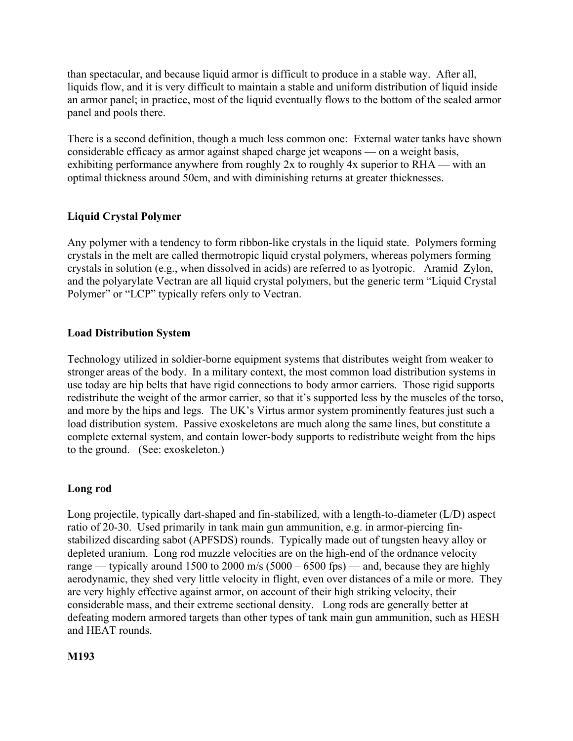than spectacular, and because liquid armor is difficult to produce in a stable way. After all, liquids flow, and it is very difficult to maintain a stable and uniform distribution of liquid inside an armor panel; in practice, most of the liquid eventually flows to the bottom of the sealed armor panel and pools there.

There is a second definition, though a much less common one: External water tanks have shown considerable efficacy as armor against shaped charge jet weapons — on a weight basis, exhibiting performance anywhere from roughly 2x to roughly 4x superior to RHA — with an optimal thickness around 50cm, and with diminishing returns at greater thicknesses.

# Liquid Crystal Polymer

Any polymer with a tendency to form ribbon-like crystals in the liquid state. Polymers forming crystals in the melt are called thermotropic liquid crystal polymers, whereas polymers forming crystals in solution (e.g., when dissolved in acids) are referred to as lyotropic. Aramid Zylon, and the polyarylate Vectran are all liquid crystal polymers, but the generic term "Liquid Crystal Polymer" or "LCP" typically refers only to Vectran.

# Load Distribution System

Technology utilized in soldier-borne equipment systems that distributes weight from weaker to stronger areas of the body. In a military context, the most common load distribution systems in use today are hip belts that have rigid connections to body armor carriers. Those rigid supports redistribute the weight of the armor carrier, so that it's supported less by the muscles of the torso, and more by the hips and legs. The UK's Virtus armor system prominently features just such a load distribution system. Passive exoskeletons are much along the same lines, but constitute a complete external system, and contain lower-body supports to redistribute weight from the hips to the ground. (See: exoskeleton.)

# Long rod

Long projectile, typically dart-shaped and fin-stabilized, with a length-to-diameter (L/D) aspect ratio of 20-30. Used primarily in tank main gun ammunition, e.g. in armor-piercing finstabilized discarding sabot (APFSDS) rounds. Typically made out of tungsten heavy alloy or depleted uranium. Long rod muzzle velocities are on the high-end of the ordnance velocity range — typically around 1500 to 2000 m/s (5000 – 6500 fps) — and, because they are highly aerodynamic, they shed very little velocity in flight, even over distances of a mile or more. They are very highly effective against armor, on account of their high striking velocity, their considerable mass, and their extreme sectional density. Long rods are generally better at defeating modern armored targets than other types of tank main gun ammunition, such as HESH and HEAT rounds.

## M193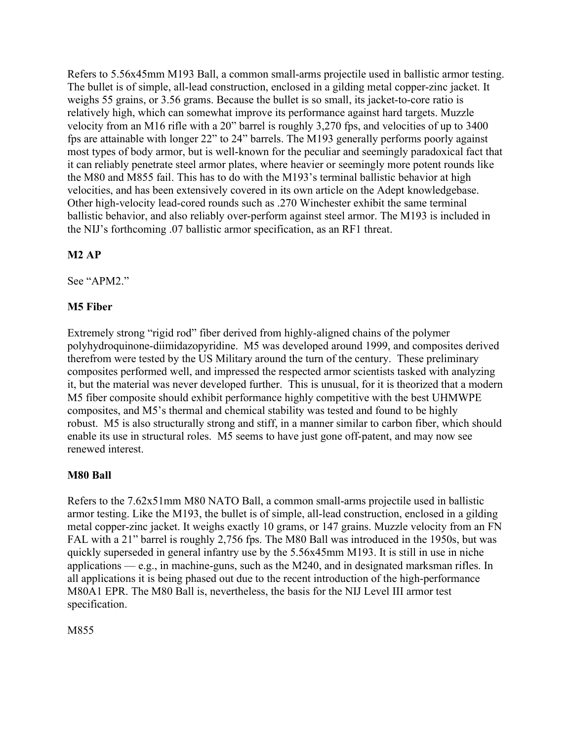Refers to 5.56x45mm M193 Ball, a common small-arms projectile used in ballistic armor testing. The bullet is of simple, all-lead construction, enclosed in a gilding metal copper-zinc jacket. It weighs 55 grains, or 3.56 grams. Because the bullet is so small, its jacket-to-core ratio is relatively high, which can somewhat improve its performance against hard targets. Muzzle velocity from an M16 rifle with a 20" barrel is roughly 3,270 fps, and velocities of up to 3400 fps are attainable with longer 22" to 24" barrels. The M193 generally performs poorly against most types of body armor, but is well-known for the peculiar and seemingly paradoxical fact that it can reliably penetrate steel armor plates, where heavier or seemingly more potent rounds like the M80 and M855 fail. This has to do with the M193's terminal ballistic behavior at high velocities, and has been extensively covered in its own article on the Adept knowledgebase. Other high-velocity lead-cored rounds such as .270 Winchester exhibit the same terminal ballistic behavior, and also reliably over-perform against steel armor. The M193 is included in the NIJ's forthcoming .07 ballistic armor specification, as an RF1 threat.

# M2 AP

See "APM2."

# M5 Fiber

Extremely strong "rigid rod" fiber derived from highly-aligned chains of the polymer polyhydroquinone-diimidazopyridine. M5 was developed around 1999, and composites derived therefrom were tested by the US Military around the turn of the century. These preliminary composites performed well, and impressed the respected armor scientists tasked with analyzing it, but the material was never developed further. This is unusual, for it is theorized that a modern M5 fiber composite should exhibit performance highly competitive with the best UHMWPE composites, and M5's thermal and chemical stability was tested and found to be highly robust. M5 is also structurally strong and stiff, in a manner similar to carbon fiber, which should enable its use in structural roles. M5 seems to have just gone off-patent, and may now see renewed interest.

# M80 Ball

Refers to the 7.62x51mm M80 NATO Ball, a common small-arms projectile used in ballistic armor testing. Like the M193, the bullet is of simple, all-lead construction, enclosed in a gilding metal copper-zinc jacket. It weighs exactly 10 grams, or 147 grains. Muzzle velocity from an FN FAL with a 21" barrel is roughly 2,756 fps. The M80 Ball was introduced in the 1950s, but was quickly superseded in general infantry use by the 5.56x45mm M193. It is still in use in niche applications — e.g., in machine-guns, such as the M240, and in designated marksman rifles. In all applications it is being phased out due to the recent introduction of the high-performance M80A1 EPR. The M80 Ball is, nevertheless, the basis for the NIJ Level III armor test specification.

M855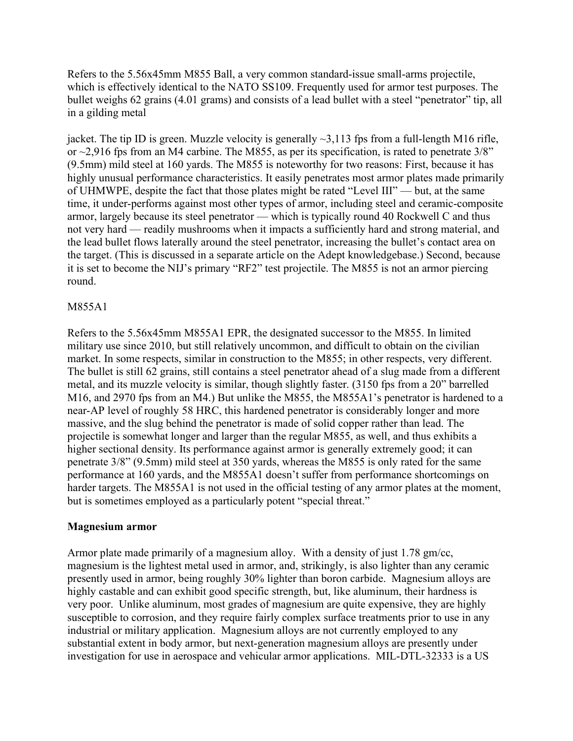Refers to the 5.56x45mm M855 Ball, a very common standard-issue small-arms projectile, which is effectively identical to the NATO SS109. Frequently used for armor test purposes. The bullet weighs 62 grains (4.01 grams) and consists of a lead bullet with a steel "penetrator" tip, all in a gilding metal

jacket. The tip ID is green. Muzzle velocity is generally  $\sim$ 3,113 fps from a full-length M16 rifle, or  $\sim$ 2,916 fps from an M4 carbine. The M855, as per its specification, is rated to penetrate  $3/8$ " (9.5mm) mild steel at 160 yards. The M855 is noteworthy for two reasons: First, because it has highly unusual performance characteristics. It easily penetrates most armor plates made primarily of UHMWPE, despite the fact that those plates might be rated "Level III" — but, at the same time, it under-performs against most other types of armor, including steel and ceramic-composite armor, largely because its steel penetrator — which is typically round 40 Rockwell C and thus not very hard — readily mushrooms when it impacts a sufficiently hard and strong material, and the lead bullet flows laterally around the steel penetrator, increasing the bullet's contact area on the target. (This is discussed in a separate article on the Adept knowledgebase.) Second, because it is set to become the NIJ's primary "RF2" test projectile. The M855 is not an armor piercing round.

## M855A1

Refers to the 5.56x45mm M855A1 EPR, the designated successor to the M855. In limited military use since 2010, but still relatively uncommon, and difficult to obtain on the civilian market. In some respects, similar in construction to the M855; in other respects, very different. The bullet is still 62 grains, still contains a steel penetrator ahead of a slug made from a different metal, and its muzzle velocity is similar, though slightly faster. (3150 fps from a 20" barrelled M16, and 2970 fps from an M4.) But unlike the M855, the M855A1's penetrator is hardened to a near-AP level of roughly 58 HRC, this hardened penetrator is considerably longer and more massive, and the slug behind the penetrator is made of solid copper rather than lead. The projectile is somewhat longer and larger than the regular M855, as well, and thus exhibits a higher sectional density. Its performance against armor is generally extremely good; it can penetrate 3/8" (9.5mm) mild steel at 350 yards, whereas the M855 is only rated for the same performance at 160 yards, and the M855A1 doesn't suffer from performance shortcomings on harder targets. The M855A1 is not used in the official testing of any armor plates at the moment, but is sometimes employed as a particularly potent "special threat."

## Magnesium armor

Armor plate made primarily of a magnesium alloy. With a density of just 1.78 gm/cc, magnesium is the lightest metal used in armor, and, strikingly, is also lighter than any ceramic presently used in armor, being roughly 30% lighter than boron carbide. Magnesium alloys are highly castable and can exhibit good specific strength, but, like aluminum, their hardness is very poor. Unlike aluminum, most grades of magnesium are quite expensive, they are highly susceptible to corrosion, and they require fairly complex surface treatments prior to use in any industrial or military application. Magnesium alloys are not currently employed to any substantial extent in body armor, but next-generation magnesium alloys are presently under investigation for use in aerospace and vehicular armor applications. MIL-DTL-32333 is a US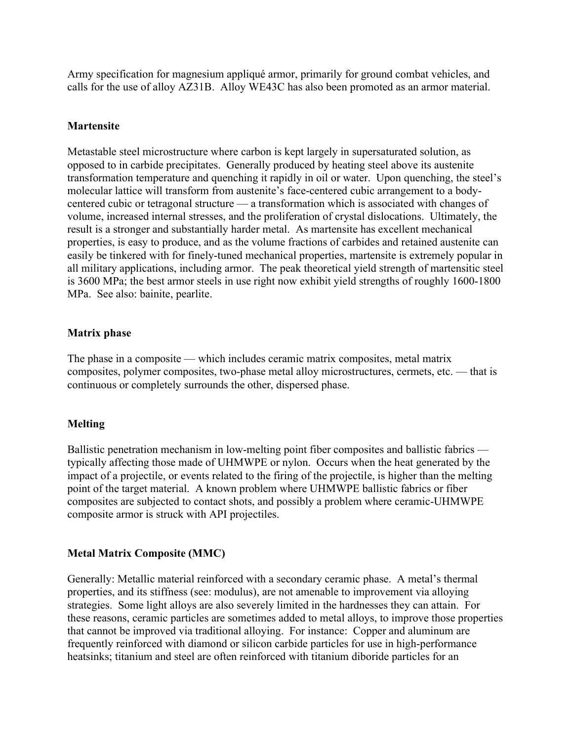Army specification for magnesium appliqué armor, primarily for ground combat vehicles, and calls for the use of alloy AZ31B. Alloy WE43C has also been promoted as an armor material.

## **Martensite**

Metastable steel microstructure where carbon is kept largely in supersaturated solution, as opposed to in carbide precipitates. Generally produced by heating steel above its austenite transformation temperature and quenching it rapidly in oil or water. Upon quenching, the steel's molecular lattice will transform from austenite's face-centered cubic arrangement to a bodycentered cubic or tetragonal structure — a transformation which is associated with changes of volume, increased internal stresses, and the proliferation of crystal dislocations. Ultimately, the result is a stronger and substantially harder metal. As martensite has excellent mechanical properties, is easy to produce, and as the volume fractions of carbides and retained austenite can easily be tinkered with for finely-tuned mechanical properties, martensite is extremely popular in all military applications, including armor. The peak theoretical yield strength of martensitic steel is 3600 MPa; the best armor steels in use right now exhibit yield strengths of roughly 1600-1800 MPa. See also: bainite, pearlite.

## Matrix phase

The phase in a composite — which includes ceramic matrix composites, metal matrix composites, polymer composites, two-phase metal alloy microstructures, cermets, etc. — that is continuous or completely surrounds the other, dispersed phase.

## Melting

Ballistic penetration mechanism in low-melting point fiber composites and ballistic fabrics typically affecting those made of UHMWPE or nylon. Occurs when the heat generated by the impact of a projectile, or events related to the firing of the projectile, is higher than the melting point of the target material. A known problem where UHMWPE ballistic fabrics or fiber composites are subjected to contact shots, and possibly a problem where ceramic-UHMWPE composite armor is struck with API projectiles.

## Metal Matrix Composite (MMC)

Generally: Metallic material reinforced with a secondary ceramic phase. A metal's thermal properties, and its stiffness (see: modulus), are not amenable to improvement via alloying strategies. Some light alloys are also severely limited in the hardnesses they can attain. For these reasons, ceramic particles are sometimes added to metal alloys, to improve those properties that cannot be improved via traditional alloying. For instance: Copper and aluminum are frequently reinforced with diamond or silicon carbide particles for use in high-performance heatsinks; titanium and steel are often reinforced with titanium diboride particles for an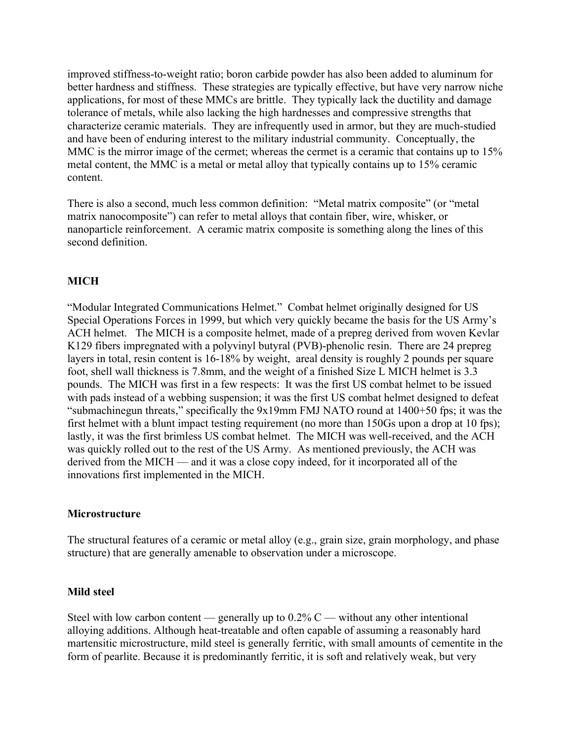improved stiffness-to-weight ratio; boron carbide powder has also been added to aluminum for better hardness and stiffness. These strategies are typically effective, but have very narrow niche applications, for most of these MMCs are brittle. They typically lack the ductility and damage tolerance of metals, while also lacking the high hardnesses and compressive strengths that characterize ceramic materials. They are infrequently used in armor, but they are much-studied and have been of enduring interest to the military industrial community. Conceptually, the MMC is the mirror image of the cermet; whereas the cermet is a ceramic that contains up to 15% metal content, the MMC is a metal or metal alloy that typically contains up to 15% ceramic content.

There is also a second, much less common definition: "Metal matrix composite" (or "metal matrix nanocomposite") can refer to metal alloys that contain fiber, wire, whisker, or nanoparticle reinforcement. A ceramic matrix composite is something along the lines of this second definition.

# **MICH**

"Modular Integrated Communications Helmet." Combat helmet originally designed for US Special Operations Forces in 1999, but which very quickly became the basis for the US Army's ACH helmet. The MICH is a composite helmet, made of a prepreg derived from woven Kevlar K129 fibers impregnated with a polyvinyl butyral (PVB)-phenolic resin. There are 24 prepreg layers in total, resin content is 16-18% by weight, areal density is roughly 2 pounds per square foot, shell wall thickness is 7.8mm, and the weight of a finished Size L MICH helmet is 3.3 pounds. The MICH was first in a few respects: It was the first US combat helmet to be issued with pads instead of a webbing suspension; it was the first US combat helmet designed to defeat "submachinegun threats," specifically the 9x19mm FMJ NATO round at 1400+50 fps; it was the first helmet with a blunt impact testing requirement (no more than 150Gs upon a drop at 10 fps); lastly, it was the first brimless US combat helmet. The MICH was well-received, and the ACH was quickly rolled out to the rest of the US Army. As mentioned previously, the ACH was derived from the MICH — and it was a close copy indeed, for it incorporated all of the innovations first implemented in the MICH.

#### Microstructure

The structural features of a ceramic or metal alloy (e.g., grain size, grain morphology, and phase structure) that are generally amenable to observation under a microscope.

#### Mild steel

Steel with low carbon content — generally up to  $0.2\%$  C — without any other intentional alloying additions. Although heat-treatable and often capable of assuming a reasonably hard martensitic microstructure, mild steel is generally ferritic, with small amounts of cementite in the form of pearlite. Because it is predominantly ferritic, it is soft and relatively weak, but very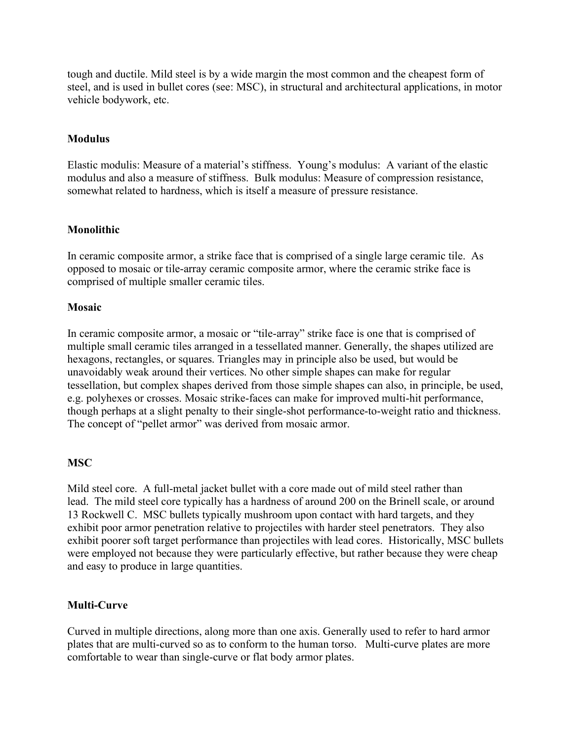tough and ductile. Mild steel is by a wide margin the most common and the cheapest form of steel, and is used in bullet cores (see: MSC), in structural and architectural applications, in motor vehicle bodywork, etc.

## **Modulus**

Elastic modulis: Measure of a material's stiffness. Young's modulus: A variant of the elastic modulus and also a measure of stiffness. Bulk modulus: Measure of compression resistance, somewhat related to hardness, which is itself a measure of pressure resistance.

## Monolithic

In ceramic composite armor, a strike face that is comprised of a single large ceramic tile. As opposed to mosaic or tile-array ceramic composite armor, where the ceramic strike face is comprised of multiple smaller ceramic tiles.

## Mosaic

In ceramic composite armor, a mosaic or "tile-array" strike face is one that is comprised of multiple small ceramic tiles arranged in a tessellated manner. Generally, the shapes utilized are hexagons, rectangles, or squares. Triangles may in principle also be used, but would be unavoidably weak around their vertices. No other simple shapes can make for regular tessellation, but complex shapes derived from those simple shapes can also, in principle, be used, e.g. polyhexes or crosses. Mosaic strike-faces can make for improved multi-hit performance, though perhaps at a slight penalty to their single-shot performance-to-weight ratio and thickness. The concept of "pellet armor" was derived from mosaic armor.

# **MSC**

Mild steel core. A full-metal jacket bullet with a core made out of mild steel rather than lead. The mild steel core typically has a hardness of around 200 on the Brinell scale, or around 13 Rockwell C. MSC bullets typically mushroom upon contact with hard targets, and they exhibit poor armor penetration relative to projectiles with harder steel penetrators. They also exhibit poorer soft target performance than projectiles with lead cores. Historically, MSC bullets were employed not because they were particularly effective, but rather because they were cheap and easy to produce in large quantities.

## Multi-Curve

Curved in multiple directions, along more than one axis. Generally used to refer to hard armor plates that are multi-curved so as to conform to the human torso. Multi-curve plates are more comfortable to wear than single-curve or flat body armor plates.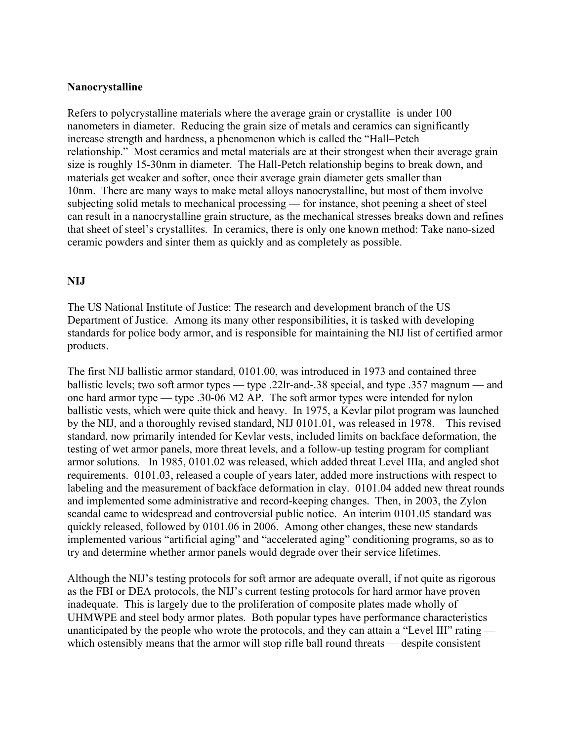#### Nanocrystalline

Refers to polycrystalline materials where the average grain or crystallite is under 100 nanometers in diameter. Reducing the grain size of metals and ceramics can significantly increase strength and hardness, a phenomenon which is called the "Hall–Petch relationship." Most ceramics and metal materials are at their strongest when their average grain size is roughly 15-30nm in diameter. The Hall-Petch relationship begins to break down, and materials get weaker and softer, once their average grain diameter gets smaller than 10nm. There are many ways to make metal alloys nanocrystalline, but most of them involve subjecting solid metals to mechanical processing — for instance, shot peening a sheet of steel can result in a nanocrystalline grain structure, as the mechanical stresses breaks down and refines that sheet of steel's crystallites. In ceramics, there is only one known method: Take nano-sized ceramic powders and sinter them as quickly and as completely as possible.

#### NIJ

The US National Institute of Justice: The research and development branch of the US Department of Justice. Among its many other responsibilities, it is tasked with developing standards for police body armor, and is responsible for maintaining the NIJ list of certified armor products.

The first NIJ ballistic armor standard, 0101.00, was introduced in 1973 and contained three ballistic levels; two soft armor types — type .22lr-and-.38 special, and type .357 magnum — and one hard armor type — type .30-06 M2 AP. The soft armor types were intended for nylon ballistic vests, which were quite thick and heavy. In 1975, a Kevlar pilot program was launched by the NIJ, and a thoroughly revised standard, NIJ 0101.01, was released in 1978. This revised standard, now primarily intended for Kevlar vests, included limits on backface deformation, the testing of wet armor panels, more threat levels, and a follow-up testing program for compliant armor solutions. In 1985, 0101.02 was released, which added threat Level IIIa, and angled shot requirements. 0101.03, released a couple of years later, added more instructions with respect to labeling and the measurement of backface deformation in clay. 0101.04 added new threat rounds and implemented some administrative and record-keeping changes. Then, in 2003, the Zylon scandal came to widespread and controversial public notice. An interim 0101.05 standard was quickly released, followed by 0101.06 in 2006. Among other changes, these new standards implemented various "artificial aging" and "accelerated aging" conditioning programs, so as to try and determine whether armor panels would degrade over their service lifetimes.

Although the NIJ's testing protocols for soft armor are adequate overall, if not quite as rigorous as the FBI or DEA protocols, the NIJ's current testing protocols for hard armor have proven inadequate. This is largely due to the proliferation of composite plates made wholly of UHMWPE and steel body armor plates. Both popular types have performance characteristics unanticipated by the people who wrote the protocols, and they can attain a "Level III" rating which ostensibly means that the armor will stop rifle ball round threats — despite consistent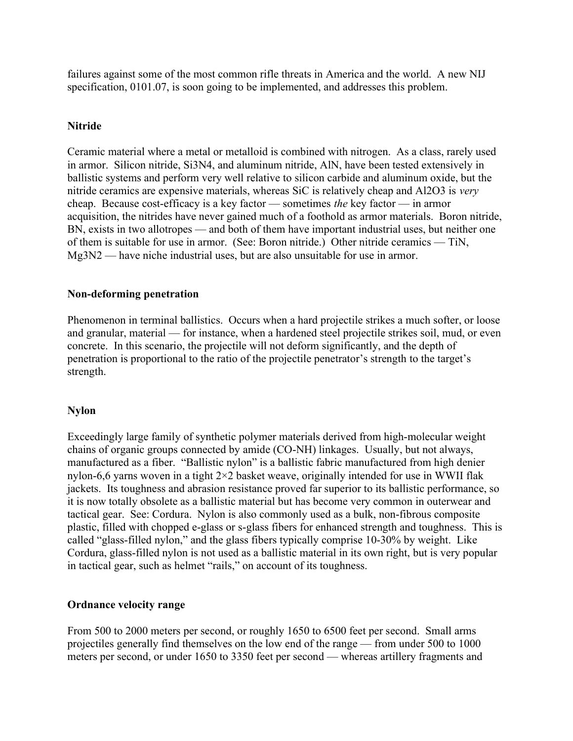failures against some of the most common rifle threats in America and the world. A new NIJ specification, 0101.07, is soon going to be implemented, and addresses this problem.

## **Nitride**

Ceramic material where a metal or metalloid is combined with nitrogen. As a class, rarely used in armor. Silicon nitride, Si3N4, and aluminum nitride, AlN, have been tested extensively in ballistic systems and perform very well relative to silicon carbide and aluminum oxide, but the nitride ceramics are expensive materials, whereas SiC is relatively cheap and Al2O3 is very cheap. Because cost-efficacy is a key factor — sometimes the key factor — in armor acquisition, the nitrides have never gained much of a foothold as armor materials. Boron nitride, BN, exists in two allotropes — and both of them have important industrial uses, but neither one of them is suitable for use in armor. (See: Boron nitride.) Other nitride ceramics — TiN, Mg3N2 — have niche industrial uses, but are also unsuitable for use in armor.

## Non-deforming penetration

Phenomenon in terminal ballistics. Occurs when a hard projectile strikes a much softer, or loose and granular, material — for instance, when a hardened steel projectile strikes soil, mud, or even concrete. In this scenario, the projectile will not deform significantly, and the depth of penetration is proportional to the ratio of the projectile penetrator's strength to the target's strength.

## Nylon

Exceedingly large family of synthetic polymer materials derived from high-molecular weight chains of organic groups connected by amide (CO-NH) linkages. Usually, but not always, manufactured as a fiber. "Ballistic nylon" is a ballistic fabric manufactured from high denier nylon-6,6 yarns woven in a tight 2×2 basket weave, originally intended for use in WWII flak jackets. Its toughness and abrasion resistance proved far superior to its ballistic performance, so it is now totally obsolete as a ballistic material but has become very common in outerwear and tactical gear. See: Cordura. Nylon is also commonly used as a bulk, non-fibrous composite plastic, filled with chopped e-glass or s-glass fibers for enhanced strength and toughness. This is called "glass-filled nylon," and the glass fibers typically comprise 10-30% by weight. Like Cordura, glass-filled nylon is not used as a ballistic material in its own right, but is very popular in tactical gear, such as helmet "rails," on account of its toughness.

## Ordnance velocity range

From 500 to 2000 meters per second, or roughly 1650 to 6500 feet per second. Small arms projectiles generally find themselves on the low end of the range — from under 500 to 1000 meters per second, or under 1650 to 3350 feet per second — whereas artillery fragments and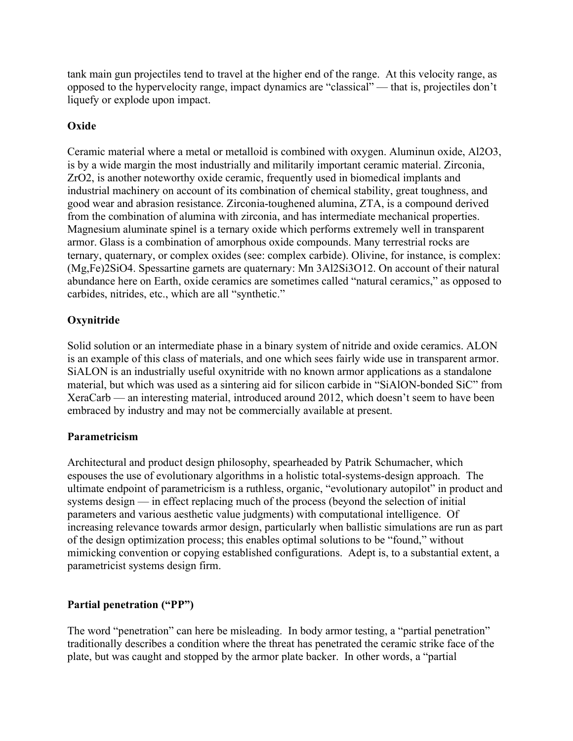tank main gun projectiles tend to travel at the higher end of the range. At this velocity range, as opposed to the hypervelocity range, impact dynamics are "classical" — that is, projectiles don't liquefy or explode upon impact.

# **Oxide**

Ceramic material where a metal or metalloid is combined with oxygen. Aluminun oxide, Al2O3, is by a wide margin the most industrially and militarily important ceramic material. Zirconia, ZrO2, is another noteworthy oxide ceramic, frequently used in biomedical implants and industrial machinery on account of its combination of chemical stability, great toughness, and good wear and abrasion resistance. Zirconia-toughened alumina, ZTA, is a compound derived from the combination of alumina with zirconia, and has intermediate mechanical properties. Magnesium aluminate spinel is a ternary oxide which performs extremely well in transparent armor. Glass is a combination of amorphous oxide compounds. Many terrestrial rocks are ternary, quaternary, or complex oxides (see: complex carbide). Olivine, for instance, is complex: (Mg,Fe)2SiO4. Spessartine garnets are quaternary: Mn 3Al2Si3O12. On account of their natural abundance here on Earth, oxide ceramics are sometimes called "natural ceramics," as opposed to carbides, nitrides, etc., which are all "synthetic."

# **Oxynitride**

Solid solution or an intermediate phase in a binary system of nitride and oxide ceramics. ALON is an example of this class of materials, and one which sees fairly wide use in transparent armor. SiALON is an industrially useful oxynitride with no known armor applications as a standalone material, but which was used as a sintering aid for silicon carbide in "SiAlON-bonded SiC" from XeraCarb — an interesting material, introduced around 2012, which doesn't seem to have been embraced by industry and may not be commercially available at present.

# Parametricism

Architectural and product design philosophy, spearheaded by Patrik Schumacher, which espouses the use of evolutionary algorithms in a holistic total-systems-design approach. The ultimate endpoint of parametricism is a ruthless, organic, "evolutionary autopilot" in product and systems design — in effect replacing much of the process (beyond the selection of initial parameters and various aesthetic value judgments) with computational intelligence. Of increasing relevance towards armor design, particularly when ballistic simulations are run as part of the design optimization process; this enables optimal solutions to be "found," without mimicking convention or copying established configurations. Adept is, to a substantial extent, a parametricist systems design firm.

# Partial penetration ("PP")

The word "penetration" can here be misleading. In body armor testing, a "partial penetration" traditionally describes a condition where the threat has penetrated the ceramic strike face of the plate, but was caught and stopped by the armor plate backer. In other words, a "partial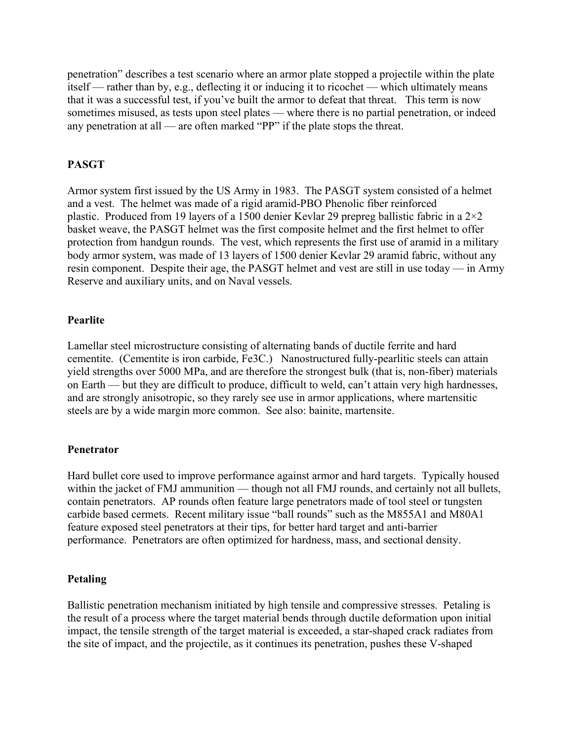penetration" describes a test scenario where an armor plate stopped a projectile within the plate itself — rather than by, e.g., deflecting it or inducing it to ricochet — which ultimately means that it was a successful test, if you've built the armor to defeat that threat. This term is now sometimes misused, as tests upon steel plates — where there is no partial penetration, or indeed any penetration at all — are often marked "PP" if the plate stops the threat.

## PASGT

Armor system first issued by the US Army in 1983. The PASGT system consisted of a helmet and a vest. The helmet was made of a rigid aramid-PBO Phenolic fiber reinforced plastic. Produced from 19 layers of a 1500 denier Kevlar 29 prepreg ballistic fabric in a  $2\times 2$ basket weave, the PASGT helmet was the first composite helmet and the first helmet to offer protection from handgun rounds. The vest, which represents the first use of aramid in a military body armor system, was made of 13 layers of 1500 denier Kevlar 29 aramid fabric, without any resin component. Despite their age, the PASGT helmet and vest are still in use today — in Army Reserve and auxiliary units, and on Naval vessels.

#### Pearlite

Lamellar steel microstructure consisting of alternating bands of ductile ferrite and hard cementite. (Cementite is iron carbide, Fe3C.) Nanostructured fully-pearlitic steels can attain yield strengths over 5000 MPa, and are therefore the strongest bulk (that is, non-fiber) materials on Earth — but they are difficult to produce, difficult to weld, can't attain very high hardnesses, and are strongly anisotropic, so they rarely see use in armor applications, where martensitic steels are by a wide margin more common. See also: bainite, martensite.

#### Penetrator

Hard bullet core used to improve performance against armor and hard targets. Typically housed within the jacket of FMJ ammunition — though not all FMJ rounds, and certainly not all bullets, contain penetrators. AP rounds often feature large penetrators made of tool steel or tungsten carbide based cermets. Recent military issue "ball rounds" such as the M855A1 and M80A1 feature exposed steel penetrators at their tips, for better hard target and anti-barrier performance. Penetrators are often optimized for hardness, mass, and sectional density.

## Petaling

Ballistic penetration mechanism initiated by high tensile and compressive stresses. Petaling is the result of a process where the target material bends through ductile deformation upon initial impact, the tensile strength of the target material is exceeded, a star-shaped crack radiates from the site of impact, and the projectile, as it continues its penetration, pushes these V-shaped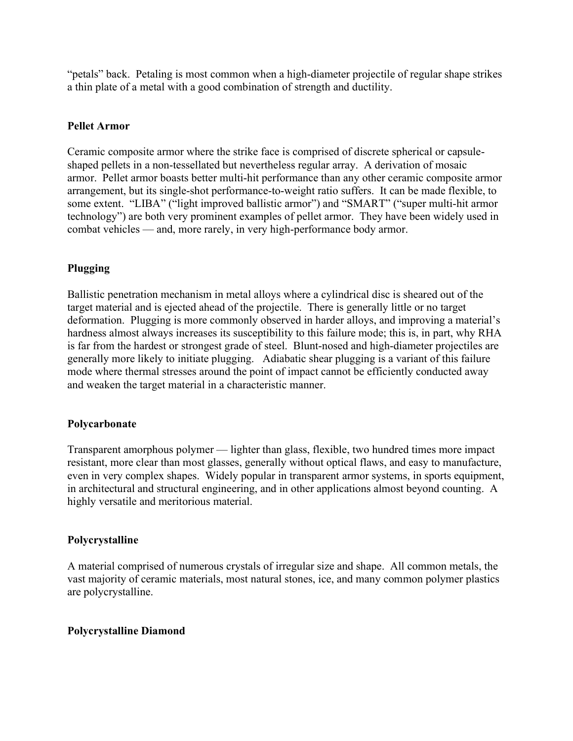"petals" back. Petaling is most common when a high-diameter projectile of regular shape strikes a thin plate of a metal with a good combination of strength and ductility.

## Pellet Armor

Ceramic composite armor where the strike face is comprised of discrete spherical or capsuleshaped pellets in a non-tessellated but nevertheless regular array. A derivation of mosaic armor. Pellet armor boasts better multi-hit performance than any other ceramic composite armor arrangement, but its single-shot performance-to-weight ratio suffers. It can be made flexible, to some extent. "LIBA" ("light improved ballistic armor") and "SMART" ("super multi-hit armor technology") are both very prominent examples of pellet armor. They have been widely used in combat vehicles — and, more rarely, in very high-performance body armor.

## Plugging

Ballistic penetration mechanism in metal alloys where a cylindrical disc is sheared out of the target material and is ejected ahead of the projectile. There is generally little or no target deformation. Plugging is more commonly observed in harder alloys, and improving a material's hardness almost always increases its susceptibility to this failure mode; this is, in part, why RHA is far from the hardest or strongest grade of steel. Blunt-nosed and high-diameter projectiles are generally more likely to initiate plugging. Adiabatic shear plugging is a variant of this failure mode where thermal stresses around the point of impact cannot be efficiently conducted away and weaken the target material in a characteristic manner.

## Polycarbonate

Transparent amorphous polymer — lighter than glass, flexible, two hundred times more impact resistant, more clear than most glasses, generally without optical flaws, and easy to manufacture, even in very complex shapes. Widely popular in transparent armor systems, in sports equipment, in architectural and structural engineering, and in other applications almost beyond counting. A highly versatile and meritorious material.

## Polycrystalline

A material comprised of numerous crystals of irregular size and shape. All common metals, the vast majority of ceramic materials, most natural stones, ice, and many common polymer plastics are polycrystalline.

## Polycrystalline Diamond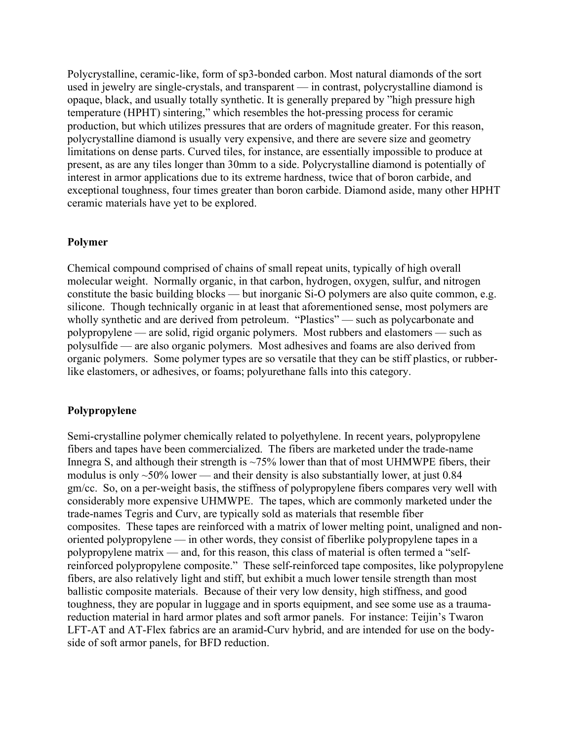Polycrystalline, ceramic-like, form of sp3-bonded carbon. Most natural diamonds of the sort used in jewelry are single-crystals, and transparent — in contrast, polycrystalline diamond is opaque, black, and usually totally synthetic. It is generally prepared by "high pressure high temperature (HPHT) sintering," which resembles the hot-pressing process for ceramic production, but which utilizes pressures that are orders of magnitude greater. For this reason, polycrystalline diamond is usually very expensive, and there are severe size and geometry limitations on dense parts. Curved tiles, for instance, are essentially impossible to produce at present, as are any tiles longer than 30mm to a side. Polycrystalline diamond is potentially of interest in armor applications due to its extreme hardness, twice that of boron carbide, and exceptional toughness, four times greater than boron carbide. Diamond aside, many other HPHT ceramic materials have yet to be explored.

## Polymer

Chemical compound comprised of chains of small repeat units, typically of high overall molecular weight. Normally organic, in that carbon, hydrogen, oxygen, sulfur, and nitrogen constitute the basic building blocks — but inorganic Si-O polymers are also quite common, e.g. silicone. Though technically organic in at least that aforementioned sense, most polymers are wholly synthetic and are derived from petroleum. "Plastics" — such as polycarbonate and polypropylene — are solid, rigid organic polymers. Most rubbers and elastomers — such as polysulfide — are also organic polymers. Most adhesives and foams are also derived from organic polymers. Some polymer types are so versatile that they can be stiff plastics, or rubberlike elastomers, or adhesives, or foams; polyurethane falls into this category.

#### Polypropylene

Semi-crystalline polymer chemically related to polyethylene. In recent years, polypropylene fibers and tapes have been commercialized. The fibers are marketed under the trade-name Innegra S, and although their strength is  $\sim$ 75% lower than that of most UHMWPE fibers, their modulus is only  $\sim$ 50% lower — and their density is also substantially lower, at just 0.84 gm/cc. So, on a per-weight basis, the stiffness of polypropylene fibers compares very well with considerably more expensive UHMWPE. The tapes, which are commonly marketed under the trade-names Tegris and Curv, are typically sold as materials that resemble fiber composites. These tapes are reinforced with a matrix of lower melting point, unaligned and nonoriented polypropylene — in other words, they consist of fiberlike polypropylene tapes in a polypropylene matrix — and, for this reason, this class of material is often termed a "selfreinforced polypropylene composite." These self-reinforced tape composites, like polypropylene fibers, are also relatively light and stiff, but exhibit a much lower tensile strength than most ballistic composite materials. Because of their very low density, high stiffness, and good toughness, they are popular in luggage and in sports equipment, and see some use as a traumareduction material in hard armor plates and soft armor panels. For instance: Teijin's Twaron LFT-AT and AT-Flex fabrics are an aramid-Curv hybrid, and are intended for use on the bodyside of soft armor panels, for BFD reduction.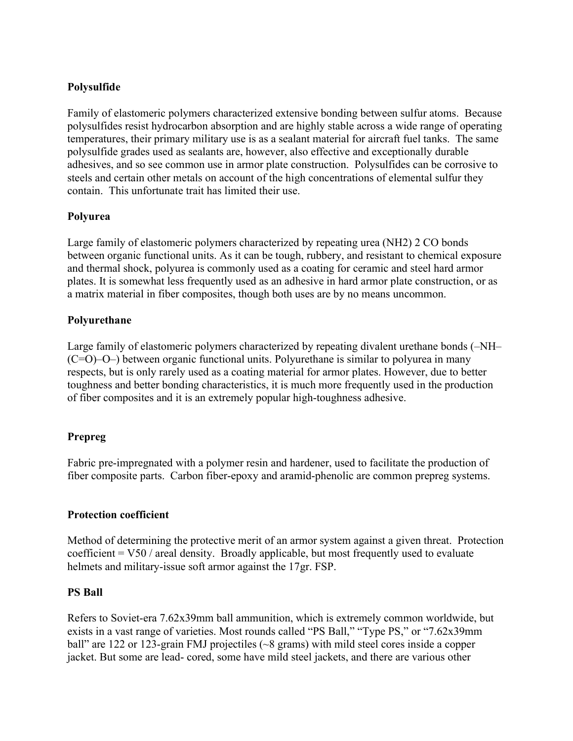# Polysulfide

Family of elastomeric polymers characterized extensive bonding between sulfur atoms. Because polysulfides resist hydrocarbon absorption and are highly stable across a wide range of operating temperatures, their primary military use is as a sealant material for aircraft fuel tanks. The same polysulfide grades used as sealants are, however, also effective and exceptionally durable adhesives, and so see common use in armor plate construction. Polysulfides can be corrosive to steels and certain other metals on account of the high concentrations of elemental sulfur they contain. This unfortunate trait has limited their use.

## Polyurea

Large family of elastomeric polymers characterized by repeating urea (NH2) 2 CO bonds between organic functional units. As it can be tough, rubbery, and resistant to chemical exposure and thermal shock, polyurea is commonly used as a coating for ceramic and steel hard armor plates. It is somewhat less frequently used as an adhesive in hard armor plate construction, or as a matrix material in fiber composites, though both uses are by no means uncommon.

## Polyurethane

Large family of elastomeric polymers characterized by repeating divalent urethane bonds (–NH– (C=O)–O–) between organic functional units. Polyurethane is similar to polyurea in many respects, but is only rarely used as a coating material for armor plates. However, due to better toughness and better bonding characteristics, it is much more frequently used in the production of fiber composites and it is an extremely popular high-toughness adhesive.

# Prepreg

Fabric pre-impregnated with a polymer resin and hardener, used to facilitate the production of fiber composite parts. Carbon fiber-epoxy and aramid-phenolic are common prepreg systems.

## Protection coefficient

Method of determining the protective merit of an armor system against a given threat. Protection coefficient  $=$  V50 / areal density. Broadly applicable, but most frequently used to evaluate helmets and military-issue soft armor against the 17gr. FSP.

## PS Ball

Refers to Soviet-era 7.62x39mm ball ammunition, which is extremely common worldwide, but exists in a vast range of varieties. Most rounds called "PS Ball," "Type PS," or "7.62x39mm ball" are 122 or 123-grain FMJ projectiles (~8 grams) with mild steel cores inside a copper jacket. But some are lead- cored, some have mild steel jackets, and there are various other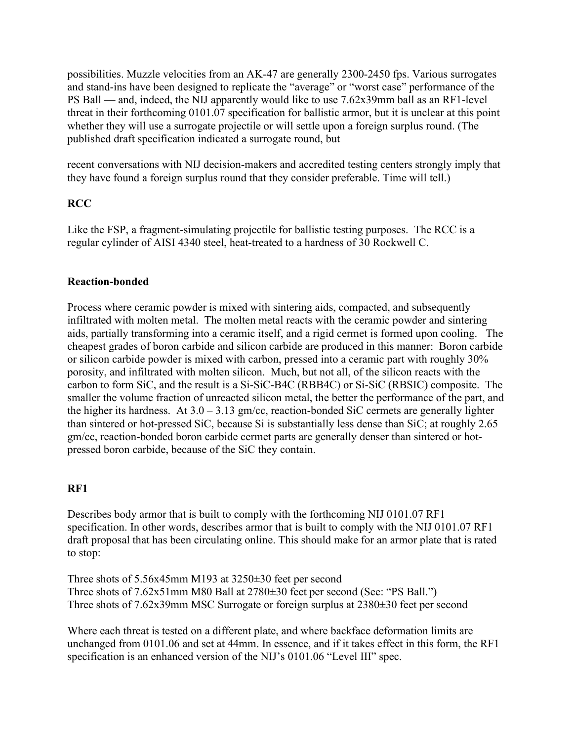possibilities. Muzzle velocities from an AK-47 are generally 2300-2450 fps. Various surrogates and stand-ins have been designed to replicate the "average" or "worst case" performance of the PS Ball — and, indeed, the NIJ apparently would like to use 7.62x39mm ball as an RF1-level threat in their forthcoming 0101.07 specification for ballistic armor, but it is unclear at this point whether they will use a surrogate projectile or will settle upon a foreign surplus round. (The published draft specification indicated a surrogate round, but

recent conversations with NIJ decision-makers and accredited testing centers strongly imply that they have found a foreign surplus round that they consider preferable. Time will tell.)

## **RCC**

Like the FSP, a fragment-simulating projectile for ballistic testing purposes. The RCC is a regular cylinder of AISI 4340 steel, heat-treated to a hardness of 30 Rockwell C.

## Reaction-bonded

Process where ceramic powder is mixed with sintering aids, compacted, and subsequently infiltrated with molten metal. The molten metal reacts with the ceramic powder and sintering aids, partially transforming into a ceramic itself, and a rigid cermet is formed upon cooling. The cheapest grades of boron carbide and silicon carbide are produced in this manner: Boron carbide or silicon carbide powder is mixed with carbon, pressed into a ceramic part with roughly 30% porosity, and infiltrated with molten silicon. Much, but not all, of the silicon reacts with the carbon to form SiC, and the result is a Si-SiC-B4C (RBB4C) or Si-SiC (RBSIC) composite. The smaller the volume fraction of unreacted silicon metal, the better the performance of the part, and the higher its hardness. At  $3.0 - 3.13$  gm/cc, reaction-bonded SiC cermets are generally lighter than sintered or hot-pressed SiC, because Si is substantially less dense than SiC; at roughly 2.65 gm/cc, reaction-bonded boron carbide cermet parts are generally denser than sintered or hotpressed boron carbide, because of the SiC they contain.

## RF1

Describes body armor that is built to comply with the forthcoming NIJ 0101.07 RF1 specification. In other words, describes armor that is built to comply with the NIJ 0101.07 RF1 draft proposal that has been circulating online. This should make for an armor plate that is rated to stop:

Three shots of 5.56x45mm M193 at 3250±30 feet per second Three shots of 7.62x51mm M80 Ball at 2780±30 feet per second (See: "PS Ball.") Three shots of 7.62x39mm MSC Surrogate or foreign surplus at 2380±30 feet per second

Where each threat is tested on a different plate, and where backface deformation limits are unchanged from 0101.06 and set at 44mm. In essence, and if it takes effect in this form, the RF1 specification is an enhanced version of the NIJ's 0101.06 "Level III" spec.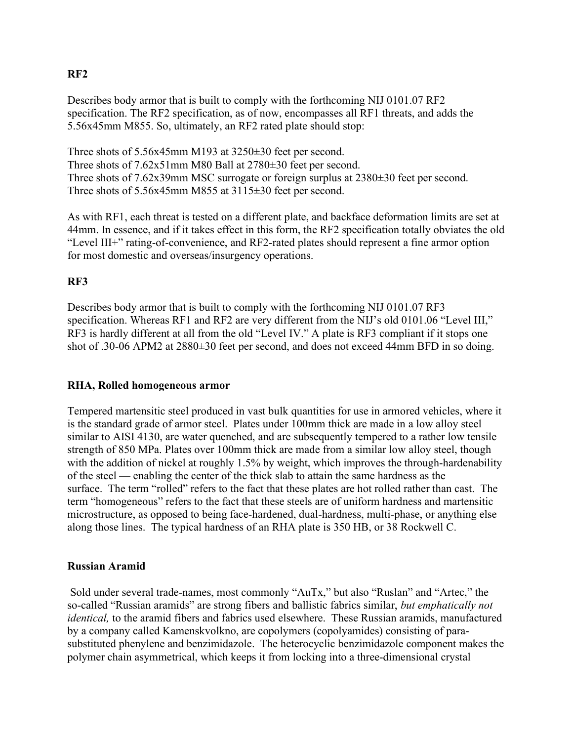# RF2

Describes body armor that is built to comply with the forthcoming NIJ 0101.07 RF2 specification. The RF2 specification, as of now, encompasses all RF1 threats, and adds the 5.56x45mm M855. So, ultimately, an RF2 rated plate should stop:

Three shots of 5.56x45mm M193 at 3250±30 feet per second. Three shots of 7.62x51mm M80 Ball at 2780±30 feet per second. Three shots of 7.62x39mm MSC surrogate or foreign surplus at 2380±30 feet per second. Three shots of 5.56x45mm M855 at 3115±30 feet per second.

As with RF1, each threat is tested on a different plate, and backface deformation limits are set at 44mm. In essence, and if it takes effect in this form, the RF2 specification totally obviates the old "Level III+" rating-of-convenience, and RF2-rated plates should represent a fine armor option for most domestic and overseas/insurgency operations.

# RF3

Describes body armor that is built to comply with the forthcoming NIJ 0101.07 RF3 specification. Whereas RF1 and RF2 are very different from the NIJ's old 0101.06 "Level III," RF3 is hardly different at all from the old "Level IV." A plate is RF3 compliant if it stops one shot of .30-06 APM2 at 2880±30 feet per second, and does not exceed 44mm BFD in so doing.

## RHA, Rolled homogeneous armor

Tempered martensitic steel produced in vast bulk quantities for use in armored vehicles, where it is the standard grade of armor steel. Plates under 100mm thick are made in a low alloy steel similar to AISI 4130, are water quenched, and are subsequently tempered to a rather low tensile strength of 850 MPa. Plates over 100mm thick are made from a similar low alloy steel, though with the addition of nickel at roughly 1.5% by weight, which improves the through-hardenability of the steel — enabling the center of the thick slab to attain the same hardness as the surface. The term "rolled" refers to the fact that these plates are hot rolled rather than cast. The term "homogeneous" refers to the fact that these steels are of uniform hardness and martensitic microstructure, as opposed to being face-hardened, dual-hardness, multi-phase, or anything else along those lines. The typical hardness of an RHA plate is 350 HB, or 38 Rockwell C.

# Russian Aramid

 Sold under several trade-names, most commonly "AuTx," but also "Ruslan" and "Artec," the so-called "Russian aramids" are strong fibers and ballistic fabrics similar, but emphatically not identical, to the aramid fibers and fabrics used elsewhere. These Russian aramids, manufactured by a company called Kamenskvolkno, are copolymers (copolyamides) consisting of parasubstituted phenylene and benzimidazole. The heterocyclic benzimidazole component makes the polymer chain asymmetrical, which keeps it from locking into a three-dimensional crystal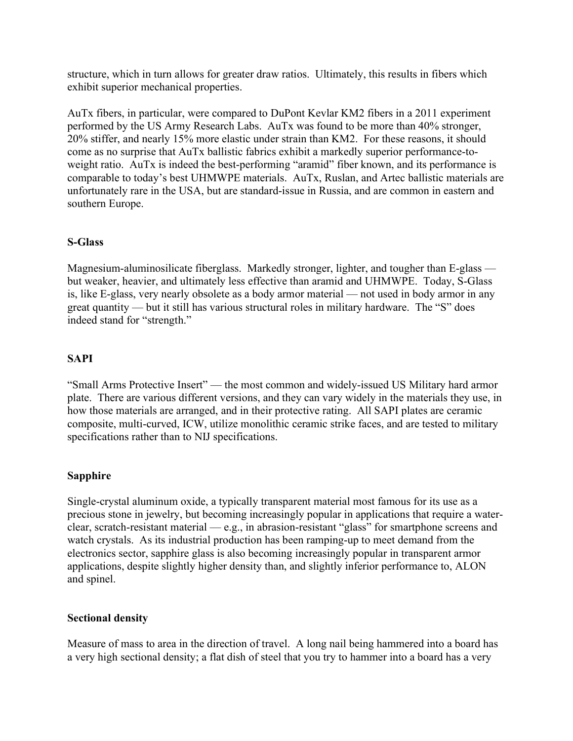structure, which in turn allows for greater draw ratios. Ultimately, this results in fibers which exhibit superior mechanical properties.

AuTx fibers, in particular, were compared to DuPont Kevlar KM2 fibers in a 2011 experiment performed by the US Army Research Labs. AuTx was found to be more than 40% stronger, 20% stiffer, and nearly 15% more elastic under strain than KM2. For these reasons, it should come as no surprise that AuTx ballistic fabrics exhibit a markedly superior performance-toweight ratio. AuTx is indeed the best-performing "aramid" fiber known, and its performance is comparable to today's best UHMWPE materials. AuTx, Ruslan, and Artec ballistic materials are unfortunately rare in the USA, but are standard-issue in Russia, and are common in eastern and southern Europe.

## S-Glass

Magnesium-aluminosilicate fiberglass. Markedly stronger, lighter, and tougher than E-glass but weaker, heavier, and ultimately less effective than aramid and UHMWPE. Today, S-Glass is, like E-glass, very nearly obsolete as a body armor material — not used in body armor in any great quantity — but it still has various structural roles in military hardware. The "S" does indeed stand for "strength."

# SAPI

"Small Arms Protective Insert" — the most common and widely-issued US Military hard armor plate. There are various different versions, and they can vary widely in the materials they use, in how those materials are arranged, and in their protective rating. All SAPI plates are ceramic composite, multi-curved, ICW, utilize monolithic ceramic strike faces, and are tested to military specifications rather than to NIJ specifications.

## Sapphire

Single-crystal aluminum oxide, a typically transparent material most famous for its use as a precious stone in jewelry, but becoming increasingly popular in applications that require a waterclear, scratch-resistant material — e.g., in abrasion-resistant "glass" for smartphone screens and watch crystals. As its industrial production has been ramping-up to meet demand from the electronics sector, sapphire glass is also becoming increasingly popular in transparent armor applications, despite slightly higher density than, and slightly inferior performance to, ALON and spinel.

## Sectional density

Measure of mass to area in the direction of travel. A long nail being hammered into a board has a very high sectional density; a flat dish of steel that you try to hammer into a board has a very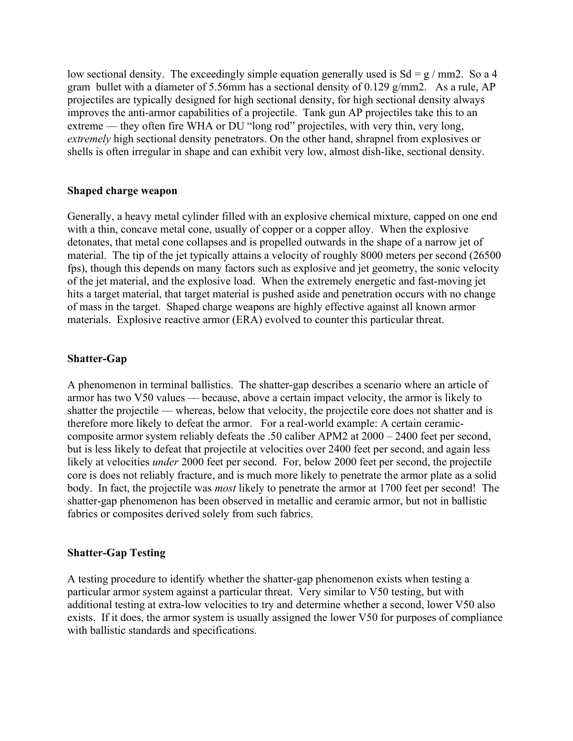low sectional density. The exceedingly simple equation generally used is  $Sd = g / mm2$ . So a 4 gram bullet with a diameter of 5.56mm has a sectional density of 0.129 g/mm2. As a rule, AP projectiles are typically designed for high sectional density, for high sectional density always improves the anti-armor capabilities of a projectile. Tank gun AP projectiles take this to an extreme — they often fire WHA or DU "long rod" projectiles, with very thin, very long, extremely high sectional density penetrators. On the other hand, shrapnel from explosives or shells is often irregular in shape and can exhibit very low, almost dish-like, sectional density.

## Shaped charge weapon

Generally, a heavy metal cylinder filled with an explosive chemical mixture, capped on one end with a thin, concave metal cone, usually of copper or a copper alloy. When the explosive detonates, that metal cone collapses and is propelled outwards in the shape of a narrow jet of material. The tip of the jet typically attains a velocity of roughly 8000 meters per second (26500 fps), though this depends on many factors such as explosive and jet geometry, the sonic velocity of the jet material, and the explosive load. When the extremely energetic and fast-moving jet hits a target material, that target material is pushed aside and penetration occurs with no change of mass in the target. Shaped charge weapons are highly effective against all known armor materials. Explosive reactive armor (ERA) evolved to counter this particular threat.

## Shatter-Gap

A phenomenon in terminal ballistics. The shatter-gap describes a scenario where an article of armor has two V50 values — because, above a certain impact velocity, the armor is likely to shatter the projectile — whereas, below that velocity, the projectile core does not shatter and is therefore more likely to defeat the armor. For a real-world example: A certain ceramiccomposite armor system reliably defeats the .50 caliber APM2 at 2000 – 2400 feet per second, but is less likely to defeat that projectile at velocities over 2400 feet per second, and again less likely at velocities under 2000 feet per second. For, below 2000 feet per second, the projectile core is does not reliably fracture, and is much more likely to penetrate the armor plate as a solid body. In fact, the projectile was *most* likely to penetrate the armor at 1700 feet per second! The shatter-gap phenomenon has been observed in metallic and ceramic armor, but not in ballistic fabrics or composites derived solely from such fabrics.

## Shatter-Gap Testing

A testing procedure to identify whether the shatter-gap phenomenon exists when testing a particular armor system against a particular threat. Very similar to V50 testing, but with additional testing at extra-low velocities to try and determine whether a second, lower V50 also exists. If it does, the armor system is usually assigned the lower V50 for purposes of compliance with ballistic standards and specifications.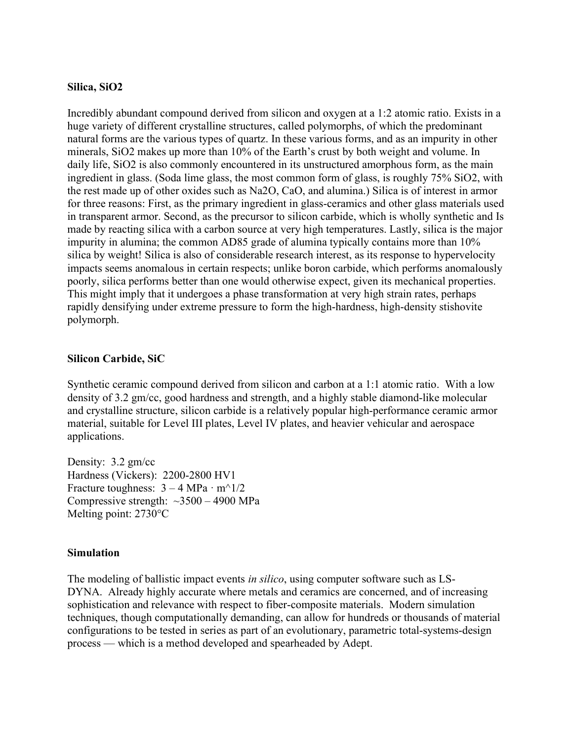#### Silica, SiO2

Incredibly abundant compound derived from silicon and oxygen at a 1:2 atomic ratio. Exists in a huge variety of different crystalline structures, called polymorphs, of which the predominant natural forms are the various types of quartz. In these various forms, and as an impurity in other minerals, SiO2 makes up more than 10% of the Earth's crust by both weight and volume. In daily life, SiO2 is also commonly encountered in its unstructured amorphous form, as the main ingredient in glass. (Soda lime glass, the most common form of glass, is roughly 75% SiO2, with the rest made up of other oxides such as Na2O, CaO, and alumina.) Silica is of interest in armor for three reasons: First, as the primary ingredient in glass-ceramics and other glass materials used in transparent armor. Second, as the precursor to silicon carbide, which is wholly synthetic and Is made by reacting silica with a carbon source at very high temperatures. Lastly, silica is the major impurity in alumina; the common AD85 grade of alumina typically contains more than 10% silica by weight! Silica is also of considerable research interest, as its response to hypervelocity impacts seems anomalous in certain respects; unlike boron carbide, which performs anomalously poorly, silica performs better than one would otherwise expect, given its mechanical properties. This might imply that it undergoes a phase transformation at very high strain rates, perhaps rapidly densifying under extreme pressure to form the high-hardness, high-density stishovite polymorph.

#### Silicon Carbide, SiC

Synthetic ceramic compound derived from silicon and carbon at a 1:1 atomic ratio. With a low density of 3.2 gm/cc, good hardness and strength, and a highly stable diamond-like molecular and crystalline structure, silicon carbide is a relatively popular high-performance ceramic armor material, suitable for Level III plates, Level IV plates, and heavier vehicular and aerospace applications.

Density: 3.2 gm/cc Hardness (Vickers): 2200-2800 HV1 Fracture toughness:  $3 - 4 \text{ MPa} \cdot \text{m}^{\wedge}1/2$ Compressive strength:  $\sim$ 3500 – 4900 MPa Melting point: 2730°C

#### Simulation

The modeling of ballistic impact events *in silico*, using computer software such as LS-DYNA. Already highly accurate where metals and ceramics are concerned, and of increasing sophistication and relevance with respect to fiber-composite materials. Modern simulation techniques, though computationally demanding, can allow for hundreds or thousands of material configurations to be tested in series as part of an evolutionary, parametric total-systems-design process — which is a method developed and spearheaded by Adept.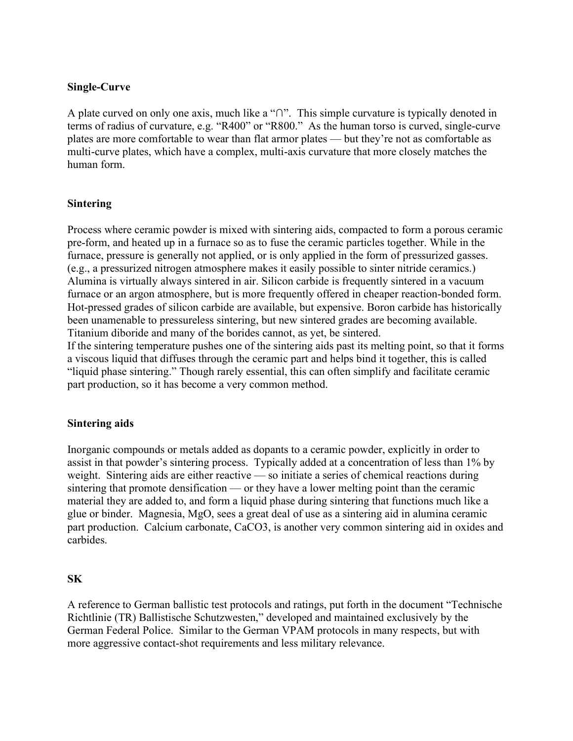#### Single-Curve

A plate curved on only one axis, much like a "∩". This simple curvature is typically denoted in terms of radius of curvature, e.g. "R400" or "R800." As the human torso is curved, single-curve plates are more comfortable to wear than flat armor plates — but they're not as comfortable as multi-curve plates, which have a complex, multi-axis curvature that more closely matches the human form.

#### Sintering

Process where ceramic powder is mixed with sintering aids, compacted to form a porous ceramic pre-form, and heated up in a furnace so as to fuse the ceramic particles together. While in the furnace, pressure is generally not applied, or is only applied in the form of pressurized gasses. (e.g., a pressurized nitrogen atmosphere makes it easily possible to sinter nitride ceramics.) Alumina is virtually always sintered in air. Silicon carbide is frequently sintered in a vacuum furnace or an argon atmosphere, but is more frequently offered in cheaper reaction-bonded form. Hot-pressed grades of silicon carbide are available, but expensive. Boron carbide has historically been unamenable to pressureless sintering, but new sintered grades are becoming available. Titanium diboride and many of the borides cannot, as yet, be sintered.

If the sintering temperature pushes one of the sintering aids past its melting point, so that it forms a viscous liquid that diffuses through the ceramic part and helps bind it together, this is called "liquid phase sintering." Though rarely essential, this can often simplify and facilitate ceramic part production, so it has become a very common method.

#### Sintering aids

Inorganic compounds or metals added as dopants to a ceramic powder, explicitly in order to assist in that powder's sintering process. Typically added at a concentration of less than 1% by weight. Sintering aids are either reactive — so initiate a series of chemical reactions during sintering that promote densification — or they have a lower melting point than the ceramic material they are added to, and form a liquid phase during sintering that functions much like a glue or binder. Magnesia, MgO, sees a great deal of use as a sintering aid in alumina ceramic part production. Calcium carbonate, CaCO3, is another very common sintering aid in oxides and carbides.

#### SK

A reference to German ballistic test protocols and ratings, put forth in the document "Technische Richtlinie (TR) Ballistische Schutzwesten," developed and maintained exclusively by the German Federal Police. Similar to the German VPAM protocols in many respects, but with more aggressive contact-shot requirements and less military relevance.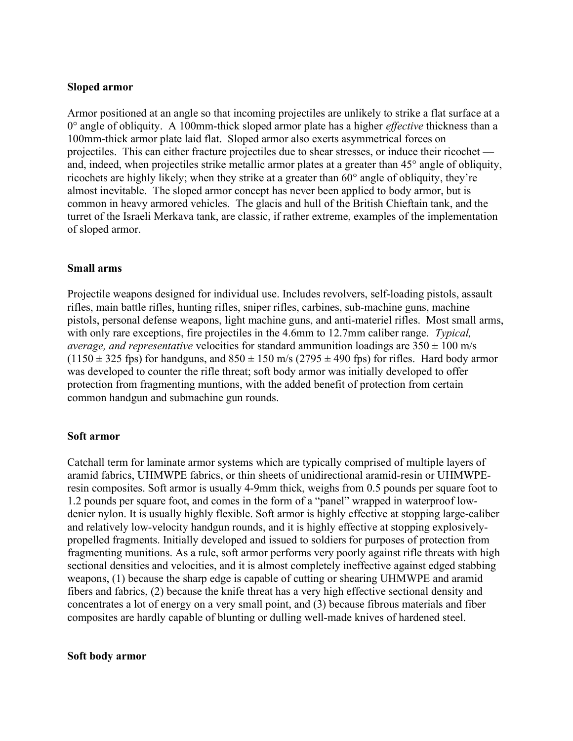#### Sloped armor

Armor positioned at an angle so that incoming projectiles are unlikely to strike a flat surface at a  $0^{\circ}$  angle of obliquity. A 100mm-thick sloped armor plate has a higher *effective* thickness than a 100mm-thick armor plate laid flat. Sloped armor also exerts asymmetrical forces on projectiles. This can either fracture projectiles due to shear stresses, or induce their ricochet and, indeed, when projectiles strike metallic armor plates at a greater than 45° angle of obliquity, ricochets are highly likely; when they strike at a greater than 60° angle of obliquity, they're almost inevitable. The sloped armor concept has never been applied to body armor, but is common in heavy armored vehicles. The glacis and hull of the British Chieftain tank, and the turret of the Israeli Merkava tank, are classic, if rather extreme, examples of the implementation of sloped armor.

#### Small arms

Projectile weapons designed for individual use. Includes revolvers, self-loading pistols, assault rifles, main battle rifles, hunting rifles, sniper rifles, carbines, sub-machine guns, machine pistols, personal defense weapons, light machine guns, and anti-materiel rifles. Most small arms, with only rare exceptions, fire projectiles in the 4.6mm to 12.7mm caliber range. Typical, *average, and representative velocities for standard ammunition loadings are*  $350 \pm 100$  m/s  $(1150 \pm 325$  fps) for handguns, and  $850 \pm 150$  m/s  $(2795 \pm 490$  fps) for rifles. Hard body armor was developed to counter the rifle threat; soft body armor was initially developed to offer protection from fragmenting muntions, with the added benefit of protection from certain common handgun and submachine gun rounds.

#### Soft armor

Catchall term for laminate armor systems which are typically comprised of multiple layers of aramid fabrics, UHMWPE fabrics, or thin sheets of unidirectional aramid-resin or UHMWPEresin composites. Soft armor is usually 4-9mm thick, weighs from 0.5 pounds per square foot to 1.2 pounds per square foot, and comes in the form of a "panel" wrapped in waterproof lowdenier nylon. It is usually highly flexible. Soft armor is highly effective at stopping large-caliber and relatively low-velocity handgun rounds, and it is highly effective at stopping explosivelypropelled fragments. Initially developed and issued to soldiers for purposes of protection from fragmenting munitions. As a rule, soft armor performs very poorly against rifle threats with high sectional densities and velocities, and it is almost completely ineffective against edged stabbing weapons, (1) because the sharp edge is capable of cutting or shearing UHMWPE and aramid fibers and fabrics, (2) because the knife threat has a very high effective sectional density and concentrates a lot of energy on a very small point, and (3) because fibrous materials and fiber composites are hardly capable of blunting or dulling well-made knives of hardened steel.

#### Soft body armor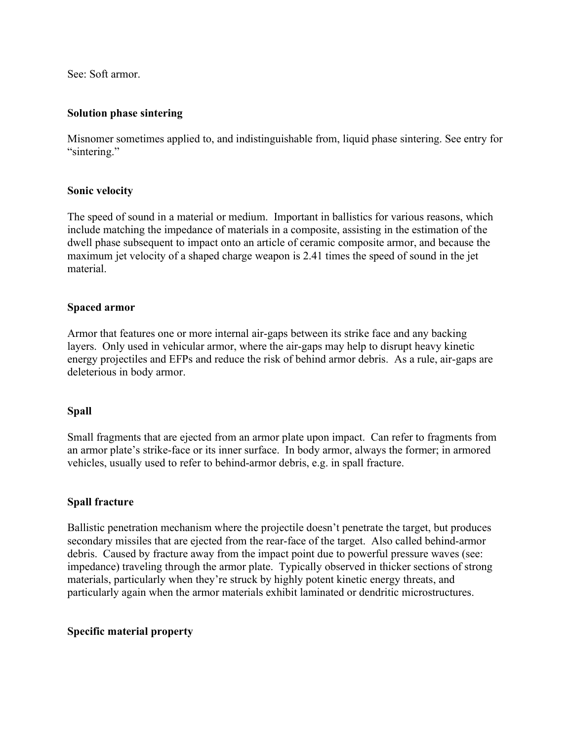See: Soft armor.

## Solution phase sintering

Misnomer sometimes applied to, and indistinguishable from, liquid phase sintering. See entry for "sintering."

## Sonic velocity

The speed of sound in a material or medium. Important in ballistics for various reasons, which include matching the impedance of materials in a composite, assisting in the estimation of the dwell phase subsequent to impact onto an article of ceramic composite armor, and because the maximum jet velocity of a shaped charge weapon is 2.41 times the speed of sound in the jet material.

## Spaced armor

Armor that features one or more internal air-gaps between its strike face and any backing layers. Only used in vehicular armor, where the air-gaps may help to disrupt heavy kinetic energy projectiles and EFPs and reduce the risk of behind armor debris. As a rule, air-gaps are deleterious in body armor.

## Spall

Small fragments that are ejected from an armor plate upon impact. Can refer to fragments from an armor plate's strike-face or its inner surface. In body armor, always the former; in armored vehicles, usually used to refer to behind-armor debris, e.g. in spall fracture.

## Spall fracture

Ballistic penetration mechanism where the projectile doesn't penetrate the target, but produces secondary missiles that are ejected from the rear-face of the target. Also called behind-armor debris. Caused by fracture away from the impact point due to powerful pressure waves (see: impedance) traveling through the armor plate. Typically observed in thicker sections of strong materials, particularly when they're struck by highly potent kinetic energy threats, and particularly again when the armor materials exhibit laminated or dendritic microstructures.

## Specific material property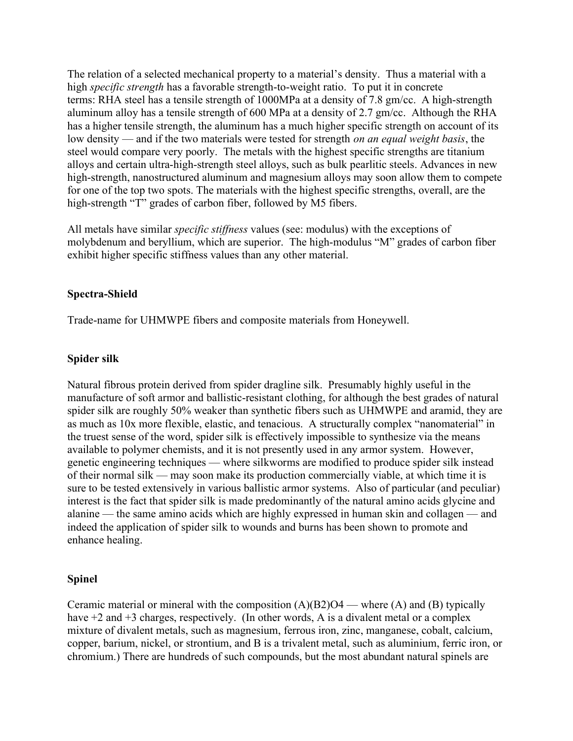The relation of a selected mechanical property to a material's density. Thus a material with a high *specific strength* has a favorable strength-to-weight ratio. To put it in concrete terms: RHA steel has a tensile strength of 1000MPa at a density of 7.8 gm/cc. A high-strength aluminum alloy has a tensile strength of 600 MPa at a density of 2.7 gm/cc. Although the RHA has a higher tensile strength, the aluminum has a much higher specific strength on account of its low density — and if the two materials were tested for strength *on an equal weight basis*, the steel would compare very poorly. The metals with the highest specific strengths are titanium alloys and certain ultra-high-strength steel alloys, such as bulk pearlitic steels. Advances in new high-strength, nanostructured aluminum and magnesium alloys may soon allow them to compete for one of the top two spots. The materials with the highest specific strengths, overall, are the high-strength "T" grades of carbon fiber, followed by M5 fibers.

All metals have similar *specific stiffness* values (see: modulus) with the exceptions of molybdenum and beryllium, which are superior. The high-modulus "M" grades of carbon fiber exhibit higher specific stiffness values than any other material.

## Spectra-Shield

Trade-name for UHMWPE fibers and composite materials from Honeywell.

## Spider silk

Natural fibrous protein derived from spider dragline silk. Presumably highly useful in the manufacture of soft armor and ballistic-resistant clothing, for although the best grades of natural spider silk are roughly 50% weaker than synthetic fibers such as UHMWPE and aramid, they are as much as 10x more flexible, elastic, and tenacious. A structurally complex "nanomaterial" in the truest sense of the word, spider silk is effectively impossible to synthesize via the means available to polymer chemists, and it is not presently used in any armor system. However, genetic engineering techniques — where silkworms are modified to produce spider silk instead of their normal silk — may soon make its production commercially viable, at which time it is sure to be tested extensively in various ballistic armor systems. Also of particular (and peculiar) interest is the fact that spider silk is made predominantly of the natural amino acids glycine and alanine — the same amino acids which are highly expressed in human skin and collagen — and indeed the application of spider silk to wounds and burns has been shown to promote and enhance healing.

# Spinel

Ceramic material or mineral with the composition  $(A)(B2)O4$  — where  $(A)$  and  $(B)$  typically have  $+2$  and  $+3$  charges, respectively. (In other words, A is a divalent metal or a complex mixture of divalent metals, such as magnesium, ferrous iron, zinc, manganese, cobalt, calcium, copper, barium, nickel, or strontium, and B is a trivalent metal, such as aluminium, ferric iron, or chromium.) There are hundreds of such compounds, but the most abundant natural spinels are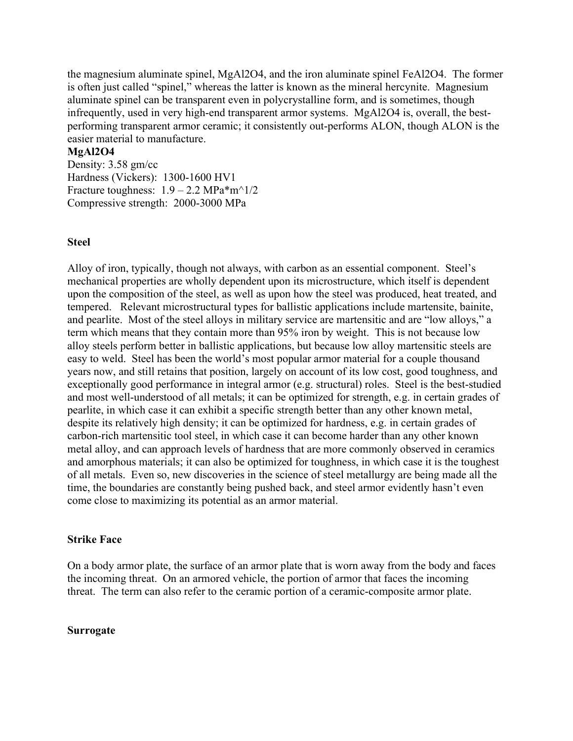the magnesium aluminate spinel, MgAl2O4, and the iron aluminate spinel FeAl2O4. The former is often just called "spinel," whereas the latter is known as the mineral hercynite. Magnesium aluminate spinel can be transparent even in polycrystalline form, and is sometimes, though infrequently, used in very high-end transparent armor systems. MgAl2O4 is, overall, the bestperforming transparent armor ceramic; it consistently out-performs ALON, though ALON is the easier material to manufacture.

#### MgAl2O4

Density: 3.58 gm/cc Hardness (Vickers): 1300-1600 HV1 Fracture toughness:  $1.9 - 2.2$  MPa $*$ m<sup> $\land$ </sup>1/2 Compressive strength: 2000-3000 MPa

#### Steel

Alloy of iron, typically, though not always, with carbon as an essential component. Steel's mechanical properties are wholly dependent upon its microstructure, which itself is dependent upon the composition of the steel, as well as upon how the steel was produced, heat treated, and tempered. Relevant microstructural types for ballistic applications include martensite, bainite, and pearlite. Most of the steel alloys in military service are martensitic and are "low alloys," a term which means that they contain more than 95% iron by weight. This is not because low alloy steels perform better in ballistic applications, but because low alloy martensitic steels are easy to weld. Steel has been the world's most popular armor material for a couple thousand years now, and still retains that position, largely on account of its low cost, good toughness, and exceptionally good performance in integral armor (e.g. structural) roles. Steel is the best-studied and most well-understood of all metals; it can be optimized for strength, e.g. in certain grades of pearlite, in which case it can exhibit a specific strength better than any other known metal, despite its relatively high density; it can be optimized for hardness, e.g. in certain grades of carbon-rich martensitic tool steel, in which case it can become harder than any other known metal alloy, and can approach levels of hardness that are more commonly observed in ceramics and amorphous materials; it can also be optimized for toughness, in which case it is the toughest of all metals. Even so, new discoveries in the science of steel metallurgy are being made all the time, the boundaries are constantly being pushed back, and steel armor evidently hasn't even come close to maximizing its potential as an armor material.

#### Strike Face

On a body armor plate, the surface of an armor plate that is worn away from the body and faces the incoming threat. On an armored vehicle, the portion of armor that faces the incoming threat. The term can also refer to the ceramic portion of a ceramic-composite armor plate.

#### Surrogate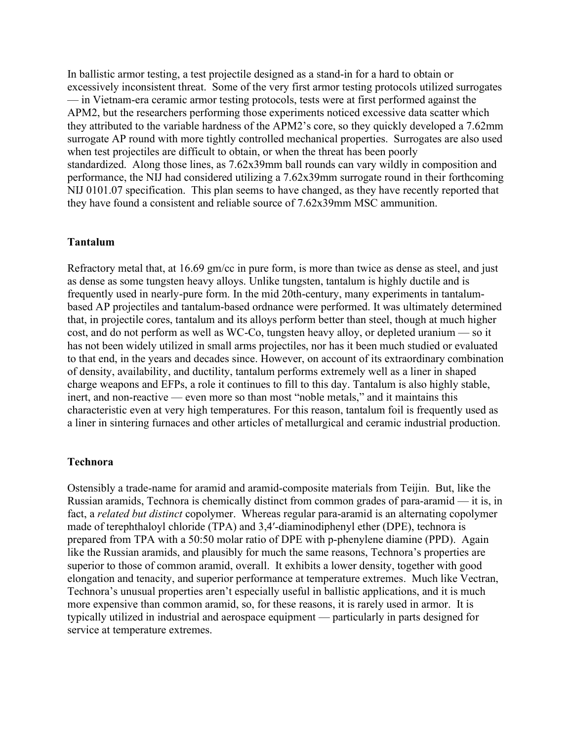In ballistic armor testing, a test projectile designed as a stand-in for a hard to obtain or excessively inconsistent threat. Some of the very first armor testing protocols utilized surrogates — in Vietnam-era ceramic armor testing protocols, tests were at first performed against the APM2, but the researchers performing those experiments noticed excessive data scatter which they attributed to the variable hardness of the APM2's core, so they quickly developed a 7.62mm surrogate AP round with more tightly controlled mechanical properties. Surrogates are also used when test projectiles are difficult to obtain, or when the threat has been poorly standardized. Along those lines, as 7.62x39mm ball rounds can vary wildly in composition and performance, the NIJ had considered utilizing a 7.62x39mm surrogate round in their forthcoming NIJ 0101.07 specification. This plan seems to have changed, as they have recently reported that they have found a consistent and reliable source of 7.62x39mm MSC ammunition.

#### Tantalum

Refractory metal that, at 16.69 gm/cc in pure form, is more than twice as dense as steel, and just as dense as some tungsten heavy alloys. Unlike tungsten, tantalum is highly ductile and is frequently used in nearly-pure form. In the mid 20th-century, many experiments in tantalumbased AP projectiles and tantalum-based ordnance were performed. It was ultimately determined that, in projectile cores, tantalum and its alloys perform better than steel, though at much higher cost, and do not perform as well as WC-Co, tungsten heavy alloy, or depleted uranium — so it has not been widely utilized in small arms projectiles, nor has it been much studied or evaluated to that end, in the years and decades since. However, on account of its extraordinary combination of density, availability, and ductility, tantalum performs extremely well as a liner in shaped charge weapons and EFPs, a role it continues to fill to this day. Tantalum is also highly stable, inert, and non-reactive — even more so than most "noble metals," and it maintains this characteristic even at very high temperatures. For this reason, tantalum foil is frequently used as a liner in sintering furnaces and other articles of metallurgical and ceramic industrial production.

#### Technora

Ostensibly a trade-name for aramid and aramid-composite materials from Teijin. But, like the Russian aramids, Technora is chemically distinct from common grades of para-aramid — it is, in fact, a related but distinct copolymer. Whereas regular para-aramid is an alternating copolymer made of terephthaloyl chloride (TPA) and 3,4′-diaminodiphenyl ether (DPE), technora is prepared from TPA with a 50:50 molar ratio of DPE with p-phenylene diamine (PPD). Again like the Russian aramids, and plausibly for much the same reasons, Technora's properties are superior to those of common aramid, overall. It exhibits a lower density, together with good elongation and tenacity, and superior performance at temperature extremes. Much like Vectran, Technora's unusual properties aren't especially useful in ballistic applications, and it is much more expensive than common aramid, so, for these reasons, it is rarely used in armor. It is typically utilized in industrial and aerospace equipment — particularly in parts designed for service at temperature extremes.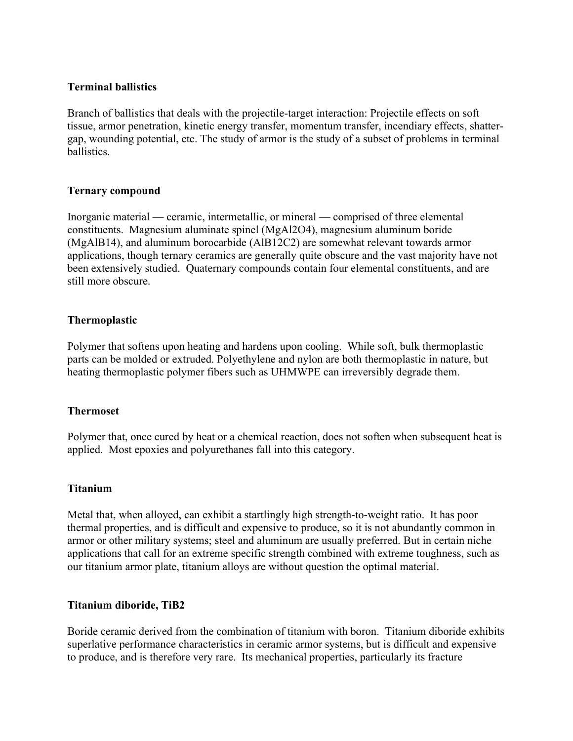## Terminal ballistics

Branch of ballistics that deals with the projectile-target interaction: Projectile effects on soft tissue, armor penetration, kinetic energy transfer, momentum transfer, incendiary effects, shattergap, wounding potential, etc. The study of armor is the study of a subset of problems in terminal ballistics.

## Ternary compound

Inorganic material — ceramic, intermetallic, or mineral — comprised of three elemental constituents. Magnesium aluminate spinel (MgAl2O4), magnesium aluminum boride (MgAlB14), and aluminum borocarbide (AlB12C2) are somewhat relevant towards armor applications, though ternary ceramics are generally quite obscure and the vast majority have not been extensively studied. Quaternary compounds contain four elemental constituents, and are still more obscure.

## Thermoplastic

Polymer that softens upon heating and hardens upon cooling. While soft, bulk thermoplastic parts can be molded or extruded. Polyethylene and nylon are both thermoplastic in nature, but heating thermoplastic polymer fibers such as UHMWPE can irreversibly degrade them.

# **Thermoset**

Polymer that, once cured by heat or a chemical reaction, does not soften when subsequent heat is applied. Most epoxies and polyurethanes fall into this category.

## Titanium

Metal that, when alloyed, can exhibit a startlingly high strength-to-weight ratio. It has poor thermal properties, and is difficult and expensive to produce, so it is not abundantly common in armor or other military systems; steel and aluminum are usually preferred. But in certain niche applications that call for an extreme specific strength combined with extreme toughness, such as our titanium armor plate, titanium alloys are without question the optimal material.

## Titanium diboride, TiB2

Boride ceramic derived from the combination of titanium with boron. Titanium diboride exhibits superlative performance characteristics in ceramic armor systems, but is difficult and expensive to produce, and is therefore very rare. Its mechanical properties, particularly its fracture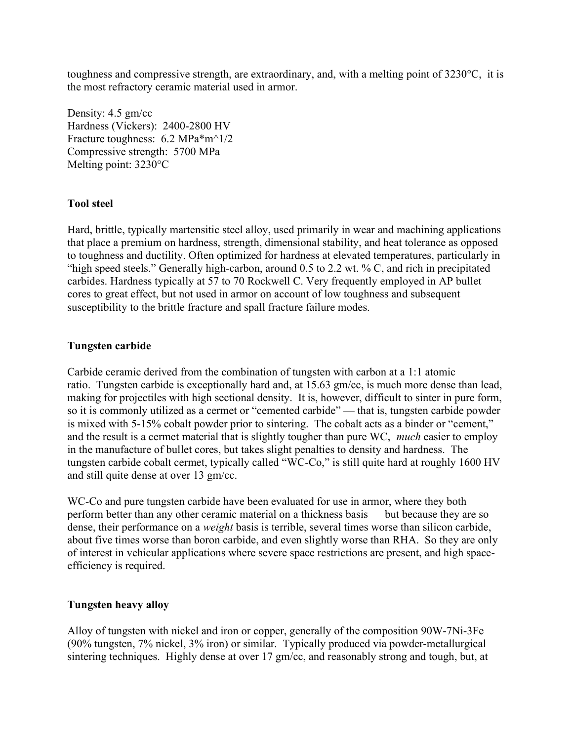toughness and compressive strength, are extraordinary, and, with a melting point of 3230°C, it is the most refractory ceramic material used in armor.

Density: 4.5 gm/cc Hardness (Vickers): 2400-2800 HV Fracture toughness: 6.2 MPa\*m^1/2 Compressive strength: 5700 MPa Melting point: 3230°C

## Tool steel

Hard, brittle, typically martensitic steel alloy, used primarily in wear and machining applications that place a premium on hardness, strength, dimensional stability, and heat tolerance as opposed to toughness and ductility. Often optimized for hardness at elevated temperatures, particularly in "high speed steels." Generally high-carbon, around 0.5 to 2.2 wt. % C, and rich in precipitated carbides. Hardness typically at 57 to 70 Rockwell C. Very frequently employed in AP bullet cores to great effect, but not used in armor on account of low toughness and subsequent susceptibility to the brittle fracture and spall fracture failure modes.

## Tungsten carbide

Carbide ceramic derived from the combination of tungsten with carbon at a 1:1 atomic ratio. Tungsten carbide is exceptionally hard and, at 15.63 gm/cc, is much more dense than lead, making for projectiles with high sectional density. It is, however, difficult to sinter in pure form, so it is commonly utilized as a cermet or "cemented carbide" — that is, tungsten carbide powder is mixed with 5-15% cobalt powder prior to sintering. The cobalt acts as a binder or "cement," and the result is a cermet material that is slightly tougher than pure WC, *much* easier to employ in the manufacture of bullet cores, but takes slight penalties to density and hardness. The tungsten carbide cobalt cermet, typically called "WC-Co," is still quite hard at roughly 1600 HV and still quite dense at over 13 gm/cc.

WC-Co and pure tungsten carbide have been evaluated for use in armor, where they both perform better than any other ceramic material on a thickness basis — but because they are so dense, their performance on a weight basis is terrible, several times worse than silicon carbide, about five times worse than boron carbide, and even slightly worse than RHA. So they are only of interest in vehicular applications where severe space restrictions are present, and high spaceefficiency is required.

## Tungsten heavy alloy

Alloy of tungsten with nickel and iron or copper, generally of the composition 90W-7Ni-3Fe (90% tungsten, 7% nickel, 3% iron) or similar. Typically produced via powder-metallurgical sintering techniques. Highly dense at over 17 gm/cc, and reasonably strong and tough, but, at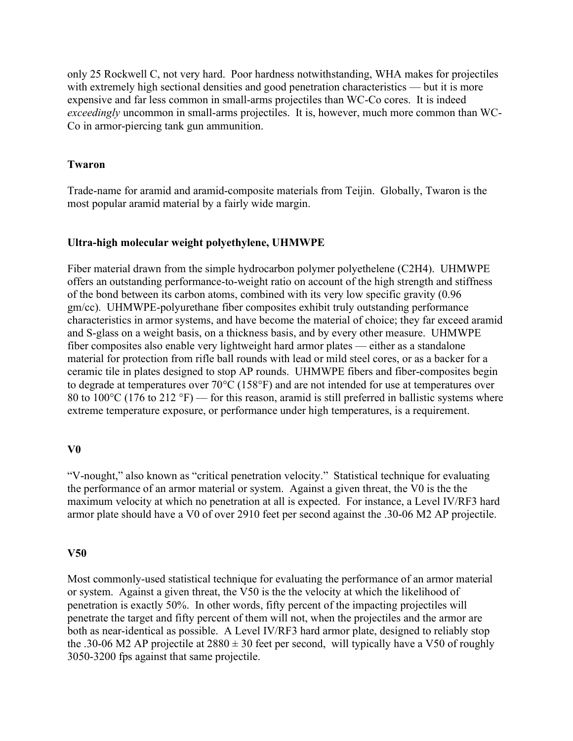only 25 Rockwell C, not very hard. Poor hardness notwithstanding, WHA makes for projectiles with extremely high sectional densities and good penetration characteristics — but it is more expensive and far less common in small-arms projectiles than WC-Co cores. It is indeed exceedingly uncommon in small-arms projectiles. It is, however, much more common than WC-Co in armor-piercing tank gun ammunition.

#### Twaron

Trade-name for aramid and aramid-composite materials from Teijin. Globally, Twaron is the most popular aramid material by a fairly wide margin.

#### Ultra-high molecular weight polyethylene, UHMWPE

Fiber material drawn from the simple hydrocarbon polymer polyethelene (C2H4). UHMWPE offers an outstanding performance-to-weight ratio on account of the high strength and stiffness of the bond between its carbon atoms, combined with its very low specific gravity (0.96 gm/cc). UHMWPE-polyurethane fiber composites exhibit truly outstanding performance characteristics in armor systems, and have become the material of choice; they far exceed aramid and S-glass on a weight basis, on a thickness basis, and by every other measure. UHMWPE fiber composites also enable very lightweight hard armor plates — either as a standalone material for protection from rifle ball rounds with lead or mild steel cores, or as a backer for a ceramic tile in plates designed to stop AP rounds. UHMWPE fibers and fiber-composites begin to degrade at temperatures over 70°C (158°F) and are not intended for use at temperatures over 80 to 100 $^{\circ}$ C (176 to 212  $^{\circ}$ F) — for this reason, aramid is still preferred in ballistic systems where extreme temperature exposure, or performance under high temperatures, is a requirement.

#### V0

"V-nought," also known as "critical penetration velocity." Statistical technique for evaluating the performance of an armor material or system. Against a given threat, the V0 is the the maximum velocity at which no penetration at all is expected. For instance, a Level IV/RF3 hard armor plate should have a V0 of over 2910 feet per second against the .30-06 M2 AP projectile.

#### V50

Most commonly-used statistical technique for evaluating the performance of an armor material or system. Against a given threat, the V50 is the the velocity at which the likelihood of penetration is exactly 50%. In other words, fifty percent of the impacting projectiles will penetrate the target and fifty percent of them will not, when the projectiles and the armor are both as near-identical as possible. A Level IV/RF3 hard armor plate, designed to reliably stop the .30-06 M2 AP projectile at  $2880 \pm 30$  feet per second, will typically have a V50 of roughly 3050-3200 fps against that same projectile.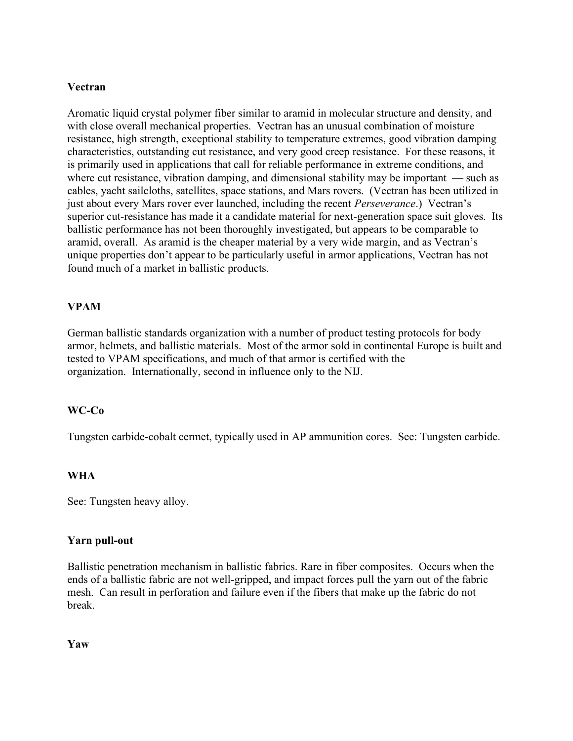## Vectran

Aromatic liquid crystal polymer fiber similar to aramid in molecular structure and density, and with close overall mechanical properties. Vectran has an unusual combination of moisture resistance, high strength, exceptional stability to temperature extremes, good vibration damping characteristics, outstanding cut resistance, and very good creep resistance. For these reasons, it is primarily used in applications that call for reliable performance in extreme conditions, and where cut resistance, vibration damping, and dimensional stability may be important — such as cables, yacht sailcloths, satellites, space stations, and Mars rovers. (Vectran has been utilized in just about every Mars rover ever launched, including the recent Perseverance.) Vectran's superior cut-resistance has made it a candidate material for next-generation space suit gloves. Its ballistic performance has not been thoroughly investigated, but appears to be comparable to aramid, overall. As aramid is the cheaper material by a very wide margin, and as Vectran's unique properties don't appear to be particularly useful in armor applications, Vectran has not found much of a market in ballistic products.

#### VPAM

German ballistic standards organization with a number of product testing protocols for body armor, helmets, and ballistic materials. Most of the armor sold in continental Europe is built and tested to VPAM specifications, and much of that armor is certified with the organization. Internationally, second in influence only to the NIJ.

#### WC-Co

Tungsten carbide-cobalt cermet, typically used in AP ammunition cores. See: Tungsten carbide.

#### WHA

See: Tungsten heavy alloy.

#### Yarn pull-out

Ballistic penetration mechanism in ballistic fabrics. Rare in fiber composites. Occurs when the ends of a ballistic fabric are not well-gripped, and impact forces pull the yarn out of the fabric mesh. Can result in perforation and failure even if the fibers that make up the fabric do not break.

Yaw